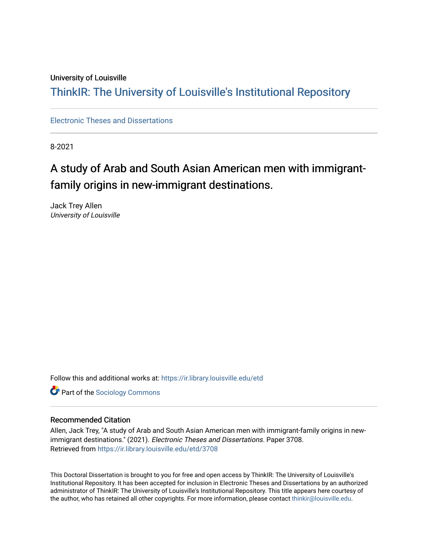### University of Louisville

## ThinkIR: The Univ[ersity of Louisville's Institutional Reposit](https://ir.library.louisville.edu/)ory

[Electronic Theses and Dissertations](https://ir.library.louisville.edu/etd)

8-2021

# A study of Arab and South Asian American men with immigrantfamily origins in new-immigrant destinations.

Jack Trey Allen University of Louisville

Follow this and additional works at: [https://ir.library.louisville.edu/etd](https://ir.library.louisville.edu/etd?utm_source=ir.library.louisville.edu%2Fetd%2F3708&utm_medium=PDF&utm_campaign=PDFCoverPages) 

**Part of the [Sociology Commons](https://network.bepress.com/hgg/discipline/416?utm_source=ir.library.louisville.edu%2Fetd%2F3708&utm_medium=PDF&utm_campaign=PDFCoverPages)** 

#### Recommended Citation

Allen, Jack Trey, "A study of Arab and South Asian American men with immigrant-family origins in newimmigrant destinations." (2021). Electronic Theses and Dissertations. Paper 3708. Retrieved from [https://ir.library.louisville.edu/etd/3708](https://ir.library.louisville.edu/etd/3708?utm_source=ir.library.louisville.edu%2Fetd%2F3708&utm_medium=PDF&utm_campaign=PDFCoverPages) 

This Doctoral Dissertation is brought to you for free and open access by ThinkIR: The University of Louisville's Institutional Repository. It has been accepted for inclusion in Electronic Theses and Dissertations by an authorized administrator of ThinkIR: The University of Louisville's Institutional Repository. This title appears here courtesy of the author, who has retained all other copyrights. For more information, please contact [thinkir@louisville.edu.](mailto:thinkir@louisville.edu)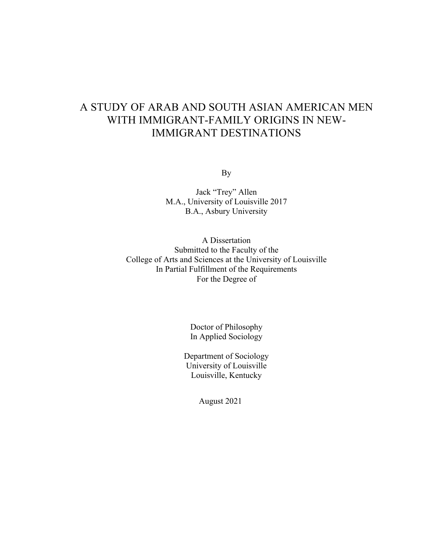# A STUDY OF ARAB AND SOUTH ASIAN AMERICAN MEN WITH IMMIGRANT-FAMILY ORIGINS IN NEW-IMMIGRANT DESTINATIONS

By

Jack "Trey" Allen M.A., University of Louisville 2017 B.A., Asbury University

A Dissertation Submitted to the Faculty of the College of Arts and Sciences at the University of Louisville In Partial Fulfillment of the Requirements For the Degree of

> Doctor of Philosophy In Applied Sociology

Department of Sociology University of Louisville Louisville, Kentucky

August 2021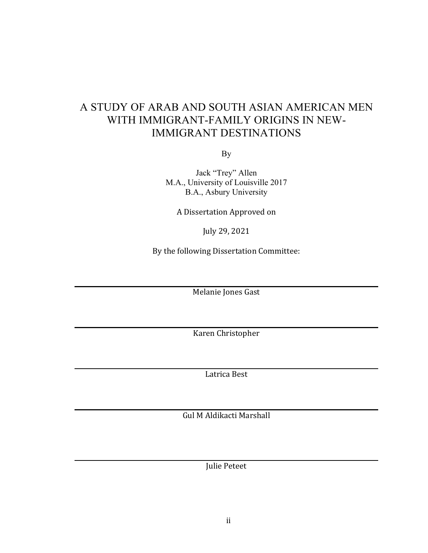# A STUDY OF ARAB AND SOUTH ASIAN AMERICAN MEN WITH IMMIGRANT-FAMILY ORIGINS IN NEW-IMMIGRANT DESTINATIONS

By

Jack "Trey" Allen M.A., University of Louisville 2017 B.A., Asbury University

A Dissertation Approved on

July 29, 2021 

By the following Dissertation Committee:

Melanie Jones Gast

Karen Christopher

Latrica Best

Gul M Aldikacti Marshall

Julie Peteet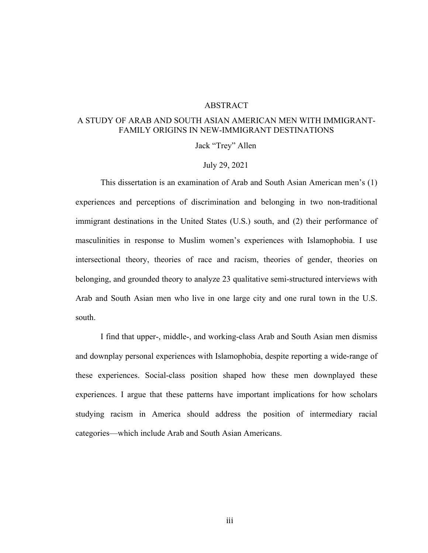### ABSTRACT

### A STUDY OF ARAB AND SOUTH ASIAN AMERICAN MEN WITH IMMIGRANT-FAMILY ORIGINS IN NEW-IMMIGRANT DESTINATIONS

Jack "Trey" Allen

### July 29, 2021

This dissertation is an examination of Arab and South Asian American men's (1) experiences and perceptions of discrimination and belonging in two non-traditional immigrant destinations in the United States (U.S.) south, and (2) their performance of masculinities in response to Muslim women's experiences with Islamophobia. I use intersectional theory, theories of race and racism, theories of gender, theories on belonging, and grounded theory to analyze 23 qualitative semi-structured interviews with Arab and South Asian men who live in one large city and one rural town in the U.S. south.

I find that upper-, middle-, and working-class Arab and South Asian men dismiss and downplay personal experiences with Islamophobia, despite reporting a wide-range of these experiences. Social-class position shaped how these men downplayed these experiences. I argue that these patterns have important implications for how scholars studying racism in America should address the position of intermediary racial categories—which include Arab and South Asian Americans.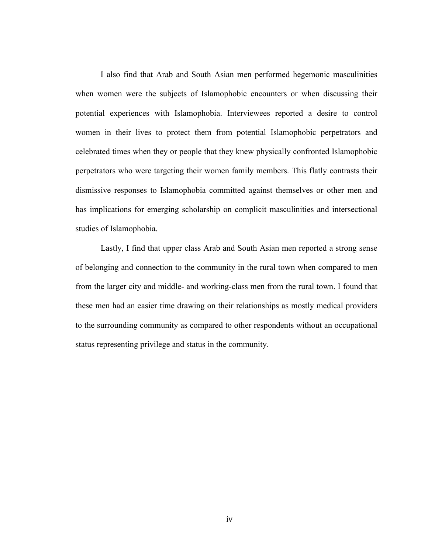I also find that Arab and South Asian men performed hegemonic masculinities when women were the subjects of Islamophobic encounters or when discussing their potential experiences with Islamophobia. Interviewees reported a desire to control women in their lives to protect them from potential Islamophobic perpetrators and celebrated times when they or people that they knew physically confronted Islamophobic perpetrators who were targeting their women family members. This flatly contrasts their dismissive responses to Islamophobia committed against themselves or other men and has implications for emerging scholarship on complicit masculinities and intersectional studies of Islamophobia.

Lastly, I find that upper class Arab and South Asian men reported a strong sense of belonging and connection to the community in the rural town when compared to men from the larger city and middle- and working-class men from the rural town. I found that these men had an easier time drawing on their relationships as mostly medical providers to the surrounding community as compared to other respondents without an occupational status representing privilege and status in the community.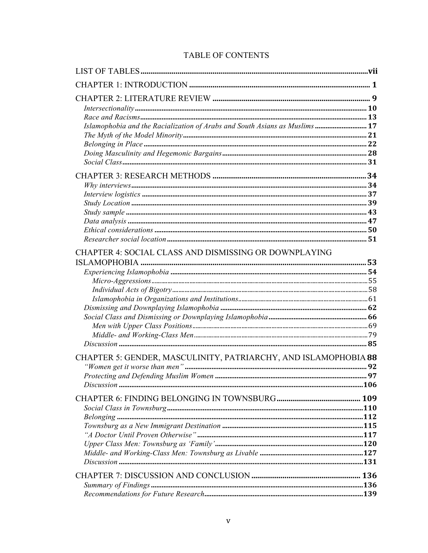### TABLE OF CONTENTS

| Islamophobia and the Racialization of Arabs and South Asians as Muslims  17 |  |
|-----------------------------------------------------------------------------|--|
|                                                                             |  |
|                                                                             |  |
|                                                                             |  |
| CHAPTER 4: SOCIAL CLASS AND DISMISSING OR DOWNPLAYING                       |  |
|                                                                             |  |
|                                                                             |  |
|                                                                             |  |
| CHAPTER 5: GENDER, MASCULINITY, PATRIARCHY, AND ISLAMOPHOBIA 88             |  |
|                                                                             |  |
|                                                                             |  |
|                                                                             |  |
|                                                                             |  |
|                                                                             |  |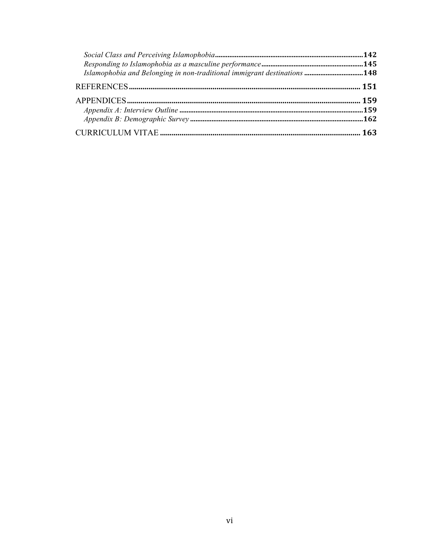| Islamophobia and Belonging in non-traditional immigrant destinations 148 |
|--------------------------------------------------------------------------|
|                                                                          |
|                                                                          |
|                                                                          |
|                                                                          |
|                                                                          |
|                                                                          |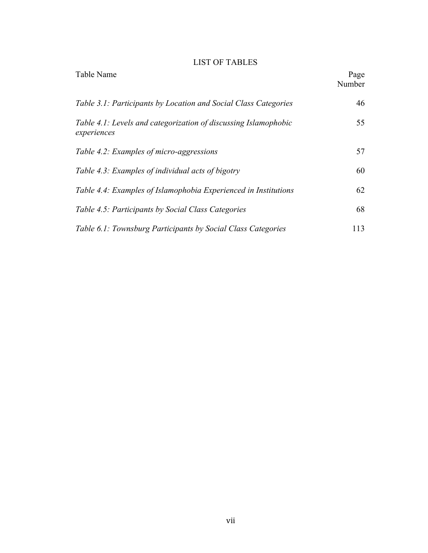### LIST OF TABLES

| Table Name                                                                     | Page<br>Number |
|--------------------------------------------------------------------------------|----------------|
| Table 3.1: Participants by Location and Social Class Categories                | 46             |
| Table 4.1: Levels and categorization of discussing Islamophobic<br>experiences | 55             |
| Table 4.2: Examples of micro-aggressions                                       | 57             |
| Table 4.3: Examples of individual acts of bigotry                              | 60             |
| Table 4.4: Examples of Islamophobia Experienced in Institutions                | 62             |
| Table 4.5: Participants by Social Class Categories                             | 68             |
| Table 6.1: Townsburg Participants by Social Class Categories                   | 113            |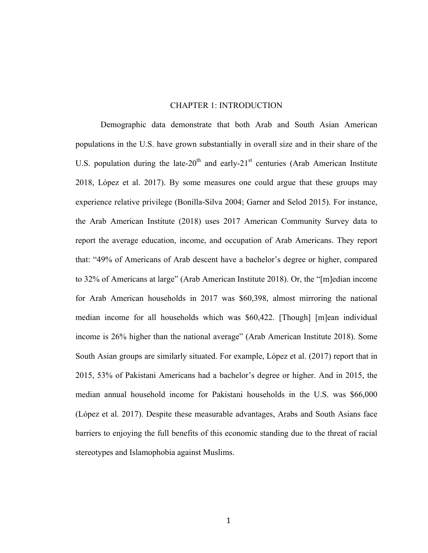### CHAPTER 1: INTRODUCTION

Demographic data demonstrate that both Arab and South Asian American populations in the U.S. have grown substantially in overall size and in their share of the U.S. population during the late- $20<sup>th</sup>$  and early- $21<sup>st</sup>$  centuries (Arab American Institute 2018, López et al. 2017). By some measures one could argue that these groups may experience relative privilege (Bonilla-Silva 2004; Garner and Selod 2015). For instance, the Arab American Institute (2018) uses 2017 American Community Survey data to report the average education, income, and occupation of Arab Americans. They report that: "49% of Americans of Arab descent have a bachelor's degree or higher, compared to 32% of Americans at large" (Arab American Institute 2018). Or, the "[m]edian income for Arab American households in 2017 was \$60,398, almost mirroring the national median income for all households which was \$60,422. [Though] [m]ean individual income is 26% higher than the national average" (Arab American Institute 2018). Some South Asian groups are similarly situated. For example, López et al. (2017) report that in 2015, 53% of Pakistani Americans had a bachelor's degree or higher. And in 2015, the median annual household income for Pakistani households in the U.S. was \$66,000 (López et al. 2017). Despite these measurable advantages, Arabs and South Asians face barriers to enjoying the full benefits of this economic standing due to the threat of racial stereotypes and Islamophobia against Muslims.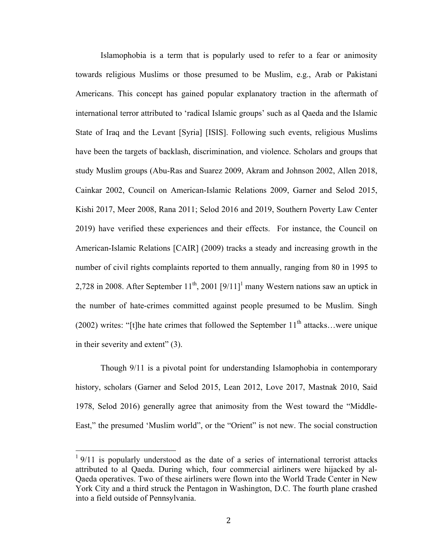Islamophobia is a term that is popularly used to refer to a fear or animosity towards religious Muslims or those presumed to be Muslim, e.g., Arab or Pakistani Americans. This concept has gained popular explanatory traction in the aftermath of international terror attributed to 'radical Islamic groups' such as al Qaeda and the Islamic State of Iraq and the Levant [Syria] [ISIS]. Following such events, religious Muslims have been the targets of backlash, discrimination, and violence. Scholars and groups that study Muslim groups (Abu-Ras and Suarez 2009, Akram and Johnson 2002, Allen 2018, Cainkar 2002, Council on American-Islamic Relations 2009, Garner and Selod 2015, Kishi 2017, Meer 2008, Rana 2011; Selod 2016 and 2019, Southern Poverty Law Center 2019) have verified these experiences and their effects. For instance, the Council on American-Islamic Relations [CAIR] (2009) tracks a steady and increasing growth in the number of civil rights complaints reported to them annually, ranging from 80 in 1995 to 2,728 in 2008. After September  $11^{th}$ , 2001  $[9/11]$ <sup>1</sup> many Western nations saw an uptick in the number of hate-crimes committed against people presumed to be Muslim. Singh (2002) writes: "[t]he hate crimes that followed the September  $11<sup>th</sup>$  attacks...were unique in their severity and extent" (3).

Though 9/11 is a pivotal point for understanding Islamophobia in contemporary history, scholars (Garner and Selod 2015, Lean 2012, Love 2017, Mastnak 2010, Said 1978, Selod 2016) generally agree that animosity from the West toward the "Middle-East," the presumed 'Muslim world", or the "Orient" is not new. The social construction

 $19/11$  is popularly understood as the date of a series of international terrorist attacks attributed to al Qaeda. During which, four commercial airliners were hijacked by al-Qaeda operatives. Two of these airliners were flown into the World Trade Center in New York City and a third struck the Pentagon in Washington, D.C. The fourth plane crashed into a field outside of Pennsylvania.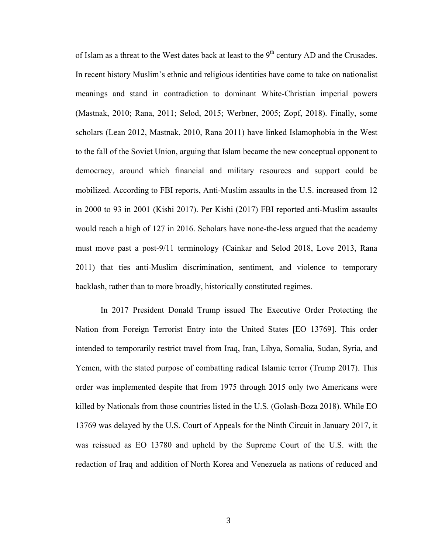of Islam as a threat to the West dates back at least to the 9<sup>th</sup> century AD and the Crusades. In recent history Muslim's ethnic and religious identities have come to take on nationalist meanings and stand in contradiction to dominant White-Christian imperial powers (Mastnak, 2010; Rana, 2011; Selod, 2015; Werbner, 2005; Zopf, 2018). Finally, some scholars (Lean 2012, Mastnak, 2010, Rana 2011) have linked Islamophobia in the West to the fall of the Soviet Union, arguing that Islam became the new conceptual opponent to democracy, around which financial and military resources and support could be mobilized. According to FBI reports, Anti-Muslim assaults in the U.S. increased from 12 in 2000 to 93 in 2001 (Kishi 2017). Per Kishi (2017) FBI reported anti-Muslim assaults would reach a high of 127 in 2016. Scholars have none-the-less argued that the academy must move past a post-9/11 terminology (Cainkar and Selod 2018, Love 2013, Rana 2011) that ties anti-Muslim discrimination, sentiment, and violence to temporary backlash, rather than to more broadly, historically constituted regimes.

In 2017 President Donald Trump issued The Executive Order Protecting the Nation from Foreign Terrorist Entry into the United States [EO 13769]. This order intended to temporarily restrict travel from Iraq, Iran, Libya, Somalia, Sudan, Syria, and Yemen, with the stated purpose of combatting radical Islamic terror (Trump 2017). This order was implemented despite that from 1975 through 2015 only two Americans were killed by Nationals from those countries listed in the U.S. (Golash-Boza 2018). While EO 13769 was delayed by the U.S. Court of Appeals for the Ninth Circuit in January 2017, it was reissued as EO 13780 and upheld by the Supreme Court of the U.S. with the redaction of Iraq and addition of North Korea and Venezuela as nations of reduced and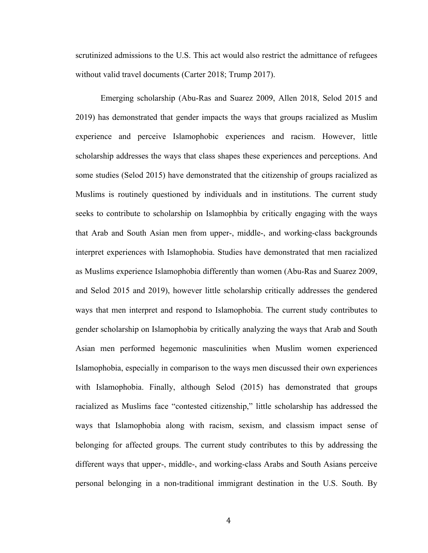scrutinized admissions to the U.S. This act would also restrict the admittance of refugees without valid travel documents (Carter 2018; Trump 2017).

Emerging scholarship (Abu-Ras and Suarez 2009, Allen 2018, Selod 2015 and 2019) has demonstrated that gender impacts the ways that groups racialized as Muslim experience and perceive Islamophobic experiences and racism. However, little scholarship addresses the ways that class shapes these experiences and perceptions. And some studies (Selod 2015) have demonstrated that the citizenship of groups racialized as Muslims is routinely questioned by individuals and in institutions. The current study seeks to contribute to scholarship on Islamophbia by critically engaging with the ways that Arab and South Asian men from upper-, middle-, and working-class backgrounds interpret experiences with Islamophobia. Studies have demonstrated that men racialized as Muslims experience Islamophobia differently than women (Abu-Ras and Suarez 2009, and Selod 2015 and 2019), however little scholarship critically addresses the gendered ways that men interpret and respond to Islamophobia. The current study contributes to gender scholarship on Islamophobia by critically analyzing the ways that Arab and South Asian men performed hegemonic masculinities when Muslim women experienced Islamophobia, especially in comparison to the ways men discussed their own experiences with Islamophobia. Finally, although Selod (2015) has demonstrated that groups racialized as Muslims face "contested citizenship," little scholarship has addressed the ways that Islamophobia along with racism, sexism, and classism impact sense of belonging for affected groups. The current study contributes to this by addressing the different ways that upper-, middle-, and working-class Arabs and South Asians perceive personal belonging in a non-traditional immigrant destination in the U.S. South. By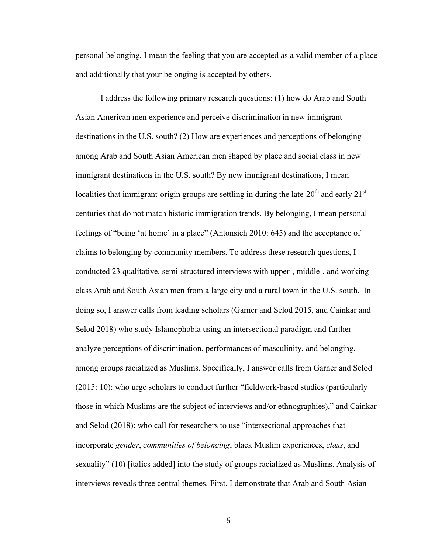personal belonging, I mean the feeling that you are accepted as a valid member of a place and additionally that your belonging is accepted by others.

I address the following primary research questions: (1) how do Arab and South Asian American men experience and perceive discrimination in new immigrant destinations in the U.S. south? (2) How are experiences and perceptions of belonging among Arab and South Asian American men shaped by place and social class in new immigrant destinations in the U.S. south? By new immigrant destinations, I mean localities that immigrant-origin groups are settling in during the late-20<sup>th</sup> and early 21<sup>st</sup>centuries that do not match historic immigration trends. By belonging, I mean personal feelings of "being 'at home' in a place" (Antonsich 2010: 645) and the acceptance of claims to belonging by community members. To address these research questions, I conducted 23 qualitative, semi-structured interviews with upper-, middle-, and workingclass Arab and South Asian men from a large city and a rural town in the U.S. south. In doing so, I answer calls from leading scholars (Garner and Selod 2015, and Cainkar and Selod 2018) who study Islamophobia using an intersectional paradigm and further analyze perceptions of discrimination, performances of masculinity, and belonging, among groups racialized as Muslims. Specifically, I answer calls from Garner and Selod (2015: 10): who urge scholars to conduct further "fieldwork-based studies (particularly those in which Muslims are the subject of interviews and/or ethnographies)," and Cainkar and Selod (2018): who call for researchers to use "intersectional approaches that incorporate *gender*, *communities of belonging*, black Muslim experiences, *class*, and sexuality" (10) [italics added] into the study of groups racialized as Muslims. Analysis of interviews reveals three central themes. First, I demonstrate that Arab and South Asian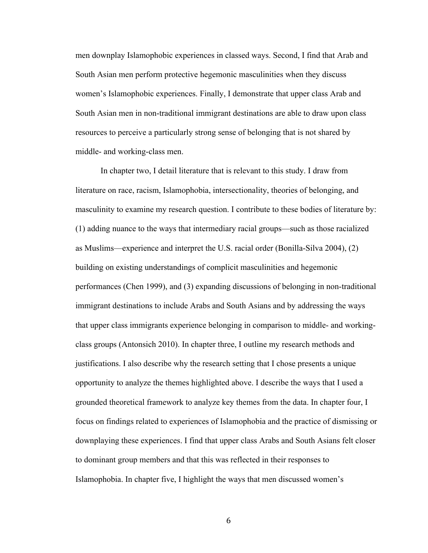men downplay Islamophobic experiences in classed ways. Second, I find that Arab and South Asian men perform protective hegemonic masculinities when they discuss women's Islamophobic experiences. Finally, I demonstrate that upper class Arab and South Asian men in non-traditional immigrant destinations are able to draw upon class resources to perceive a particularly strong sense of belonging that is not shared by middle- and working-class men.

In chapter two, I detail literature that is relevant to this study. I draw from literature on race, racism, Islamophobia, intersectionality, theories of belonging, and masculinity to examine my research question. I contribute to these bodies of literature by: (1) adding nuance to the ways that intermediary racial groups—such as those racialized as Muslims—experience and interpret the U.S. racial order (Bonilla-Silva 2004), (2) building on existing understandings of complicit masculinities and hegemonic performances (Chen 1999), and (3) expanding discussions of belonging in non-traditional immigrant destinations to include Arabs and South Asians and by addressing the ways that upper class immigrants experience belonging in comparison to middle- and workingclass groups (Antonsich 2010). In chapter three, I outline my research methods and justifications. I also describe why the research setting that I chose presents a unique opportunity to analyze the themes highlighted above. I describe the ways that I used a grounded theoretical framework to analyze key themes from the data. In chapter four, I focus on findings related to experiences of Islamophobia and the practice of dismissing or downplaying these experiences. I find that upper class Arabs and South Asians felt closer to dominant group members and that this was reflected in their responses to Islamophobia. In chapter five, I highlight the ways that men discussed women's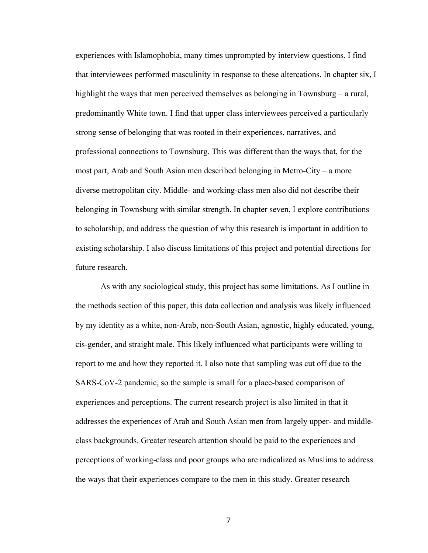experiences with Islamophobia, many times unprompted by interview questions. I find that interviewees performed masculinity in response to these altercations. In chapter six, I highlight the ways that men perceived themselves as belonging in Townsburg – a rural, predominantly White town. I find that upper class interviewees perceived a particularly strong sense of belonging that was rooted in their experiences, narratives, and professional connections to Townsburg. This was different than the ways that, for the most part, Arab and South Asian men described belonging in Metro-City – a more diverse metropolitan city. Middle- and working-class men also did not describe their belonging in Townsburg with similar strength. In chapter seven, I explore contributions to scholarship, and address the question of why this research is important in addition to existing scholarship. I also discuss limitations of this project and potential directions for future research.

As with any sociological study, this project has some limitations. As I outline in the methods section of this paper, this data collection and analysis was likely influenced by my identity as a white, non-Arab, non-South Asian, agnostic, highly educated, young, cis-gender, and straight male. This likely influenced what participants were willing to report to me and how they reported it. I also note that sampling was cut off due to the SARS-CoV-2 pandemic, so the sample is small for a place-based comparison of experiences and perceptions. The current research project is also limited in that it addresses the experiences of Arab and South Asian men from largely upper- and middleclass backgrounds. Greater research attention should be paid to the experiences and perceptions of working-class and poor groups who are radicalized as Muslims to address the ways that their experiences compare to the men in this study. Greater research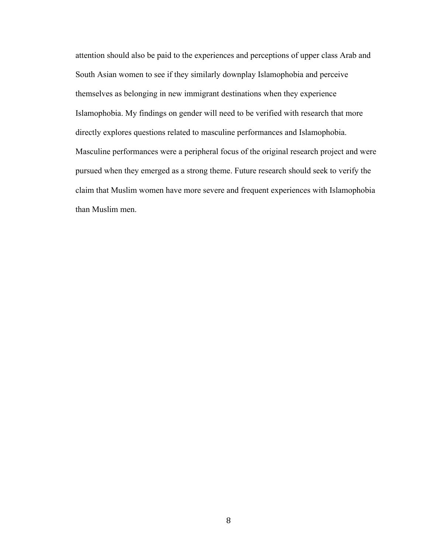attention should also be paid to the experiences and perceptions of upper class Arab and South Asian women to see if they similarly downplay Islamophobia and perceive themselves as belonging in new immigrant destinations when they experience Islamophobia. My findings on gender will need to be verified with research that more directly explores questions related to masculine performances and Islamophobia. Masculine performances were a peripheral focus of the original research project and were pursued when they emerged as a strong theme. Future research should seek to verify the claim that Muslim women have more severe and frequent experiences with Islamophobia than Muslim men.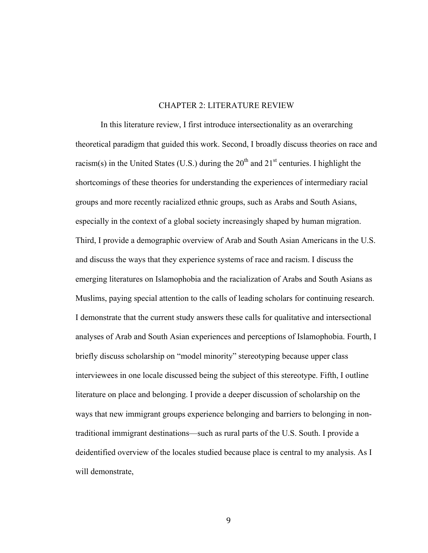### CHAPTER 2: LITERATURE REVIEW

In this literature review, I first introduce intersectionality as an overarching theoretical paradigm that guided this work. Second, I broadly discuss theories on race and racism(s) in the United States (U.S.) during the  $20<sup>th</sup>$  and  $21<sup>st</sup>$  centuries. I highlight the shortcomings of these theories for understanding the experiences of intermediary racial groups and more recently racialized ethnic groups, such as Arabs and South Asians, especially in the context of a global society increasingly shaped by human migration. Third, I provide a demographic overview of Arab and South Asian Americans in the U.S. and discuss the ways that they experience systems of race and racism. I discuss the emerging literatures on Islamophobia and the racialization of Arabs and South Asians as Muslims, paying special attention to the calls of leading scholars for continuing research. I demonstrate that the current study answers these calls for qualitative and intersectional analyses of Arab and South Asian experiences and perceptions of Islamophobia. Fourth, I briefly discuss scholarship on "model minority" stereotyping because upper class interviewees in one locale discussed being the subject of this stereotype. Fifth, I outline literature on place and belonging. I provide a deeper discussion of scholarship on the ways that new immigrant groups experience belonging and barriers to belonging in nontraditional immigrant destinations—such as rural parts of the U.S. South. I provide a deidentified overview of the locales studied because place is central to my analysis. As I will demonstrate,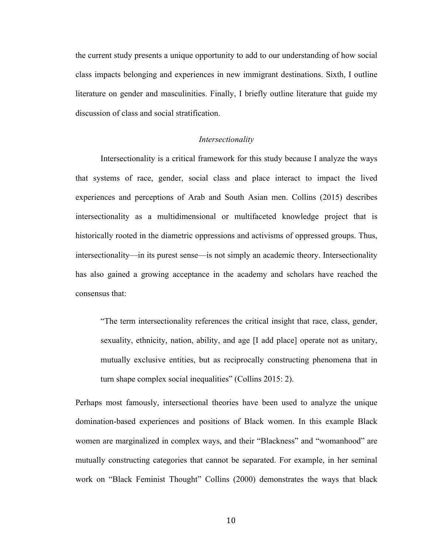the current study presents a unique opportunity to add to our understanding of how social class impacts belonging and experiences in new immigrant destinations. Sixth, I outline literature on gender and masculinities. Finally, I briefly outline literature that guide my discussion of class and social stratification.

### *Intersectionality*

Intersectionality is a critical framework for this study because I analyze the ways that systems of race, gender, social class and place interact to impact the lived experiences and perceptions of Arab and South Asian men. Collins (2015) describes intersectionality as a multidimensional or multifaceted knowledge project that is historically rooted in the diametric oppressions and activisms of oppressed groups. Thus, intersectionality—in its purest sense—is not simply an academic theory. Intersectionality has also gained a growing acceptance in the academy and scholars have reached the consensus that:

"The term intersectionality references the critical insight that race, class, gender, sexuality, ethnicity, nation, ability, and age [I add place] operate not as unitary, mutually exclusive entities, but as reciprocally constructing phenomena that in turn shape complex social inequalities" (Collins 2015: 2).

Perhaps most famously, intersectional theories have been used to analyze the unique domination-based experiences and positions of Black women. In this example Black women are marginalized in complex ways, and their "Blackness" and "womanhood" are mutually constructing categories that cannot be separated. For example, in her seminal work on "Black Feminist Thought" Collins (2000) demonstrates the ways that black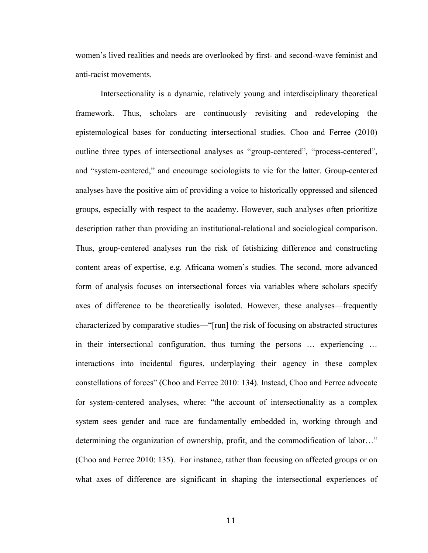women's lived realities and needs are overlooked by first- and second-wave feminist and anti-racist movements.

Intersectionality is a dynamic, relatively young and interdisciplinary theoretical framework. Thus, scholars are continuously revisiting and redeveloping the epistemological bases for conducting intersectional studies. Choo and Ferree (2010) outline three types of intersectional analyses as "group-centered", "process-centered", and "system-centered," and encourage sociologists to vie for the latter. Group-centered analyses have the positive aim of providing a voice to historically oppressed and silenced groups, especially with respect to the academy. However, such analyses often prioritize description rather than providing an institutional-relational and sociological comparison. Thus, group-centered analyses run the risk of fetishizing difference and constructing content areas of expertise, e.g. Africana women's studies. The second, more advanced form of analysis focuses on intersectional forces via variables where scholars specify axes of difference to be theoretically isolated. However, these analyses—frequently characterized by comparative studies—"[run] the risk of focusing on abstracted structures in their intersectional configuration, thus turning the persons … experiencing … interactions into incidental figures, underplaying their agency in these complex constellations of forces" (Choo and Ferree 2010: 134). Instead, Choo and Ferree advocate for system-centered analyses, where: "the account of intersectionality as a complex system sees gender and race are fundamentally embedded in, working through and determining the organization of ownership, profit, and the commodification of labor…" (Choo and Ferree 2010: 135). For instance, rather than focusing on affected groups or on what axes of difference are significant in shaping the intersectional experiences of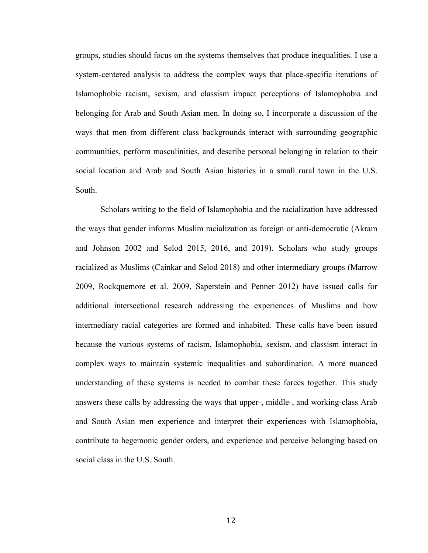groups, studies should focus on the systems themselves that produce inequalities. I use a system-centered analysis to address the complex ways that place-specific iterations of Islamophobic racism, sexism, and classism impact perceptions of Islamophobia and belonging for Arab and South Asian men. In doing so, I incorporate a discussion of the ways that men from different class backgrounds interact with surrounding geographic communities, perform masculinities, and describe personal belonging in relation to their social location and Arab and South Asian histories in a small rural town in the U.S. South.

Scholars writing to the field of Islamophobia and the racialization have addressed the ways that gender informs Muslim racialization as foreign or anti-democratic (Akram and Johnson 2002 and Selod 2015, 2016, and 2019). Scholars who study groups racialized as Muslims (Cainkar and Selod 2018) and other intermediary groups (Marrow 2009, Rockquemore et al. 2009, Saperstein and Penner 2012) have issued calls for additional intersectional research addressing the experiences of Muslims and how intermediary racial categories are formed and inhabited. These calls have been issued because the various systems of racism, Islamophobia, sexism, and classism interact in complex ways to maintain systemic inequalities and subordination. A more nuanced understanding of these systems is needed to combat these forces together. This study answers these calls by addressing the ways that upper-, middle-, and working-class Arab and South Asian men experience and interpret their experiences with Islamophobia, contribute to hegemonic gender orders, and experience and perceive belonging based on social class in the U.S. South.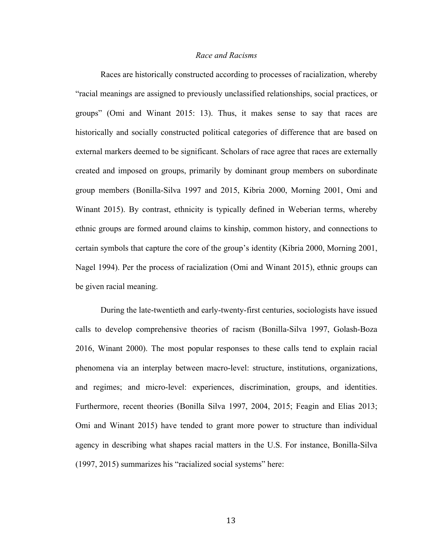### *Race and Racisms*

Races are historically constructed according to processes of racialization, whereby "racial meanings are assigned to previously unclassified relationships, social practices, or groups" (Omi and Winant 2015: 13). Thus, it makes sense to say that races are historically and socially constructed political categories of difference that are based on external markers deemed to be significant. Scholars of race agree that races are externally created and imposed on groups, primarily by dominant group members on subordinate group members (Bonilla-Silva 1997 and 2015, Kibria 2000, Morning 2001, Omi and Winant 2015). By contrast, ethnicity is typically defined in Weberian terms, whereby ethnic groups are formed around claims to kinship, common history, and connections to certain symbols that capture the core of the group's identity (Kibria 2000, Morning 2001, Nagel 1994). Per the process of racialization (Omi and Winant 2015), ethnic groups can be given racial meaning.

During the late-twentieth and early-twenty-first centuries, sociologists have issued calls to develop comprehensive theories of racism (Bonilla-Silva 1997, Golash-Boza 2016, Winant 2000). The most popular responses to these calls tend to explain racial phenomena via an interplay between macro-level: structure, institutions, organizations, and regimes; and micro-level: experiences, discrimination, groups, and identities. Furthermore, recent theories (Bonilla Silva 1997, 2004, 2015; Feagin and Elias 2013; Omi and Winant 2015) have tended to grant more power to structure than individual agency in describing what shapes racial matters in the U.S. For instance, Bonilla-Silva (1997, 2015) summarizes his "racialized social systems" here: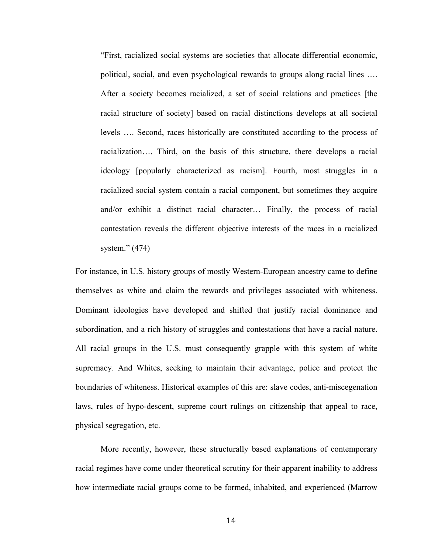"First, racialized social systems are societies that allocate differential economic, political, social, and even psychological rewards to groups along racial lines …. After a society becomes racialized, a set of social relations and practices [the racial structure of society] based on racial distinctions develops at all societal levels …. Second, races historically are constituted according to the process of racialization…. Third, on the basis of this structure, there develops a racial ideology [popularly characterized as racism]. Fourth, most struggles in a racialized social system contain a racial component, but sometimes they acquire and/or exhibit a distinct racial character… Finally, the process of racial contestation reveals the different objective interests of the races in a racialized system." (474)

For instance, in U.S. history groups of mostly Western-European ancestry came to define themselves as white and claim the rewards and privileges associated with whiteness. Dominant ideologies have developed and shifted that justify racial dominance and subordination, and a rich history of struggles and contestations that have a racial nature. All racial groups in the U.S. must consequently grapple with this system of white supremacy. And Whites, seeking to maintain their advantage, police and protect the boundaries of whiteness. Historical examples of this are: slave codes, anti-miscegenation laws, rules of hypo-descent, supreme court rulings on citizenship that appeal to race, physical segregation, etc.

More recently, however, these structurally based explanations of contemporary racial regimes have come under theoretical scrutiny for their apparent inability to address how intermediate racial groups come to be formed, inhabited, and experienced (Marrow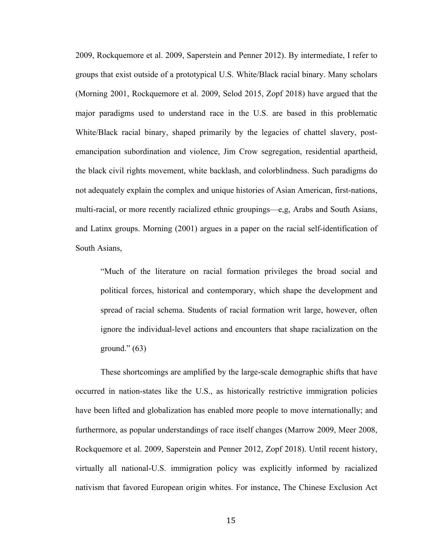2009, Rockquemore et al. 2009, Saperstein and Penner 2012). By intermediate, I refer to groups that exist outside of a prototypical U.S. White/Black racial binary. Many scholars (Morning 2001, Rockquemore et al. 2009, Selod 2015, Zopf 2018) have argued that the major paradigms used to understand race in the U.S. are based in this problematic White/Black racial binary, shaped primarily by the legacies of chattel slavery, postemancipation subordination and violence, Jim Crow segregation, residential apartheid, the black civil rights movement, white backlash, and colorblindness. Such paradigms do not adequately explain the complex and unique histories of Asian American, first-nations, multi-racial, or more recently racialized ethnic groupings—e,g, Arabs and South Asians, and Latinx groups. Morning (2001) argues in a paper on the racial self-identification of South Asians,

"Much of the literature on racial formation privileges the broad social and political forces, historical and contemporary, which shape the development and spread of racial schema. Students of racial formation writ large, however, often ignore the individual-level actions and encounters that shape racialization on the ground."  $(63)$ 

These shortcomings are amplified by the large-scale demographic shifts that have occurred in nation-states like the U.S., as historically restrictive immigration policies have been lifted and globalization has enabled more people to move internationally; and furthermore, as popular understandings of race itself changes (Marrow 2009, Meer 2008, Rockquemore et al. 2009, Saperstein and Penner 2012, Zopf 2018). Until recent history, virtually all national-U.S. immigration policy was explicitly informed by racialized nativism that favored European origin whites. For instance, The Chinese Exclusion Act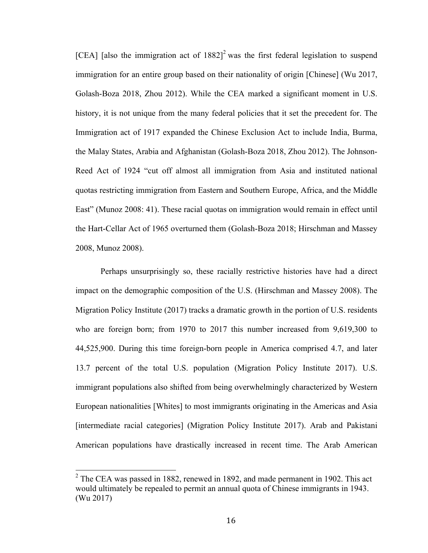[CEA] [also the immigration act of  $1882$ ]<sup>2</sup> was the first federal legislation to suspend immigration for an entire group based on their nationality of origin [Chinese] (Wu 2017, Golash-Boza 2018, Zhou 2012). While the CEA marked a significant moment in U.S. history, it is not unique from the many federal policies that it set the precedent for. The Immigration act of 1917 expanded the Chinese Exclusion Act to include India, Burma, the Malay States, Arabia and Afghanistan (Golash-Boza 2018, Zhou 2012). The Johnson-Reed Act of 1924 "cut off almost all immigration from Asia and instituted national quotas restricting immigration from Eastern and Southern Europe, Africa, and the Middle East" (Munoz 2008: 41). These racial quotas on immigration would remain in effect until the Hart-Cellar Act of 1965 overturned them (Golash-Boza 2018; Hirschman and Massey 2008, Munoz 2008).

Perhaps unsurprisingly so, these racially restrictive histories have had a direct impact on the demographic composition of the U.S. (Hirschman and Massey 2008). The Migration Policy Institute (2017) tracks a dramatic growth in the portion of U.S. residents who are foreign born; from 1970 to 2017 this number increased from 9,619,300 to 44,525,900. During this time foreign-born people in America comprised 4.7, and later 13.7 percent of the total U.S. population (Migration Policy Institute 2017). U.S. immigrant populations also shifted from being overwhelmingly characterized by Western European nationalities [Whites] to most immigrants originating in the Americas and Asia [intermediate racial categories] (Migration Policy Institute 2017). Arab and Pakistani American populations have drastically increased in recent time. The Arab American

 $2$  The CEA was passed in 1882, renewed in 1892, and made permanent in 1902. This act would ultimately be repealed to permit an annual quota of Chinese immigrants in 1943. (Wu 2017)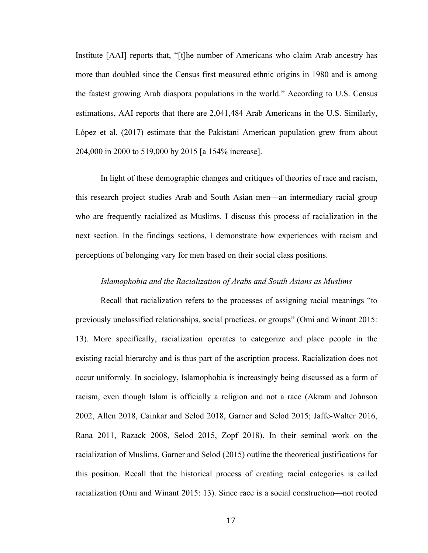Institute [AAI] reports that, "[t]he number of Americans who claim Arab ancestry has more than doubled since the Census first measured ethnic origins in 1980 and is among the fastest growing Arab diaspora populations in the world." According to U.S. Census estimations, AAI reports that there are 2,041,484 Arab Americans in the U.S. Similarly, López et al. (2017) estimate that the Pakistani American population grew from about 204,000 in 2000 to 519,000 by 2015 [a 154% increase].

In light of these demographic changes and critiques of theories of race and racism, this research project studies Arab and South Asian men—an intermediary racial group who are frequently racialized as Muslims. I discuss this process of racialization in the next section. In the findings sections, I demonstrate how experiences with racism and perceptions of belonging vary for men based on their social class positions.

### *Islamophobia and the Racialization of Arabs and South Asians as Muslims*

Recall that racialization refers to the processes of assigning racial meanings "to previously unclassified relationships, social practices, or groups" (Omi and Winant 2015: 13). More specifically, racialization operates to categorize and place people in the existing racial hierarchy and is thus part of the ascription process. Racialization does not occur uniformly. In sociology, Islamophobia is increasingly being discussed as a form of racism, even though Islam is officially a religion and not a race (Akram and Johnson 2002, Allen 2018, Cainkar and Selod 2018, Garner and Selod 2015; Jaffe-Walter 2016, Rana 2011, Razack 2008, Selod 2015, Zopf 2018). In their seminal work on the racialization of Muslims, Garner and Selod (2015) outline the theoretical justifications for this position. Recall that the historical process of creating racial categories is called racialization (Omi and Winant 2015: 13). Since race is a social construction—not rooted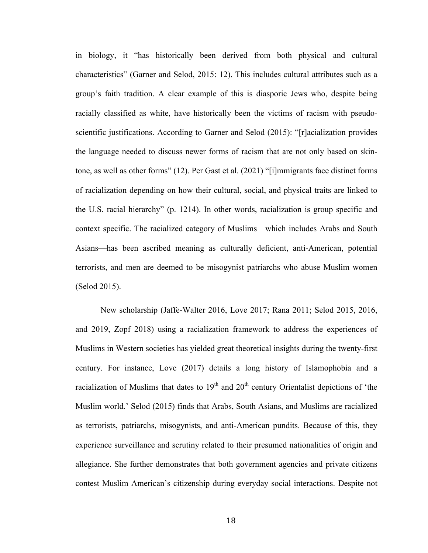in biology, it "has historically been derived from both physical and cultural characteristics" (Garner and Selod, 2015: 12). This includes cultural attributes such as a group's faith tradition. A clear example of this is diasporic Jews who, despite being racially classified as white, have historically been the victims of racism with pseudoscientific justifications. According to Garner and Selod (2015): "[r]acialization provides the language needed to discuss newer forms of racism that are not only based on skintone, as well as other forms" (12). Per Gast et al. (2021) "[i]mmigrants face distinct forms of racialization depending on how their cultural, social, and physical traits are linked to the U.S. racial hierarchy" (p. 1214). In other words, racialization is group specific and context specific. The racialized category of Muslims—which includes Arabs and South Asians—has been ascribed meaning as culturally deficient, anti-American, potential terrorists, and men are deemed to be misogynist patriarchs who abuse Muslim women (Selod 2015).

New scholarship (Jaffe-Walter 2016, Love 2017; Rana 2011; Selod 2015, 2016, and 2019, Zopf 2018) using a racialization framework to address the experiences of Muslims in Western societies has yielded great theoretical insights during the twenty-first century. For instance, Love (2017) details a long history of Islamophobia and a racialization of Muslims that dates to  $19<sup>th</sup>$  and  $20<sup>th</sup>$  century Orientalist depictions of 'the Muslim world.' Selod (2015) finds that Arabs, South Asians, and Muslims are racialized as terrorists, patriarchs, misogynists, and anti-American pundits. Because of this, they experience surveillance and scrutiny related to their presumed nationalities of origin and allegiance. She further demonstrates that both government agencies and private citizens contest Muslim American's citizenship during everyday social interactions. Despite not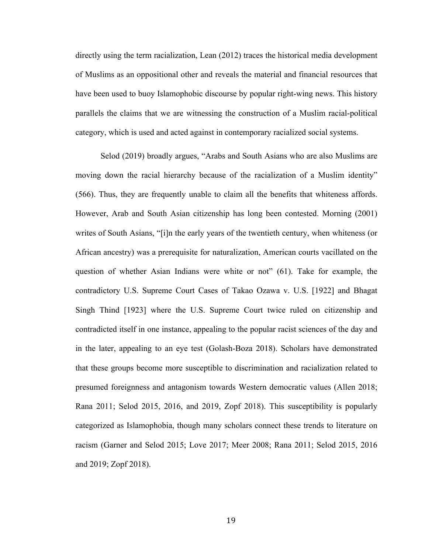directly using the term racialization, Lean (2012) traces the historical media development of Muslims as an oppositional other and reveals the material and financial resources that have been used to buoy Islamophobic discourse by popular right-wing news. This history parallels the claims that we are witnessing the construction of a Muslim racial-political category, which is used and acted against in contemporary racialized social systems.

Selod (2019) broadly argues, "Arabs and South Asians who are also Muslims are moving down the racial hierarchy because of the racialization of a Muslim identity" (566). Thus, they are frequently unable to claim all the benefits that whiteness affords. However, Arab and South Asian citizenship has long been contested. Morning (2001) writes of South Asians, "[i]n the early years of the twentieth century, when whiteness (or African ancestry) was a prerequisite for naturalization, American courts vacillated on the question of whether Asian Indians were white or not" (61). Take for example, the contradictory U.S. Supreme Court Cases of Takao Ozawa v. U.S. [1922] and Bhagat Singh Thind [1923] where the U.S. Supreme Court twice ruled on citizenship and contradicted itself in one instance, appealing to the popular racist sciences of the day and in the later, appealing to an eye test (Golash-Boza 2018). Scholars have demonstrated that these groups become more susceptible to discrimination and racialization related to presumed foreignness and antagonism towards Western democratic values (Allen 2018; Rana 2011; Selod 2015, 2016, and 2019, Zopf 2018). This susceptibility is popularly categorized as Islamophobia, though many scholars connect these trends to literature on racism (Garner and Selod 2015; Love 2017; Meer 2008; Rana 2011; Selod 2015, 2016 and 2019; Zopf 2018).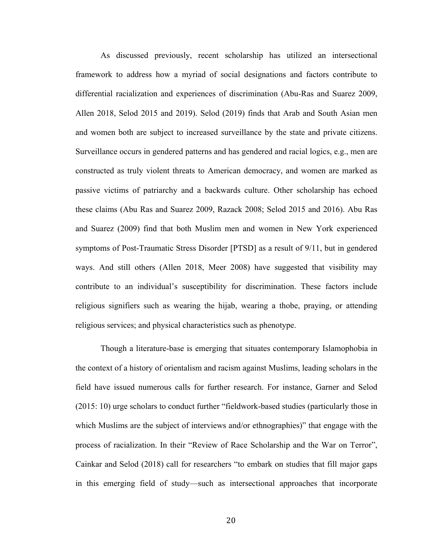As discussed previously, recent scholarship has utilized an intersectional framework to address how a myriad of social designations and factors contribute to differential racialization and experiences of discrimination (Abu-Ras and Suarez 2009, Allen 2018, Selod 2015 and 2019). Selod (2019) finds that Arab and South Asian men and women both are subject to increased surveillance by the state and private citizens. Surveillance occurs in gendered patterns and has gendered and racial logics, e.g., men are constructed as truly violent threats to American democracy, and women are marked as passive victims of patriarchy and a backwards culture. Other scholarship has echoed these claims (Abu Ras and Suarez 2009, Razack 2008; Selod 2015 and 2016). Abu Ras and Suarez (2009) find that both Muslim men and women in New York experienced symptoms of Post-Traumatic Stress Disorder [PTSD] as a result of 9/11, but in gendered ways. And still others (Allen 2018, Meer 2008) have suggested that visibility may contribute to an individual's susceptibility for discrimination. These factors include religious signifiers such as wearing the hijab, wearing a thobe, praying, or attending religious services; and physical characteristics such as phenotype.

Though a literature-base is emerging that situates contemporary Islamophobia in the context of a history of orientalism and racism against Muslims, leading scholars in the field have issued numerous calls for further research. For instance, Garner and Selod (2015: 10) urge scholars to conduct further "fieldwork-based studies (particularly those in which Muslims are the subject of interviews and/or ethnographies)" that engage with the process of racialization. In their "Review of Race Scholarship and the War on Terror", Cainkar and Selod (2018) call for researchers "to embark on studies that fill major gaps in this emerging field of study—such as intersectional approaches that incorporate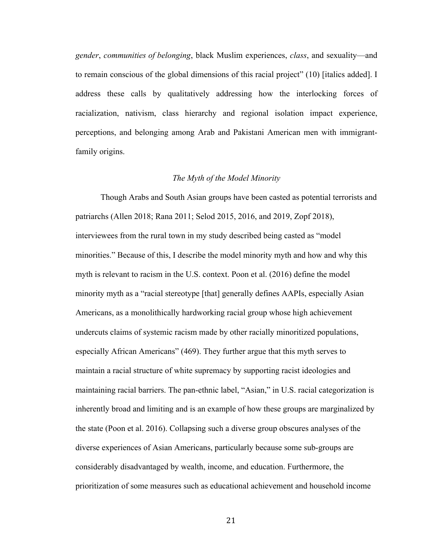*gender*, *communities of belonging*, black Muslim experiences, *class*, and sexuality—and to remain conscious of the global dimensions of this racial project" (10) [italics added]. I address these calls by qualitatively addressing how the interlocking forces of racialization, nativism, class hierarchy and regional isolation impact experience, perceptions, and belonging among Arab and Pakistani American men with immigrantfamily origins.

### *The Myth of the Model Minority*

Though Arabs and South Asian groups have been casted as potential terrorists and patriarchs (Allen 2018; Rana 2011; Selod 2015, 2016, and 2019, Zopf 2018), interviewees from the rural town in my study described being casted as "model minorities." Because of this, I describe the model minority myth and how and why this myth is relevant to racism in the U.S. context. Poon et al. (2016) define the model minority myth as a "racial stereotype [that] generally defines AAPIs, especially Asian Americans, as a monolithically hardworking racial group whose high achievement undercuts claims of systemic racism made by other racially minoritized populations, especially African Americans" (469). They further argue that this myth serves to maintain a racial structure of white supremacy by supporting racist ideologies and maintaining racial barriers. The pan-ethnic label, "Asian," in U.S. racial categorization is inherently broad and limiting and is an example of how these groups are marginalized by the state (Poon et al. 2016). Collapsing such a diverse group obscures analyses of the diverse experiences of Asian Americans, particularly because some sub-groups are considerably disadvantaged by wealth, income, and education. Furthermore, the prioritization of some measures such as educational achievement and household income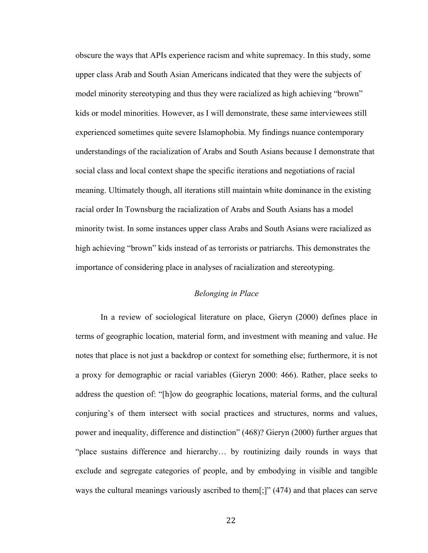obscure the ways that APIs experience racism and white supremacy. In this study, some upper class Arab and South Asian Americans indicated that they were the subjects of model minority stereotyping and thus they were racialized as high achieving "brown" kids or model minorities. However, as I will demonstrate, these same interviewees still experienced sometimes quite severe Islamophobia. My findings nuance contemporary understandings of the racialization of Arabs and South Asians because I demonstrate that social class and local context shape the specific iterations and negotiations of racial meaning. Ultimately though, all iterations still maintain white dominance in the existing racial order In Townsburg the racialization of Arabs and South Asians has a model minority twist. In some instances upper class Arabs and South Asians were racialized as high achieving "brown" kids instead of as terrorists or patriarchs. This demonstrates the importance of considering place in analyses of racialization and stereotyping.

### *Belonging in Place*

In a review of sociological literature on place, Gieryn (2000) defines place in terms of geographic location, material form, and investment with meaning and value. He notes that place is not just a backdrop or context for something else; furthermore, it is not a proxy for demographic or racial variables (Gieryn 2000: 466). Rather, place seeks to address the question of: "[h]ow do geographic locations, material forms, and the cultural conjuring's of them intersect with social practices and structures, norms and values, power and inequality, difference and distinction" (468)? Gieryn (2000) further argues that "place sustains difference and hierarchy… by routinizing daily rounds in ways that exclude and segregate categories of people, and by embodying in visible and tangible ways the cultural meanings variously ascribed to them[;]" (474) and that places can serve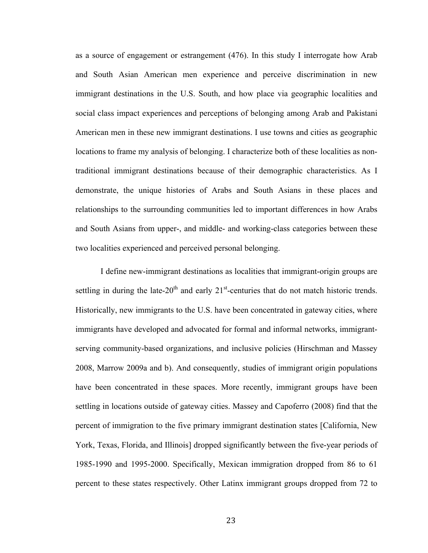as a source of engagement or estrangement (476). In this study I interrogate how Arab and South Asian American men experience and perceive discrimination in new immigrant destinations in the U.S. South, and how place via geographic localities and social class impact experiences and perceptions of belonging among Arab and Pakistani American men in these new immigrant destinations. I use towns and cities as geographic locations to frame my analysis of belonging. I characterize both of these localities as nontraditional immigrant destinations because of their demographic characteristics. As I demonstrate, the unique histories of Arabs and South Asians in these places and relationships to the surrounding communities led to important differences in how Arabs and South Asians from upper-, and middle- and working-class categories between these two localities experienced and perceived personal belonging.

I define new-immigrant destinations as localities that immigrant-origin groups are settling in during the late- $20<sup>th</sup>$  and early  $21<sup>st</sup>$ -centuries that do not match historic trends. Historically, new immigrants to the U.S. have been concentrated in gateway cities, where immigrants have developed and advocated for formal and informal networks, immigrantserving community-based organizations, and inclusive policies (Hirschman and Massey 2008, Marrow 2009a and b). And consequently, studies of immigrant origin populations have been concentrated in these spaces. More recently, immigrant groups have been settling in locations outside of gateway cities. Massey and Capoferro (2008) find that the percent of immigration to the five primary immigrant destination states [California, New York, Texas, Florida, and Illinois] dropped significantly between the five-year periods of 1985-1990 and 1995-2000. Specifically, Mexican immigration dropped from 86 to 61 percent to these states respectively. Other Latinx immigrant groups dropped from 72 to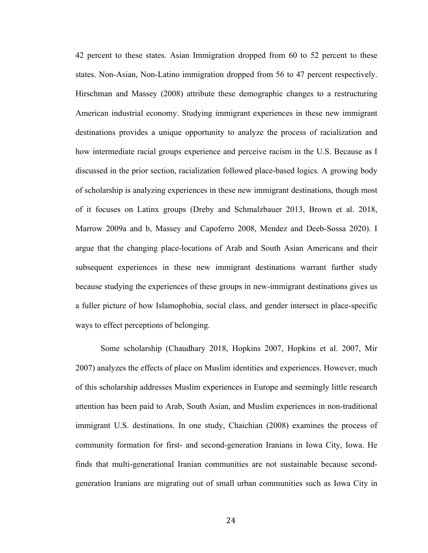42 percent to these states. Asian Immigration dropped from 60 to 52 percent to these states. Non-Asian, Non-Latino immigration dropped from 56 to 47 percent respectively. Hirschman and Massey (2008) attribute these demographic changes to a restructuring American industrial economy. Studying immigrant experiences in these new immigrant destinations provides a unique opportunity to analyze the process of racialization and how intermediate racial groups experience and perceive racism in the U.S. Because as I discussed in the prior section, racialization followed place-based logics. A growing body of scholarship is analyzing experiences in these new immigrant destinations, though most of it focuses on Latinx groups (Dreby and Schmalzbauer 2013, Brown et al. 2018, Marrow 2009a and b, Massey and Capoferro 2008, Mendez and Deeb-Sossa 2020). I argue that the changing place-locations of Arab and South Asian Americans and their subsequent experiences in these new immigrant destinations warrant further study because studying the experiences of these groups in new-immigrant destinations gives us a fuller picture of how Islamophobia, social class, and gender intersect in place-specific ways to effect perceptions of belonging.

Some scholarship (Chaudhary 2018, Hopkins 2007, Hopkins et al. 2007, Mir 2007) analyzes the effects of place on Muslim identities and experiences. However, much of this scholarship addresses Muslim experiences in Europe and seemingly little research attention has been paid to Arab, South Asian, and Muslim experiences in non-traditional immigrant U.S. destinations. In one study, Chaichian (2008) examines the process of community formation for first- and second-generation Iranians in Iowa City, Iowa. He finds that multi-generational Iranian communities are not sustainable because secondgeneration Iranians are migrating out of small urban communities such as Iowa City in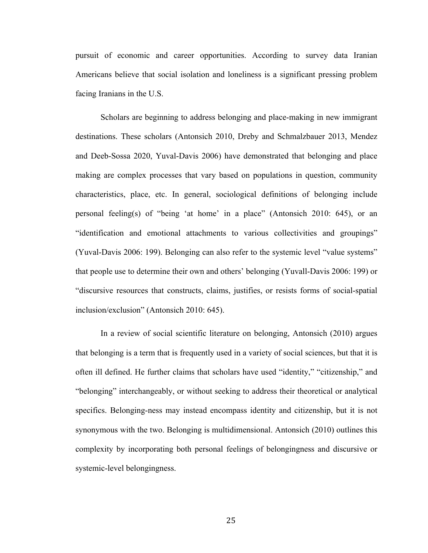pursuit of economic and career opportunities. According to survey data Iranian Americans believe that social isolation and loneliness is a significant pressing problem facing Iranians in the U.S.

Scholars are beginning to address belonging and place-making in new immigrant destinations. These scholars (Antonsich 2010, Dreby and Schmalzbauer 2013, Mendez and Deeb-Sossa 2020, Yuval-Davis 2006) have demonstrated that belonging and place making are complex processes that vary based on populations in question, community characteristics, place, etc. In general, sociological definitions of belonging include personal feeling(s) of "being 'at home' in a place" (Antonsich 2010: 645), or an "identification and emotional attachments to various collectivities and groupings" (Yuval-Davis 2006: 199). Belonging can also refer to the systemic level "value systems" that people use to determine their own and others' belonging (Yuvall-Davis 2006: 199) or "discursive resources that constructs, claims, justifies, or resists forms of social-spatial inclusion/exclusion" (Antonsich 2010: 645).

In a review of social scientific literature on belonging, Antonsich (2010) argues that belonging is a term that is frequently used in a variety of social sciences, but that it is often ill defined. He further claims that scholars have used "identity," "citizenship," and "belonging" interchangeably, or without seeking to address their theoretical or analytical specifics. Belonging-ness may instead encompass identity and citizenship, but it is not synonymous with the two. Belonging is multidimensional. Antonsich (2010) outlines this complexity by incorporating both personal feelings of belongingness and discursive or systemic-level belongingness.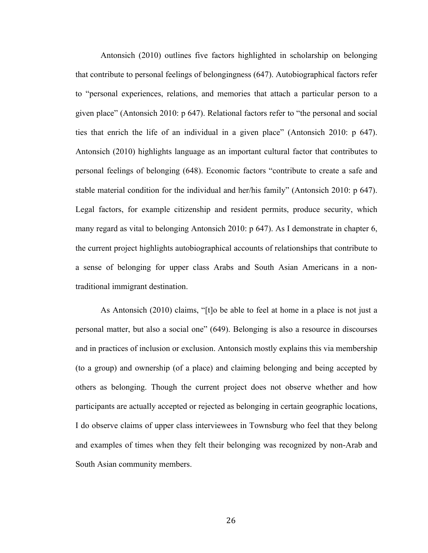Antonsich (2010) outlines five factors highlighted in scholarship on belonging that contribute to personal feelings of belongingness (647). Autobiographical factors refer to "personal experiences, relations, and memories that attach a particular person to a given place" (Antonsich 2010: p 647). Relational factors refer to "the personal and social ties that enrich the life of an individual in a given place" (Antonsich 2010: p 647). Antonsich (2010) highlights language as an important cultural factor that contributes to personal feelings of belonging (648). Economic factors "contribute to create a safe and stable material condition for the individual and her/his family" (Antonsich 2010: p 647). Legal factors, for example citizenship and resident permits, produce security, which many regard as vital to belonging Antonsich 2010: p 647). As I demonstrate in chapter 6, the current project highlights autobiographical accounts of relationships that contribute to a sense of belonging for upper class Arabs and South Asian Americans in a nontraditional immigrant destination.

As Antonsich (2010) claims, "[t]o be able to feel at home in a place is not just a personal matter, but also a social one" (649). Belonging is also a resource in discourses and in practices of inclusion or exclusion. Antonsich mostly explains this via membership (to a group) and ownership (of a place) and claiming belonging and being accepted by others as belonging. Though the current project does not observe whether and how participants are actually accepted or rejected as belonging in certain geographic locations, I do observe claims of upper class interviewees in Townsburg who feel that they belong and examples of times when they felt their belonging was recognized by non-Arab and South Asian community members.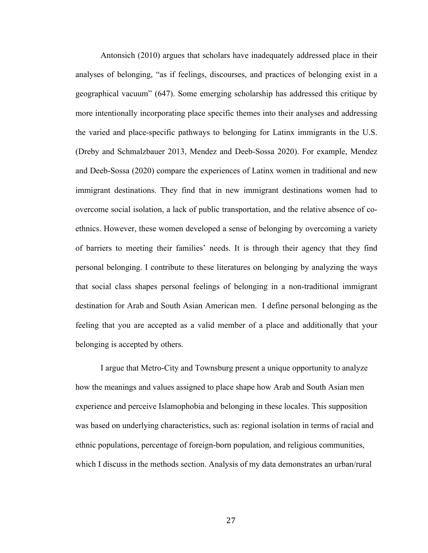Antonsich (2010) argues that scholars have inadequately addressed place in their analyses of belonging, "as if feelings, discourses, and practices of belonging exist in a geographical vacuum" (647). Some emerging scholarship has addressed this critique by more intentionally incorporating place specific themes into their analyses and addressing the varied and place-specific pathways to belonging for Latinx immigrants in the U.S. (Dreby and Schmalzbauer 2013, Mendez and Deeb-Sossa 2020). For example, Mendez and Deeb-Sossa (2020) compare the experiences of Latinx women in traditional and new immigrant destinations. They find that in new immigrant destinations women had to overcome social isolation, a lack of public transportation, and the relative absence of coethnics. However, these women developed a sense of belonging by overcoming a variety of barriers to meeting their families' needs. It is through their agency that they find personal belonging. I contribute to these literatures on belonging by analyzing the ways that social class shapes personal feelings of belonging in a non-traditional immigrant destination for Arab and South Asian American men. I define personal belonging as the feeling that you are accepted as a valid member of a place and additionally that your belonging is accepted by others.

I argue that Metro-City and Townsburg present a unique opportunity to analyze how the meanings and values assigned to place shape how Arab and South Asian men experience and perceive Islamophobia and belonging in these locales. This supposition was based on underlying characteristics, such as: regional isolation in terms of racial and ethnic populations, percentage of foreign-born population, and religious communities, which I discuss in the methods section. Analysis of my data demonstrates an urban/rural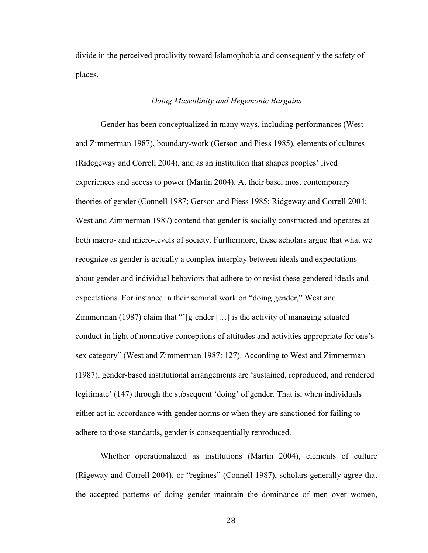divide in the perceived proclivity toward Islamophobia and consequently the safety of places.

#### *Doing Masculinity and Hegemonic Bargains*

Gender has been conceptualized in many ways, including performances (West and Zimmerman 1987), boundary-work (Gerson and Piess 1985), elements of cultures (Ridegeway and Correll 2004), and as an institution that shapes peoples' lived experiences and access to power (Martin 2004). At their base, most contemporary theories of gender (Connell 1987; Gerson and Piess 1985; Ridgeway and Correll 2004; West and Zimmerman 1987) contend that gender is socially constructed and operates at both macro- and micro-levels of society. Furthermore, these scholars argue that what we recognize as gender is actually a complex interplay between ideals and expectations about gender and individual behaviors that adhere to or resist these gendered ideals and expectations. For instance in their seminal work on "doing gender," West and Zimmerman (1987) claim that "'[g]ender […] is the activity of managing situated conduct in light of normative conceptions of attitudes and activities appropriate for one's sex category" (West and Zimmerman 1987: 127). According to West and Zimmerman (1987), gender-based institutional arrangements are 'sustained, reproduced, and rendered legitimate' (147) through the subsequent 'doing' of gender. That is, when individuals either act in accordance with gender norms or when they are sanctioned for failing to adhere to those standards, gender is consequentially reproduced.

Whether operationalized as institutions (Martin 2004), elements of culture (Rigeway and Correll 2004), or "regimes" (Connell 1987), scholars generally agree that the accepted patterns of doing gender maintain the dominance of men over women,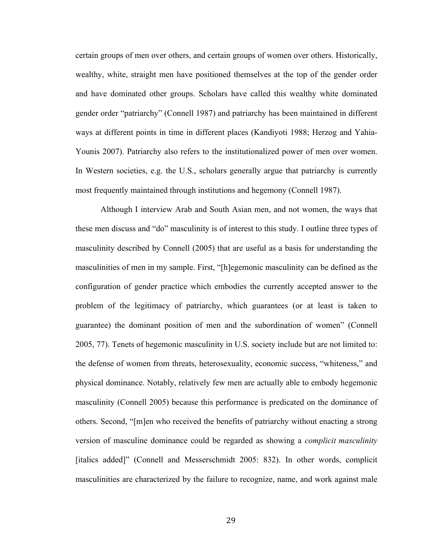certain groups of men over others, and certain groups of women over others. Historically, wealthy, white, straight men have positioned themselves at the top of the gender order and have dominated other groups. Scholars have called this wealthy white dominated gender order "patriarchy" (Connell 1987) and patriarchy has been maintained in different ways at different points in time in different places (Kandiyoti 1988; Herzog and Yahia-Younis 2007). Patriarchy also refers to the institutionalized power of men over women. In Western societies, e.g. the U.S., scholars generally argue that patriarchy is currently most frequently maintained through institutions and hegemony (Connell 1987).

Although I interview Arab and South Asian men, and not women, the ways that these men discuss and "do" masculinity is of interest to this study. I outline three types of masculinity described by Connell (2005) that are useful as a basis for understanding the masculinities of men in my sample. First, "[h]egemonic masculinity can be defined as the configuration of gender practice which embodies the currently accepted answer to the problem of the legitimacy of patriarchy, which guarantees (or at least is taken to guarantee) the dominant position of men and the subordination of women" (Connell 2005, 77). Tenets of hegemonic masculinity in U.S. society include but are not limited to: the defense of women from threats, heterosexuality, economic success, "whiteness," and physical dominance. Notably, relatively few men are actually able to embody hegemonic masculinity (Connell 2005) because this performance is predicated on the dominance of others. Second, "[m]en who received the benefits of patriarchy without enacting a strong version of masculine dominance could be regarded as showing a *complicit masculinity* [italics added]" (Connell and Messerschmidt 2005: 832). In other words, complicit masculinities are characterized by the failure to recognize, name, and work against male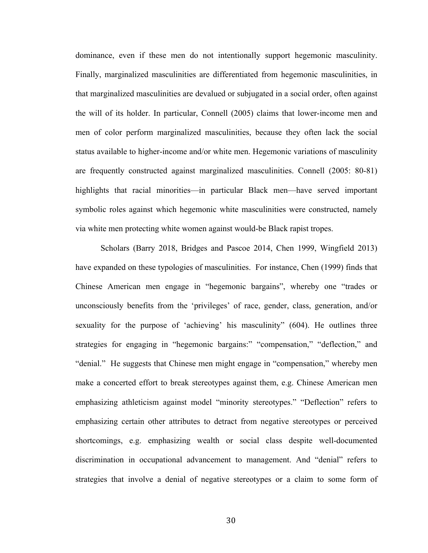dominance, even if these men do not intentionally support hegemonic masculinity. Finally, marginalized masculinities are differentiated from hegemonic masculinities, in that marginalized masculinities are devalued or subjugated in a social order, often against the will of its holder. In particular, Connell (2005) claims that lower-income men and men of color perform marginalized masculinities, because they often lack the social status available to higher-income and/or white men. Hegemonic variations of masculinity are frequently constructed against marginalized masculinities. Connell (2005: 80-81) highlights that racial minorities—in particular Black men—have served important symbolic roles against which hegemonic white masculinities were constructed, namely via white men protecting white women against would-be Black rapist tropes.

Scholars (Barry 2018, Bridges and Pascoe 2014, Chen 1999, Wingfield 2013) have expanded on these typologies of masculinities. For instance, Chen (1999) finds that Chinese American men engage in "hegemonic bargains", whereby one "trades or unconsciously benefits from the 'privileges' of race, gender, class, generation, and/or sexuality for the purpose of 'achieving' his masculinity" (604). He outlines three strategies for engaging in "hegemonic bargains:" "compensation," "deflection," and "denial." He suggests that Chinese men might engage in "compensation," whereby men make a concerted effort to break stereotypes against them, e.g. Chinese American men emphasizing athleticism against model "minority stereotypes." "Deflection" refers to emphasizing certain other attributes to detract from negative stereotypes or perceived shortcomings, e.g. emphasizing wealth or social class despite well-documented discrimination in occupational advancement to management. And "denial" refers to strategies that involve a denial of negative stereotypes or a claim to some form of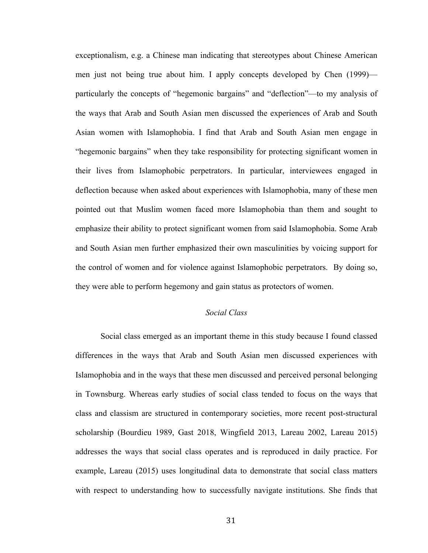exceptionalism, e.g. a Chinese man indicating that stereotypes about Chinese American men just not being true about him. I apply concepts developed by Chen (1999) particularly the concepts of "hegemonic bargains" and "deflection"—to my analysis of the ways that Arab and South Asian men discussed the experiences of Arab and South Asian women with Islamophobia. I find that Arab and South Asian men engage in "hegemonic bargains" when they take responsibility for protecting significant women in their lives from Islamophobic perpetrators. In particular, interviewees engaged in deflection because when asked about experiences with Islamophobia, many of these men pointed out that Muslim women faced more Islamophobia than them and sought to emphasize their ability to protect significant women from said Islamophobia. Some Arab and South Asian men further emphasized their own masculinities by voicing support for the control of women and for violence against Islamophobic perpetrators. By doing so, they were able to perform hegemony and gain status as protectors of women.

# *Social Class*

Social class emerged as an important theme in this study because I found classed differences in the ways that Arab and South Asian men discussed experiences with Islamophobia and in the ways that these men discussed and perceived personal belonging in Townsburg. Whereas early studies of social class tended to focus on the ways that class and classism are structured in contemporary societies, more recent post-structural scholarship (Bourdieu 1989, Gast 2018, Wingfield 2013, Lareau 2002, Lareau 2015) addresses the ways that social class operates and is reproduced in daily practice. For example, Lareau (2015) uses longitudinal data to demonstrate that social class matters with respect to understanding how to successfully navigate institutions. She finds that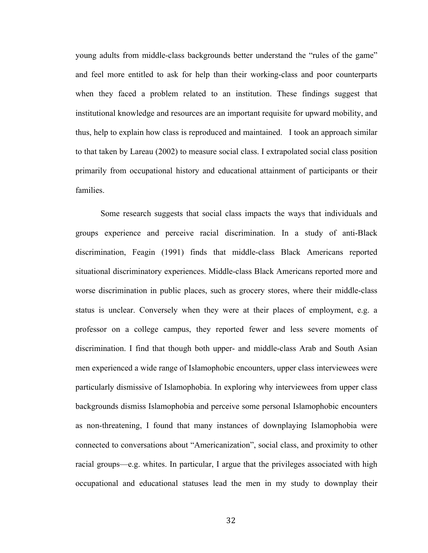young adults from middle-class backgrounds better understand the "rules of the game" and feel more entitled to ask for help than their working-class and poor counterparts when they faced a problem related to an institution. These findings suggest that institutional knowledge and resources are an important requisite for upward mobility, and thus, help to explain how class is reproduced and maintained. I took an approach similar to that taken by Lareau (2002) to measure social class. I extrapolated social class position primarily from occupational history and educational attainment of participants or their families.

Some research suggests that social class impacts the ways that individuals and groups experience and perceive racial discrimination. In a study of anti-Black discrimination, Feagin (1991) finds that middle-class Black Americans reported situational discriminatory experiences. Middle-class Black Americans reported more and worse discrimination in public places, such as grocery stores, where their middle-class status is unclear. Conversely when they were at their places of employment, e.g. a professor on a college campus, they reported fewer and less severe moments of discrimination. I find that though both upper- and middle-class Arab and South Asian men experienced a wide range of Islamophobic encounters, upper class interviewees were particularly dismissive of Islamophobia. In exploring why interviewees from upper class backgrounds dismiss Islamophobia and perceive some personal Islamophobic encounters as non-threatening, I found that many instances of downplaying Islamophobia were connected to conversations about "Americanization", social class, and proximity to other racial groups—e.g. whites. In particular, I argue that the privileges associated with high occupational and educational statuses lead the men in my study to downplay their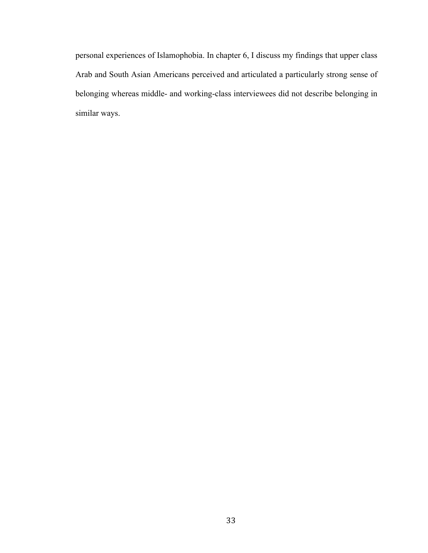personal experiences of Islamophobia. In chapter 6, I discuss my findings that upper class Arab and South Asian Americans perceived and articulated a particularly strong sense of belonging whereas middle- and working-class interviewees did not describe belonging in similar ways.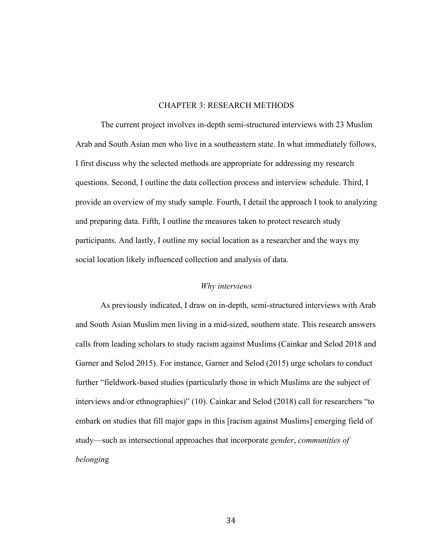#### CHAPTER 3: RESEARCH METHODS

The current project involves in-depth semi-structured interviews with 23 Muslim Arab and South Asian men who live in a southeastern state. In what immediately follows, I first discuss why the selected methods are appropriate for addressing my research questions. Second, I outline the data collection process and interview schedule. Third, I provide an overview of my study sample. Fourth, I detail the approach I took to analyzing and preparing data. Fifth, I outline the measures taken to protect research study participants. And lastly, I outline my social location as a researcher and the ways my social location likely influenced collection and analysis of data.

#### *Why interviews*

As previously indicated, I draw on in-depth, semi-structured interviews with Arab and South Asian Muslim men living in a mid-sized, southern state. This research answers calls from leading scholars to study racism against Muslims (Cainkar and Selod 2018 and Garner and Selod 2015). For instance, Garner and Selod (2015) urge scholars to conduct further "fieldwork-based studies (particularly those in which Muslims are the subject of interviews and/or ethnographies)" (10). Cainkar and Selod (2018) call for researchers "to embark on studies that fill major gaps in this [racism against Muslims] emerging field of study—such as intersectional approaches that incorporate *gender*, *communities of belongin*g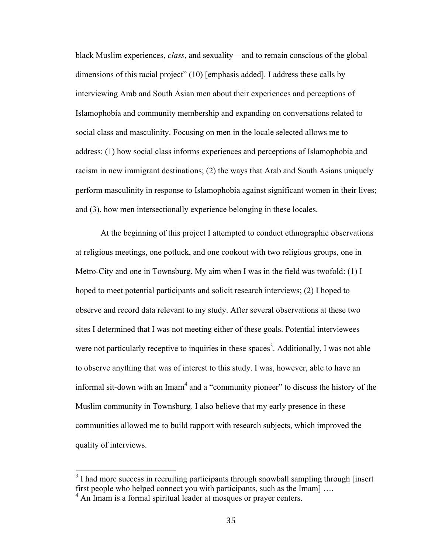black Muslim experiences, *class*, and sexuality—and to remain conscious of the global dimensions of this racial project" (10) [emphasis added]. I address these calls by interviewing Arab and South Asian men about their experiences and perceptions of Islamophobia and community membership and expanding on conversations related to social class and masculinity. Focusing on men in the locale selected allows me to address: (1) how social class informs experiences and perceptions of Islamophobia and racism in new immigrant destinations; (2) the ways that Arab and South Asians uniquely perform masculinity in response to Islamophobia against significant women in their lives; and (3), how men intersectionally experience belonging in these locales.

At the beginning of this project I attempted to conduct ethnographic observations at religious meetings, one potluck, and one cookout with two religious groups, one in Metro-City and one in Townsburg. My aim when I was in the field was twofold: (1) I hoped to meet potential participants and solicit research interviews; (2) I hoped to observe and record data relevant to my study. After several observations at these two sites I determined that I was not meeting either of these goals. Potential interviewees were not particularly receptive to inquiries in these spaces<sup>3</sup>. Additionally, I was not able to observe anything that was of interest to this study. I was, however, able to have an informal sit-down with an Imam<sup>4</sup> and a "community pioneer" to discuss the history of the Muslim community in Townsburg. I also believe that my early presence in these communities allowed me to build rapport with research subjects, which improved the quality of interviews.

<sup>&</sup>lt;sup>3</sup> I had more success in recruiting participants through snowball sampling through [insert] first people who helped connect you with participants, such as the Imam] ….

<sup>&</sup>lt;sup>4</sup> An Imam is a formal spiritual leader at mosques or prayer centers.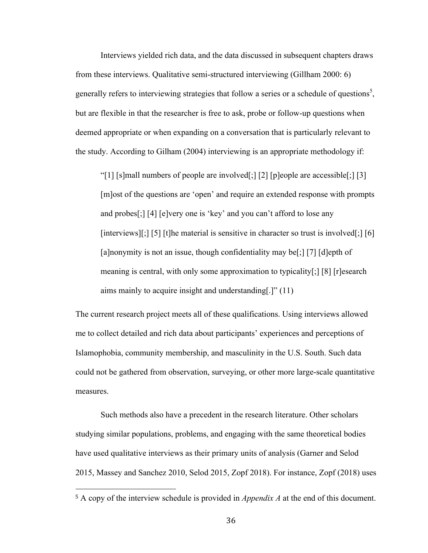Interviews yielded rich data, and the data discussed in subsequent chapters draws from these interviews. Qualitative semi-structured interviewing (Gillham 2000: 6) generally refers to interviewing strategies that follow a series or a schedule of questions<sup>5</sup>, but are flexible in that the researcher is free to ask, probe or follow-up questions when deemed appropriate or when expanding on a conversation that is particularly relevant to the study. According to Gilham (2004) interviewing is an appropriate methodology if:

"[1] [s]mall numbers of people are involved[;] [2] [p]eople are accessible[;] [3] [m]ost of the questions are 'open' and require an extended response with prompts and probes[;] [4] [e]very one is 'key' and you can't afford to lose any [interviews][;] [5] [t]he material is sensitive in character so trust is involved[;] [6] [a]nonymity is not an issue, though confidentiality may be[;] [7] [d]epth of meaning is central, with only some approximation to typicality[;] [8] [r]esearch aims mainly to acquire insight and understanding[.]" (11)

The current research project meets all of these qualifications. Using interviews allowed me to collect detailed and rich data about participants' experiences and perceptions of Islamophobia, community membership, and masculinity in the U.S. South. Such data could not be gathered from observation, surveying, or other more large-scale quantitative measures.

Such methods also have a precedent in the research literature. Other scholars studying similar populations, problems, and engaging with the same theoretical bodies have used qualitative interviews as their primary units of analysis (Garner and Selod 2015, Massey and Sanchez 2010, Selod 2015, Zopf 2018). For instance, Zopf (2018) uses

<sup>5</sup> A copy of the interview schedule is provided in *Appendix A* at the end of this document.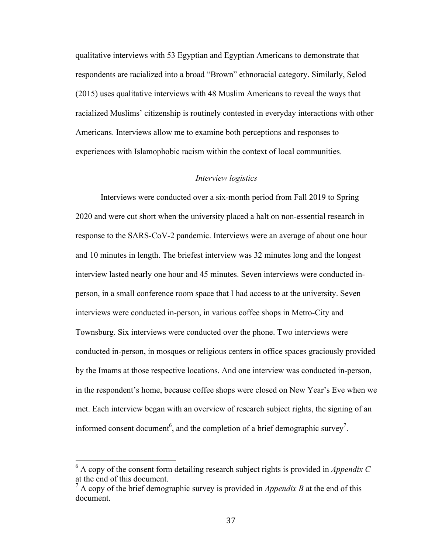qualitative interviews with 53 Egyptian and Egyptian Americans to demonstrate that respondents are racialized into a broad "Brown" ethnoracial category. Similarly, Selod (2015) uses qualitative interviews with 48 Muslim Americans to reveal the ways that racialized Muslims' citizenship is routinely contested in everyday interactions with other Americans. Interviews allow me to examine both perceptions and responses to experiences with Islamophobic racism within the context of local communities.

#### *Interview logistics*

Interviews were conducted over a six-month period from Fall 2019 to Spring 2020 and were cut short when the university placed a halt on non-essential research in response to the SARS-CoV-2 pandemic. Interviews were an average of about one hour and 10 minutes in length. The briefest interview was 32 minutes long and the longest interview lasted nearly one hour and 45 minutes. Seven interviews were conducted inperson, in a small conference room space that I had access to at the university. Seven interviews were conducted in-person, in various coffee shops in Metro-City and Townsburg. Six interviews were conducted over the phone. Two interviews were conducted in-person, in mosques or religious centers in office spaces graciously provided by the Imams at those respective locations. And one interview was conducted in-person, in the respondent's home, because coffee shops were closed on New Year's Eve when we met. Each interview began with an overview of research subject rights, the signing of an informed consent document<sup>6</sup>, and the completion of a brief demographic survey<sup>7</sup>.

 $6$  A copy of the consent form detailing research subject rights is provided in *Appendix C* at the end of this document.

<sup>7</sup> A copy of the brief demographic survey is provided in *Appendix B* at the end of this document.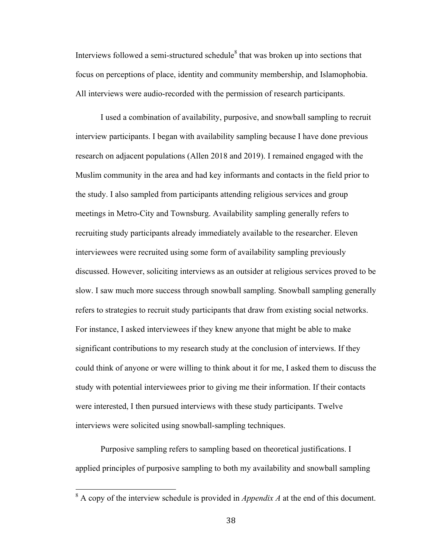Interviews followed a semi-structured schedule<sup>8</sup> that was broken up into sections that focus on perceptions of place, identity and community membership, and Islamophobia. All interviews were audio-recorded with the permission of research participants.

I used a combination of availability, purposive, and snowball sampling to recruit interview participants. I began with availability sampling because I have done previous research on adjacent populations (Allen 2018 and 2019). I remained engaged with the Muslim community in the area and had key informants and contacts in the field prior to the study. I also sampled from participants attending religious services and group meetings in Metro-City and Townsburg. Availability sampling generally refers to recruiting study participants already immediately available to the researcher. Eleven interviewees were recruited using some form of availability sampling previously discussed. However, soliciting interviews as an outsider at religious services proved to be slow. I saw much more success through snowball sampling. Snowball sampling generally refers to strategies to recruit study participants that draw from existing social networks. For instance, I asked interviewees if they knew anyone that might be able to make significant contributions to my research study at the conclusion of interviews. If they could think of anyone or were willing to think about it for me, I asked them to discuss the study with potential interviewees prior to giving me their information. If their contacts were interested, I then pursued interviews with these study participants. Twelve interviews were solicited using snowball-sampling techniques.

Purposive sampling refers to sampling based on theoretical justifications. I applied principles of purposive sampling to both my availability and snowball sampling

<sup>8</sup> A copy of the interview schedule is provided in *Appendix A* at the end of this document.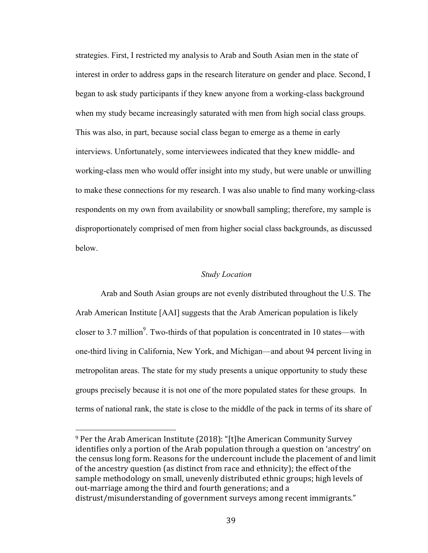strategies. First, I restricted my analysis to Arab and South Asian men in the state of interest in order to address gaps in the research literature on gender and place. Second, I began to ask study participants if they knew anyone from a working-class background when my study became increasingly saturated with men from high social class groups. This was also, in part, because social class began to emerge as a theme in early interviews. Unfortunately, some interviewees indicated that they knew middle- and working-class men who would offer insight into my study, but were unable or unwilling to make these connections for my research. I was also unable to find many working-class respondents on my own from availability or snowball sampling; therefore, my sample is disproportionately comprised of men from higher social class backgrounds, as discussed below.

## *Study Location*

Arab and South Asian groups are not evenly distributed throughout the U.S. The Arab American Institute [AAI] suggests that the Arab American population is likely closer to 3.7 million<sup>9</sup>. Two-thirds of that population is concentrated in 10 states—with one-third living in California, New York, and Michigan—and about 94 percent living in metropolitan areas. The state for my study presents a unique opportunity to study these groups precisely because it is not one of the more populated states for these groups. In terms of national rank, the state is close to the middle of the pack in terms of its share of

 $9$  Per the Arab American Institute (2018): "[t]he American Community Survey identifies only a portion of the Arab population through a question on 'ancestry' on the census long form. Reasons for the undercount include the placement of and limit of the ancestry question (as distinct from race and ethnicity); the effect of the sample methodology on small, unevenly distributed ethnic groups; high levels of out-marriage among the third and fourth generations; and a distrust/misunderstanding of government surveys among recent immigrants."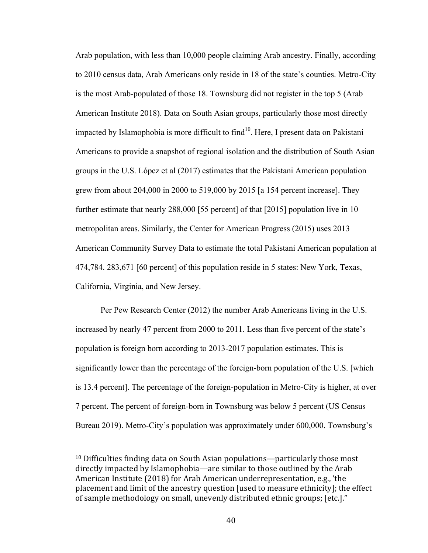Arab population, with less than 10,000 people claiming Arab ancestry. Finally, according to 2010 census data, Arab Americans only reside in 18 of the state's counties. Metro-City is the most Arab-populated of those 18. Townsburg did not register in the top 5 (Arab American Institute 2018). Data on South Asian groups, particularly those most directly impacted by Islamophobia is more difficult to find $10$ . Here, I present data on Pakistani Americans to provide a snapshot of regional isolation and the distribution of South Asian groups in the U.S. López et al (2017) estimates that the Pakistani American population grew from about 204,000 in 2000 to 519,000 by 2015 [a 154 percent increase]. They further estimate that nearly 288,000 [55 percent] of that [2015] population live in 10 metropolitan areas. Similarly, the Center for American Progress (2015) uses 2013 American Community Survey Data to estimate the total Pakistani American population at 474,784. 283,671 [60 percent] of this population reside in 5 states: New York, Texas, California, Virginia, and New Jersey.

Per Pew Research Center (2012) the number Arab Americans living in the U.S. increased by nearly 47 percent from 2000 to 2011. Less than five percent of the state's population is foreign born according to 2013-2017 population estimates. This is significantly lower than the percentage of the foreign-born population of the U.S. [which is 13.4 percent]. The percentage of the foreign-population in Metro-City is higher, at over 7 percent. The percent of foreign-born in Townsburg was below 5 percent (US Census Bureau 2019). Metro-City's population was approximately under 600,000. Townsburg's

 $10$  Difficulties finding data on South Asian populations—particularly those most directly impacted by Islamophobia—are similar to those outlined by the Arab American Institute (2018) for Arab American underrepresentation, e.g., 'the placement and limit of the ancestry question [used to measure ethnicity]; the effect of sample methodology on small, unevenly distributed ethnic groups; [etc.]."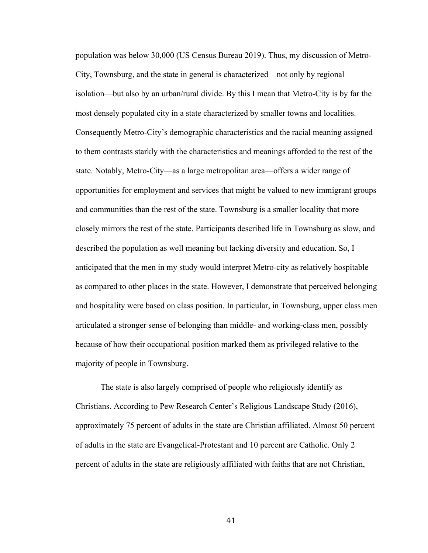population was below 30,000 (US Census Bureau 2019). Thus, my discussion of Metro-City, Townsburg, and the state in general is characterized—not only by regional isolation—but also by an urban/rural divide. By this I mean that Metro-City is by far the most densely populated city in a state characterized by smaller towns and localities. Consequently Metro-City's demographic characteristics and the racial meaning assigned to them contrasts starkly with the characteristics and meanings afforded to the rest of the state. Notably, Metro-City—as a large metropolitan area—offers a wider range of opportunities for employment and services that might be valued to new immigrant groups and communities than the rest of the state. Townsburg is a smaller locality that more closely mirrors the rest of the state. Participants described life in Townsburg as slow, and described the population as well meaning but lacking diversity and education. So, I anticipated that the men in my study would interpret Metro-city as relatively hospitable as compared to other places in the state. However, I demonstrate that perceived belonging and hospitality were based on class position. In particular, in Townsburg, upper class men articulated a stronger sense of belonging than middle- and working-class men, possibly because of how their occupational position marked them as privileged relative to the majority of people in Townsburg.

The state is also largely comprised of people who religiously identify as Christians. According to Pew Research Center's Religious Landscape Study (2016), approximately 75 percent of adults in the state are Christian affiliated. Almost 50 percent of adults in the state are Evangelical-Protestant and 10 percent are Catholic. Only 2 percent of adults in the state are religiously affiliated with faiths that are not Christian,

41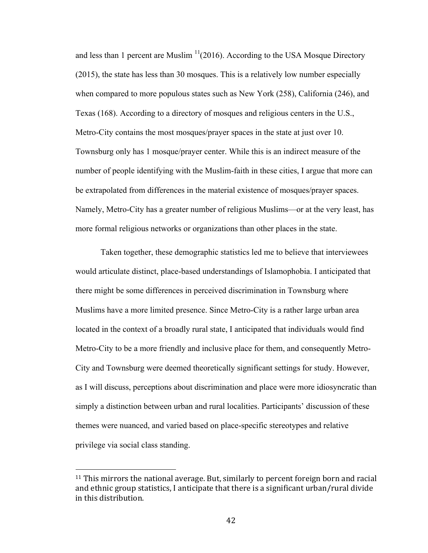and less than 1 percent are Muslim  $\frac{11}{2016}$ . According to the USA Mosque Directory (2015), the state has less than 30 mosques. This is a relatively low number especially when compared to more populous states such as New York (258), California (246), and Texas (168). According to a directory of mosques and religious centers in the U.S., Metro-City contains the most mosques/prayer spaces in the state at just over 10. Townsburg only has 1 mosque/prayer center. While this is an indirect measure of the number of people identifying with the Muslim-faith in these cities, I argue that more can be extrapolated from differences in the material existence of mosques/prayer spaces. Namely, Metro-City has a greater number of religious Muslims—or at the very least, has more formal religious networks or organizations than other places in the state.

Taken together, these demographic statistics led me to believe that interviewees would articulate distinct, place-based understandings of Islamophobia. I anticipated that there might be some differences in perceived discrimination in Townsburg where Muslims have a more limited presence. Since Metro-City is a rather large urban area located in the context of a broadly rural state, I anticipated that individuals would find Metro-City to be a more friendly and inclusive place for them, and consequently Metro-City and Townsburg were deemed theoretically significant settings for study. However, as I will discuss, perceptions about discrimination and place were more idiosyncratic than simply a distinction between urban and rural localities. Participants' discussion of these themes were nuanced, and varied based on place-specific stereotypes and relative privilege via social class standing.

 $11$  This mirrors the national average. But, similarly to percent foreign born and racial and ethnic group statistics, I anticipate that there is a significant urban/rural divide in this distribution.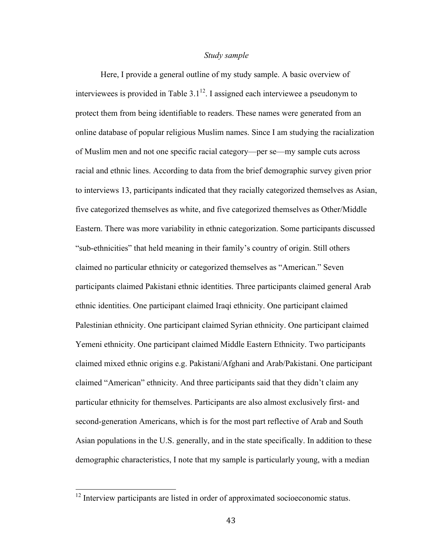#### *Study sample*

Here, I provide a general outline of my study sample. A basic overview of interviewees is provided in Table  $3.1^{12}$ . I assigned each interviewee a pseudonym to protect them from being identifiable to readers. These names were generated from an online database of popular religious Muslim names. Since I am studying the racialization of Muslim men and not one specific racial category—per se—my sample cuts across racial and ethnic lines. According to data from the brief demographic survey given prior to interviews 13, participants indicated that they racially categorized themselves as Asian, five categorized themselves as white, and five categorized themselves as Other/Middle Eastern. There was more variability in ethnic categorization. Some participants discussed "sub-ethnicities" that held meaning in their family's country of origin. Still others claimed no particular ethnicity or categorized themselves as "American." Seven participants claimed Pakistani ethnic identities. Three participants claimed general Arab ethnic identities. One participant claimed Iraqi ethnicity. One participant claimed Palestinian ethnicity. One participant claimed Syrian ethnicity. One participant claimed Yemeni ethnicity. One participant claimed Middle Eastern Ethnicity. Two participants claimed mixed ethnic origins e.g. Pakistani/Afghani and Arab/Pakistani. One participant claimed "American" ethnicity. And three participants said that they didn't claim any particular ethnicity for themselves. Participants are also almost exclusively first- and second-generation Americans, which is for the most part reflective of Arab and South Asian populations in the U.S. generally, and in the state specifically. In addition to these demographic characteristics, I note that my sample is particularly young, with a median

<sup>&</sup>lt;sup>12</sup> Interview participants are listed in order of approximated socioeconomic status.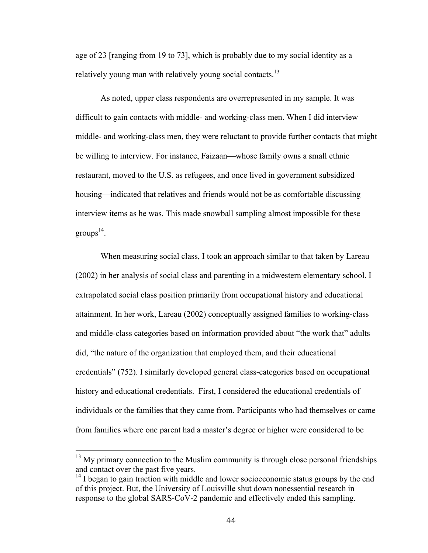age of 23 [ranging from 19 to 73], which is probably due to my social identity as a relatively young man with relatively young social contacts.<sup>13</sup>

As noted, upper class respondents are overrepresented in my sample. It was difficult to gain contacts with middle- and working-class men. When I did interview middle- and working-class men, they were reluctant to provide further contacts that might be willing to interview. For instance, Faizaan—whose family owns a small ethnic restaurant, moved to the U.S. as refugees, and once lived in government subsidized housing—indicated that relatives and friends would not be as comfortable discussing interview items as he was. This made snowball sampling almost impossible for these groups $^{14}$ .

When measuring social class, I took an approach similar to that taken by Lareau (2002) in her analysis of social class and parenting in a midwestern elementary school. I extrapolated social class position primarily from occupational history and educational attainment. In her work, Lareau (2002) conceptually assigned families to working-class and middle-class categories based on information provided about "the work that" adults did, "the nature of the organization that employed them, and their educational credentials" (752). I similarly developed general class-categories based on occupational history and educational credentials. First, I considered the educational credentials of individuals or the families that they came from. Participants who had themselves or came from families where one parent had a master's degree or higher were considered to be

 $13$  My primary connection to the Muslim community is through close personal friendships and contact over the past five years.

 $14$  I began to gain traction with middle and lower socioeconomic status groups by the end of this project. But, the University of Louisville shut down nonessential research in response to the global SARS-CoV-2 pandemic and effectively ended this sampling.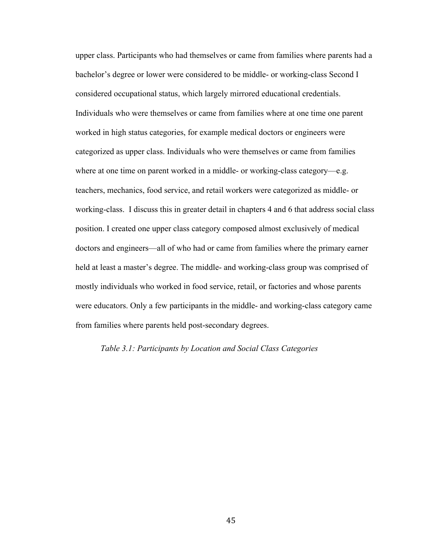upper class. Participants who had themselves or came from families where parents had a bachelor's degree or lower were considered to be middle- or working-class Second I considered occupational status, which largely mirrored educational credentials. Individuals who were themselves or came from families where at one time one parent worked in high status categories, for example medical doctors or engineers were categorized as upper class. Individuals who were themselves or came from families where at one time on parent worked in a middle- or working-class category—e.g. teachers, mechanics, food service, and retail workers were categorized as middle- or working-class. I discuss this in greater detail in chapters 4 and 6 that address social class position. I created one upper class category composed almost exclusively of medical doctors and engineers—all of who had or came from families where the primary earner held at least a master's degree. The middle- and working-class group was comprised of mostly individuals who worked in food service, retail, or factories and whose parents were educators. Only a few participants in the middle- and working-class category came from families where parents held post-secondary degrees.

#### *Table 3.1: Participants by Location and Social Class Categories*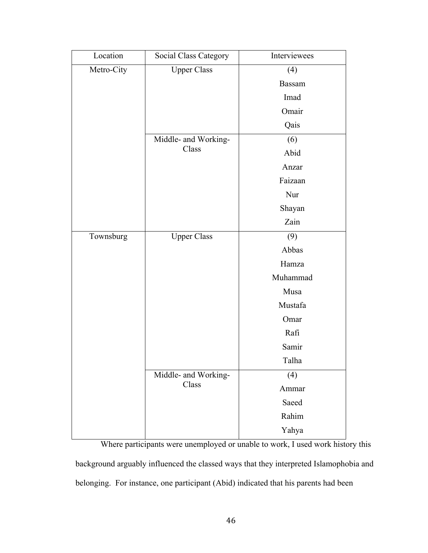| Location   | Social Class Category         | Interviewees  |
|------------|-------------------------------|---------------|
| Metro-City | <b>Upper Class</b>            | (4)           |
|            |                               | <b>Bassam</b> |
|            |                               | Imad          |
|            |                               | Omair         |
|            |                               | Qais          |
|            | Middle- and Working-<br>Class | (6)           |
|            |                               | Abid          |
|            |                               | Anzar         |
|            |                               | Faizaan       |
|            |                               | Nur           |
|            |                               | Shayan        |
|            |                               | Zain          |
| Townsburg  | <b>Upper Class</b>            | (9)           |
|            |                               | Abbas         |
|            |                               | Hamza         |
|            |                               | Muhammad      |
|            |                               | Musa          |
|            |                               | Mustafa       |
|            |                               | Omar          |
|            |                               | Rafi          |
|            |                               | Samir         |
|            |                               | Talha         |
|            | Middle- and Working-<br>Class | (4)           |
|            |                               | Ammar         |
|            |                               | Saeed         |
|            |                               | Rahim         |
|            |                               | Yahya         |

Where participants were unemployed or unable to work, I used work history this background arguably influenced the classed ways that they interpreted Islamophobia and belonging. For instance, one participant (Abid) indicated that his parents had been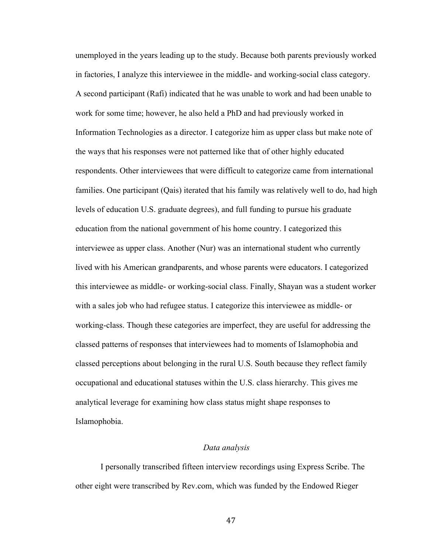unemployed in the years leading up to the study. Because both parents previously worked in factories, I analyze this interviewee in the middle- and working-social class category. A second participant (Rafi) indicated that he was unable to work and had been unable to work for some time; however, he also held a PhD and had previously worked in Information Technologies as a director. I categorize him as upper class but make note of the ways that his responses were not patterned like that of other highly educated respondents. Other interviewees that were difficult to categorize came from international families. One participant (Qais) iterated that his family was relatively well to do, had high levels of education U.S. graduate degrees), and full funding to pursue his graduate education from the national government of his home country. I categorized this interviewee as upper class. Another (Nur) was an international student who currently lived with his American grandparents, and whose parents were educators. I categorized this interviewee as middle- or working-social class. Finally, Shayan was a student worker with a sales job who had refugee status. I categorize this interviewee as middle- or working-class. Though these categories are imperfect, they are useful for addressing the classed patterns of responses that interviewees had to moments of Islamophobia and classed perceptions about belonging in the rural U.S. South because they reflect family occupational and educational statuses within the U.S. class hierarchy. This gives me analytical leverage for examining how class status might shape responses to Islamophobia.

#### *Data analysis*

I personally transcribed fifteen interview recordings using Express Scribe. The other eight were transcribed by Rev.com, which was funded by the Endowed Rieger

47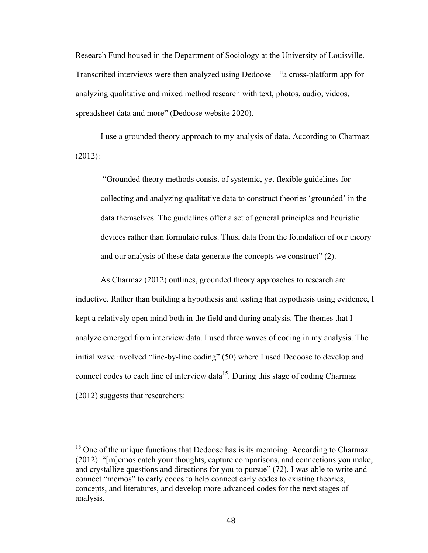Research Fund housed in the Department of Sociology at the University of Louisville. Transcribed interviews were then analyzed using Dedoose—"a cross-platform app for analyzing qualitative and mixed method research with text, photos, audio, videos, spreadsheet data and more" (Dedoose website 2020).

I use a grounded theory approach to my analysis of data. According to Charmaz (2012):

"Grounded theory methods consist of systemic, yet flexible guidelines for collecting and analyzing qualitative data to construct theories 'grounded' in the data themselves. The guidelines offer a set of general principles and heuristic devices rather than formulaic rules. Thus, data from the foundation of our theory and our analysis of these data generate the concepts we construct" (2).

As Charmaz (2012) outlines, grounded theory approaches to research are inductive. Rather than building a hypothesis and testing that hypothesis using evidence, I kept a relatively open mind both in the field and during analysis. The themes that I analyze emerged from interview data. I used three waves of coding in my analysis. The initial wave involved "line-by-line coding" (50) where I used Dedoose to develop and connect codes to each line of interview data $1<sup>5</sup>$ . During this stage of coding Charmaz (2012) suggests that researchers:

<sup>&</sup>lt;sup>15</sup> One of the unique functions that Dedoose has is its memoing. According to Charmaz (2012): "[m]emos catch your thoughts, capture comparisons, and connections you make, and crystallize questions and directions for you to pursue" (72). I was able to write and connect "memos" to early codes to help connect early codes to existing theories, concepts, and literatures, and develop more advanced codes for the next stages of analysis.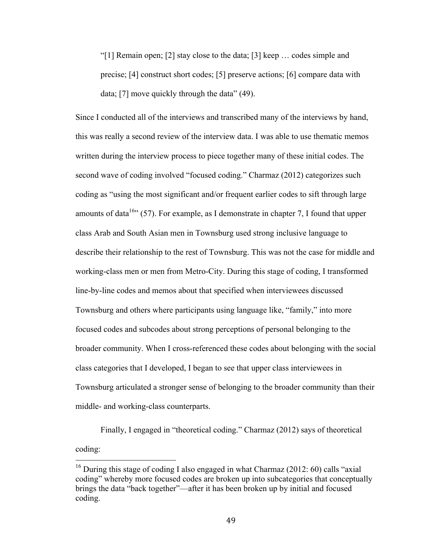"[1] Remain open; [2] stay close to the data; [3] keep … codes simple and precise; [4] construct short codes; [5] preserve actions; [6] compare data with data; [7] move quickly through the data" (49).

Since I conducted all of the interviews and transcribed many of the interviews by hand, this was really a second review of the interview data. I was able to use thematic memos written during the interview process to piece together many of these initial codes. The second wave of coding involved "focused coding." Charmaz (2012) categorizes such coding as "using the most significant and/or frequent earlier codes to sift through large amounts of data<sup>16</sup><sup>16</sup> (57). For example, as I demonstrate in chapter 7, I found that upper class Arab and South Asian men in Townsburg used strong inclusive language to describe their relationship to the rest of Townsburg. This was not the case for middle and working-class men or men from Metro-City. During this stage of coding, I transformed line-by-line codes and memos about that specified when interviewees discussed Townsburg and others where participants using language like, "family," into more focused codes and subcodes about strong perceptions of personal belonging to the broader community. When I cross-referenced these codes about belonging with the social class categories that I developed, I began to see that upper class interviewees in Townsburg articulated a stronger sense of belonging to the broader community than their middle- and working-class counterparts.

Finally, I engaged in "theoretical coding." Charmaz (2012) says of theoretical coding:

<sup>&</sup>lt;sup>16</sup> During this stage of coding I also engaged in what Charmaz (2012: 60) calls "axial coding" whereby more focused codes are broken up into subcategories that conceptually brings the data "back together"—after it has been broken up by initial and focused coding.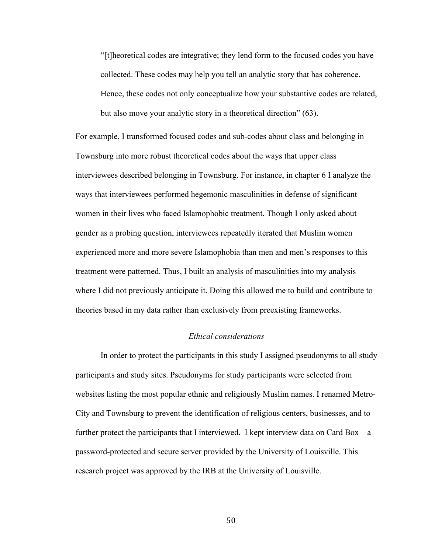"[t]heoretical codes are integrative; they lend form to the focused codes you have collected. These codes may help you tell an analytic story that has coherence. Hence, these codes not only conceptualize how your substantive codes are related, but also move your analytic story in a theoretical direction" (63).

For example, I transformed focused codes and sub-codes about class and belonging in Townsburg into more robust theoretical codes about the ways that upper class interviewees described belonging in Townsburg. For instance, in chapter 6 I analyze the ways that interviewees performed hegemonic masculinities in defense of significant women in their lives who faced Islamophobic treatment. Though I only asked about gender as a probing question, interviewees repeatedly iterated that Muslim women experienced more and more severe Islamophobia than men and men's responses to this treatment were patterned. Thus, I built an analysis of masculinities into my analysis where I did not previously anticipate it. Doing this allowed me to build and contribute to theories based in my data rather than exclusively from preexisting frameworks.

### *Ethical considerations*

In order to protect the participants in this study I assigned pseudonyms to all study participants and study sites. Pseudonyms for study participants were selected from websites listing the most popular ethnic and religiously Muslim names. I renamed Metro-City and Townsburg to prevent the identification of religious centers, businesses, and to further protect the participants that I interviewed. I kept interview data on Card Box—a password-protected and secure server provided by the University of Louisville. This research project was approved by the IRB at the University of Louisville.

50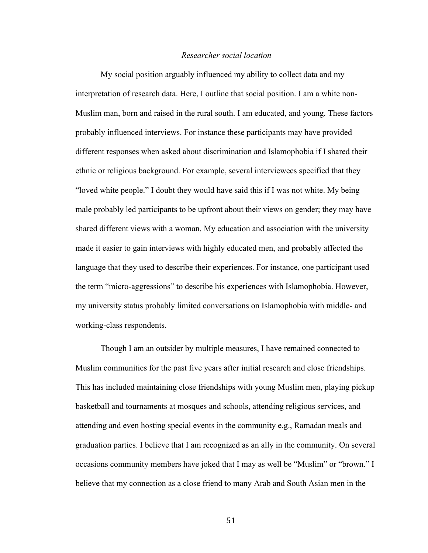#### *Researcher social location*

My social position arguably influenced my ability to collect data and my interpretation of research data. Here, I outline that social position. I am a white non-Muslim man, born and raised in the rural south. I am educated, and young. These factors probably influenced interviews. For instance these participants may have provided different responses when asked about discrimination and Islamophobia if I shared their ethnic or religious background. For example, several interviewees specified that they "loved white people." I doubt they would have said this if I was not white. My being male probably led participants to be upfront about their views on gender; they may have shared different views with a woman. My education and association with the university made it easier to gain interviews with highly educated men, and probably affected the language that they used to describe their experiences. For instance, one participant used the term "micro-aggressions" to describe his experiences with Islamophobia. However, my university status probably limited conversations on Islamophobia with middle- and working-class respondents.

Though I am an outsider by multiple measures, I have remained connected to Muslim communities for the past five years after initial research and close friendships. This has included maintaining close friendships with young Muslim men, playing pickup basketball and tournaments at mosques and schools, attending religious services, and attending and even hosting special events in the community e.g., Ramadan meals and graduation parties. I believe that I am recognized as an ally in the community. On several occasions community members have joked that I may as well be "Muslim" or "brown." I believe that my connection as a close friend to many Arab and South Asian men in the

51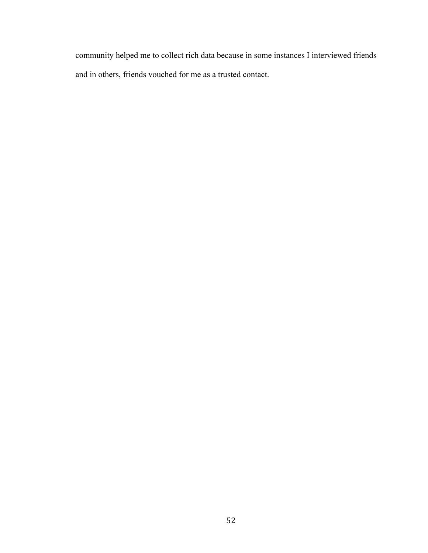community helped me to collect rich data because in some instances I interviewed friends and in others, friends vouched for me as a trusted contact.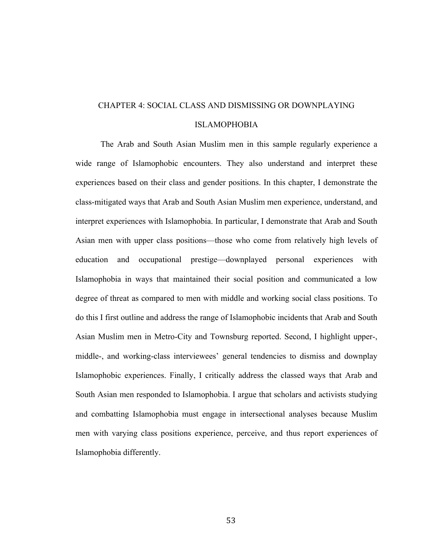# CHAPTER 4: SOCIAL CLASS AND DISMISSING OR DOWNPLAYING ISLAMOPHOBIA

The Arab and South Asian Muslim men in this sample regularly experience a wide range of Islamophobic encounters. They also understand and interpret these experiences based on their class and gender positions. In this chapter, I demonstrate the class-mitigated ways that Arab and South Asian Muslim men experience, understand, and interpret experiences with Islamophobia. In particular, I demonstrate that Arab and South Asian men with upper class positions—those who come from relatively high levels of education and occupational prestige—downplayed personal experiences with Islamophobia in ways that maintained their social position and communicated a low degree of threat as compared to men with middle and working social class positions. To do this I first outline and address the range of Islamophobic incidents that Arab and South Asian Muslim men in Metro-City and Townsburg reported. Second, I highlight upper-, middle-, and working-class interviewees' general tendencies to dismiss and downplay Islamophobic experiences. Finally, I critically address the classed ways that Arab and South Asian men responded to Islamophobia. I argue that scholars and activists studying and combatting Islamophobia must engage in intersectional analyses because Muslim men with varying class positions experience, perceive, and thus report experiences of Islamophobia differently.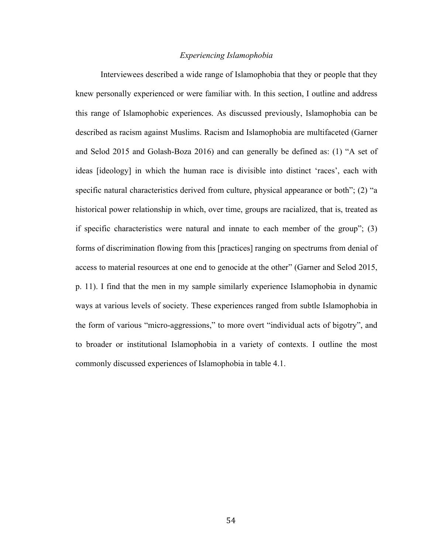### *Experiencing Islamophobia*

Interviewees described a wide range of Islamophobia that they or people that they knew personally experienced or were familiar with. In this section, I outline and address this range of Islamophobic experiences. As discussed previously, Islamophobia can be described as racism against Muslims. Racism and Islamophobia are multifaceted (Garner and Selod 2015 and Golash-Boza 2016) and can generally be defined as: (1) "A set of ideas [ideology] in which the human race is divisible into distinct 'races', each with specific natural characteristics derived from culture, physical appearance or both"; (2) "a historical power relationship in which, over time, groups are racialized, that is, treated as if specific characteristics were natural and innate to each member of the group"; (3) forms of discrimination flowing from this [practices] ranging on spectrums from denial of access to material resources at one end to genocide at the other" (Garner and Selod 2015, p. 11). I find that the men in my sample similarly experience Islamophobia in dynamic ways at various levels of society. These experiences ranged from subtle Islamophobia in the form of various "micro-aggressions," to more overt "individual acts of bigotry", and to broader or institutional Islamophobia in a variety of contexts. I outline the most commonly discussed experiences of Islamophobia in table 4.1.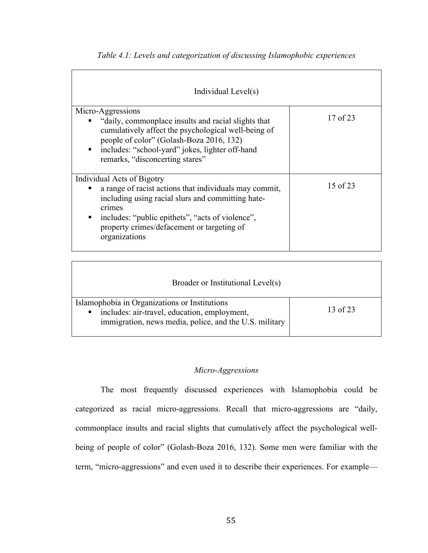| Individual Level(s)                                                                                                                                                                                                                                                    |          |  |
|------------------------------------------------------------------------------------------------------------------------------------------------------------------------------------------------------------------------------------------------------------------------|----------|--|
| Micro-Aggressions<br>"daily, commonplace insults and racial slights that<br>cumulatively affect the psychological well-being of<br>people of color" (Golash-Boza 2016, 132)<br>includes: "school-yard" jokes, lighter off-hand<br>٠<br>remarks, "disconcerting stares" | 17 of 23 |  |
| Individual Acts of Bigotry<br>a range of racist actions that individuals may commit,<br>including using racial slurs and committing hate-<br>crimes<br>includes: "public epithets", "acts of violence",<br>property crimes/defacement or targeting of<br>organizations | 15 of 23 |  |

*Table 4.1: Levels and categorization of discussing Islamophobic experiences*

| Broader or Institutional Level(s)                                                                                                                            |          |  |
|--------------------------------------------------------------------------------------------------------------------------------------------------------------|----------|--|
| Islamophobia in Organizations or Institutions<br>includes: air-travel, education, employment,<br>п<br>immigration, news media, police, and the U.S. military | 13 of 23 |  |

# *Micro-Aggressions*

The most frequently discussed experiences with Islamophobia could be categorized as racial micro-aggressions. Recall that micro-aggressions are "daily, commonplace insults and racial slights that cumulatively affect the psychological wellbeing of people of color" (Golash-Boza 2016, 132). Some men were familiar with the term, "micro-aggressions" and even used it to describe their experiences. For example—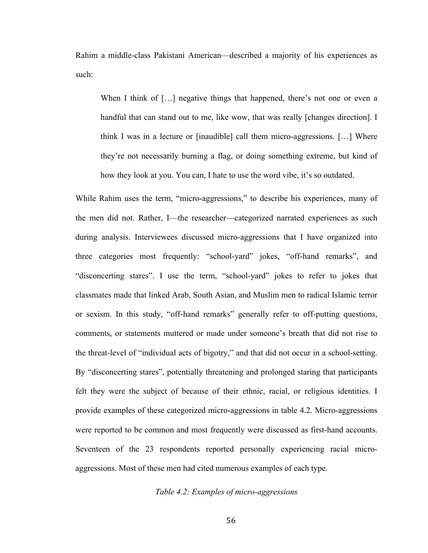Rahim a middle-class Pakistani American—described a majority of his experiences as such:

When I think of [...] negative things that happened, there's not one or even a handful that can stand out to me, like wow, that was really [changes direction]. I think I was in a lecture or [inaudible] call them micro-aggressions. […] Where they're not necessarily burning a flag, or doing something extreme, but kind of how they look at you. You can, I hate to use the word vibe, it's so outdated.

While Rahim uses the term, "micro-aggressions," to describe his experiences, many of the men did not. Rather, I—the researcher—categorized narrated experiences as such during analysis. Interviewees discussed micro-aggressions that I have organized into three categories most frequently: "school-yard" jokes, "off-hand remarks", and "disconcerting stares". I use the term, "school-yard" jokes to refer to jokes that classmates made that linked Arab, South Asian, and Muslim men to radical Islamic terror or sexism. In this study, "off-hand remarks" generally refer to off-putting questions, comments, or statements muttered or made under someone's breath that did not rise to the threat-level of "individual acts of bigotry," and that did not occur in a school-setting. By "disconcerting stares", potentially threatening and prolonged staring that participants felt they were the subject of because of their ethnic, racial, or religious identities. I provide examples of these categorized micro-aggressions in table 4.2. Micro-aggressions were reported to be common and most frequently were discussed as first-hand accounts. Seventeen of the 23 respondents reported personally experiencing racial microaggressions. Most of these men had cited numerous examples of each type.

# *Table 4.2: Examples of micro-aggressions*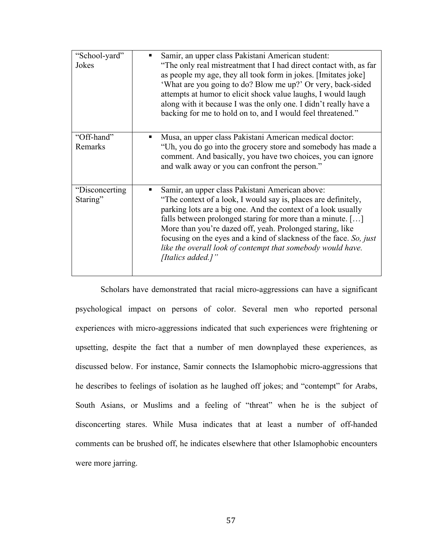| "School-yard"<br>Jokes      | Samir, an upper class Pakistani American student:<br>"The only real mistreatment that I had direct contact with, as far<br>as people my age, they all took form in jokes. [Imitates joke]<br>'What are you going to do? Blow me up?' Or very, back-sided<br>attempts at humor to elicit shock value laughs, I would laugh<br>along with it because I was the only one. I didn't really have a<br>backing for me to hold on to, and I would feel threatened."            |
|-----------------------------|-------------------------------------------------------------------------------------------------------------------------------------------------------------------------------------------------------------------------------------------------------------------------------------------------------------------------------------------------------------------------------------------------------------------------------------------------------------------------|
| "Off-hand"<br>Remarks       | Musa, an upper class Pakistani American medical doctor:<br>"Uh, you do go into the grocery store and somebody has made a<br>comment. And basically, you have two choices, you can ignore<br>and walk away or you can confront the person."                                                                                                                                                                                                                              |
| "Disconcerting"<br>Staring" | Samir, an upper class Pakistani American above:<br>"The context of a look, I would say is, places are definitely,<br>parking lots are a big one. And the context of a look usually<br>falls between prolonged staring for more than a minute. []<br>More than you're dazed off, yeah. Prolonged staring, like<br>focusing on the eyes and a kind of slackness of the face. So, just<br>like the overall look of contempt that somebody would have.<br>[Italics added.]" |

Scholars have demonstrated that racial micro-aggressions can have a significant psychological impact on persons of color. Several men who reported personal experiences with micro-aggressions indicated that such experiences were frightening or upsetting, despite the fact that a number of men downplayed these experiences, as discussed below. For instance, Samir connects the Islamophobic micro-aggressions that he describes to feelings of isolation as he laughed off jokes; and "contempt" for Arabs, South Asians, or Muslims and a feeling of "threat" when he is the subject of disconcerting stares. While Musa indicates that at least a number of off-handed comments can be brushed off, he indicates elsewhere that other Islamophobic encounters were more jarring.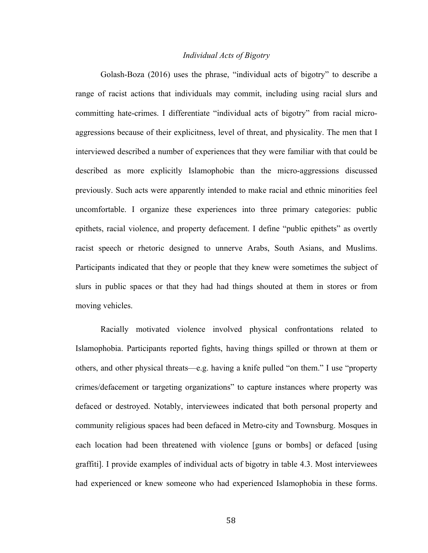#### *Individual Acts of Bigotry*

Golash-Boza (2016) uses the phrase, "individual acts of bigotry" to describe a range of racist actions that individuals may commit, including using racial slurs and committing hate-crimes. I differentiate "individual acts of bigotry" from racial microaggressions because of their explicitness, level of threat, and physicality. The men that I interviewed described a number of experiences that they were familiar with that could be described as more explicitly Islamophobic than the micro-aggressions discussed previously. Such acts were apparently intended to make racial and ethnic minorities feel uncomfortable. I organize these experiences into three primary categories: public epithets, racial violence, and property defacement. I define "public epithets" as overtly racist speech or rhetoric designed to unnerve Arabs, South Asians, and Muslims. Participants indicated that they or people that they knew were sometimes the subject of slurs in public spaces or that they had had things shouted at them in stores or from moving vehicles.

Racially motivated violence involved physical confrontations related to Islamophobia. Participants reported fights, having things spilled or thrown at them or others, and other physical threats—e.g. having a knife pulled "on them." I use "property crimes/defacement or targeting organizations" to capture instances where property was defaced or destroyed. Notably, interviewees indicated that both personal property and community religious spaces had been defaced in Metro-city and Townsburg. Mosques in each location had been threatened with violence [guns or bombs] or defaced [using graffiti]. I provide examples of individual acts of bigotry in table 4.3. Most interviewees had experienced or knew someone who had experienced Islamophobia in these forms.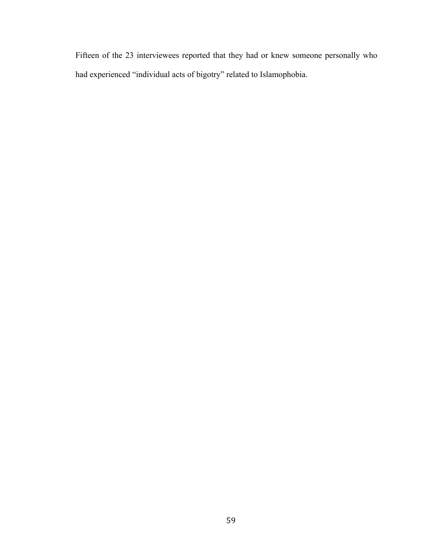Fifteen of the 23 interviewees reported that they had or knew someone personally who had experienced "individual acts of bigotry" related to Islamophobia.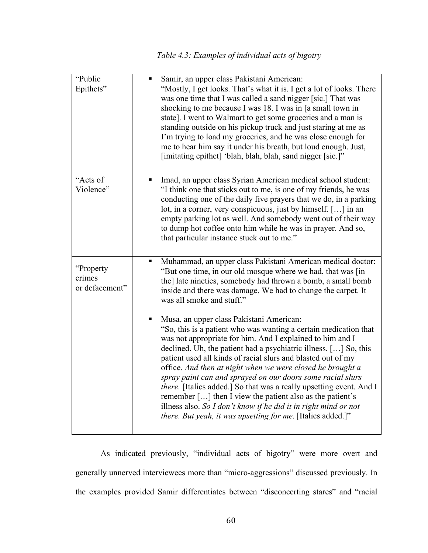| "Public<br>Epithets"                  | Samir, an upper class Pakistani American:<br>"Mostly, I get looks. That's what it is. I get a lot of looks. There<br>was one time that I was called a sand nigger [sic.] That was<br>shocking to me because I was 18. I was in [a small town in<br>state]. I went to Walmart to get some groceries and a man is<br>standing outside on his pickup truck and just staring at me as<br>I'm trying to load my groceries, and he was close enough for<br>me to hear him say it under his breath, but loud enough. Just,<br>[imitating epithet] 'blah, blah, blah, sand nigger [sic.]"                                                                                                                                      |
|---------------------------------------|------------------------------------------------------------------------------------------------------------------------------------------------------------------------------------------------------------------------------------------------------------------------------------------------------------------------------------------------------------------------------------------------------------------------------------------------------------------------------------------------------------------------------------------------------------------------------------------------------------------------------------------------------------------------------------------------------------------------|
| "Acts of<br>Violence"                 | Imad, an upper class Syrian American medical school student:<br>"I think one that sticks out to me, is one of my friends, he was<br>conducting one of the daily five prayers that we do, in a parking<br>lot, in a corner, very conspicuous, just by himself. [] in an<br>empty parking lot as well. And somebody went out of their way<br>to dump hot coffee onto him while he was in prayer. And so,<br>that particular instance stuck out to me."                                                                                                                                                                                                                                                                   |
| "Property<br>crimes<br>or defacement" | Muhammad, an upper class Pakistani American medical doctor:<br>"But one time, in our old mosque where we had, that was [in<br>the] late nineties, somebody had thrown a bomb, a small bomb<br>inside and there was damage. We had to change the carpet. It<br>was all smoke and stuff."                                                                                                                                                                                                                                                                                                                                                                                                                                |
|                                       | Musa, an upper class Pakistani American:<br>"So, this is a patient who was wanting a certain medication that<br>was not appropriate for him. And I explained to him and I<br>declined. Uh, the patient had a psychiatric illness. [] So, this<br>patient used all kinds of racial slurs and blasted out of my<br>office. And then at night when we were closed he brought a<br>spray paint can and sprayed on our doors some racial slurs<br>there. [Italics added.] So that was a really upsetting event. And I<br>remember [] then I view the patient also as the patient's<br>illness also. So I don't know if he did it in right mind or not<br><i>there. But yeah, it was upsetting for me.</i> [Italics added.]" |

As indicated previously, "individual acts of bigotry" were more overt and generally unnerved interviewees more than "micro-aggressions" discussed previously. In the examples provided Samir differentiates between "disconcerting stares" and "racial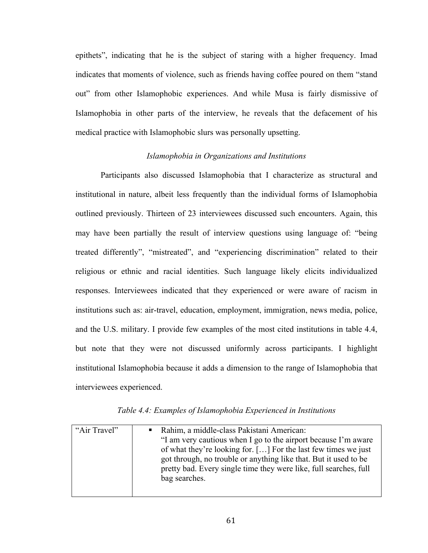epithets", indicating that he is the subject of staring with a higher frequency. Imad indicates that moments of violence, such as friends having coffee poured on them "stand out" from other Islamophobic experiences. And while Musa is fairly dismissive of Islamophobia in other parts of the interview, he reveals that the defacement of his medical practice with Islamophobic slurs was personally upsetting.

### *Islamophobia in Organizations and Institutions*

Participants also discussed Islamophobia that I characterize as structural and institutional in nature, albeit less frequently than the individual forms of Islamophobia outlined previously. Thirteen of 23 interviewees discussed such encounters. Again, this may have been partially the result of interview questions using language of: "being treated differently", "mistreated", and "experiencing discrimination" related to their religious or ethnic and racial identities. Such language likely elicits individualized responses. Interviewees indicated that they experienced or were aware of racism in institutions such as: air-travel, education, employment, immigration, news media, police, and the U.S. military. I provide few examples of the most cited institutions in table 4.4, but note that they were not discussed uniformly across participants. I highlight institutional Islamophobia because it adds a dimension to the range of Islamophobia that interviewees experienced.

| "Air Travel" | Rahim, a middle-class Pakistani American:<br>"I am very cautious when I go to the airport because I'm aware<br>of what they're looking for. [] For the last few times we just<br>got through, no trouble or anything like that. But it used to be<br>pretty bad. Every single time they were like, full searches, full<br>bag searches. |
|--------------|-----------------------------------------------------------------------------------------------------------------------------------------------------------------------------------------------------------------------------------------------------------------------------------------------------------------------------------------|
|              |                                                                                                                                                                                                                                                                                                                                         |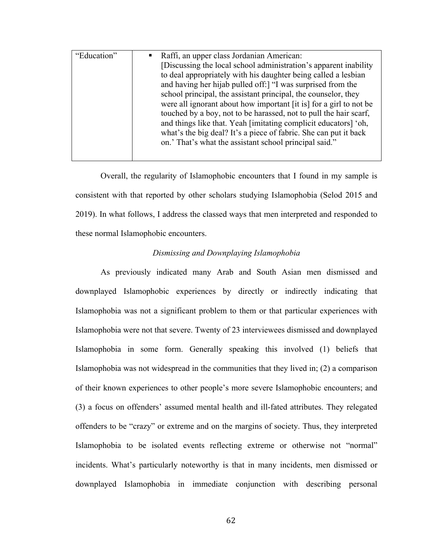| "Education" | • Raffi, an upper class Jordanian American:<br>[Discussing the local school administration's apparent inability |  |
|-------------|-----------------------------------------------------------------------------------------------------------------|--|
|             |                                                                                                                 |  |
|             | to deal appropriately with his daughter being called a lesbian                                                  |  |
|             | and having her hijab pulled off:   "I was surprised from the                                                    |  |
|             | school principal, the assistant principal, the counselor, they                                                  |  |
|             | were all ignorant about how important [it is] for a girl to not be                                              |  |
|             | touched by a boy, not to be harassed, not to pull the hair scarf,                                               |  |
|             | and things like that. Yeah [imitating complicit educators] 'oh,                                                 |  |
|             | what's the big deal? It's a piece of fabric. She can put it back                                                |  |
|             | on.' That's what the assistant school principal said."                                                          |  |
|             |                                                                                                                 |  |

Overall, the regularity of Islamophobic encounters that I found in my sample is consistent with that reported by other scholars studying Islamophobia (Selod 2015 and 2019). In what follows, I address the classed ways that men interpreted and responded to these normal Islamophobic encounters.

## *Dismissing and Downplaying Islamophobia*

As previously indicated many Arab and South Asian men dismissed and downplayed Islamophobic experiences by directly or indirectly indicating that Islamophobia was not a significant problem to them or that particular experiences with Islamophobia were not that severe. Twenty of 23 interviewees dismissed and downplayed Islamophobia in some form. Generally speaking this involved (1) beliefs that Islamophobia was not widespread in the communities that they lived in; (2) a comparison of their known experiences to other people's more severe Islamophobic encounters; and (3) a focus on offenders' assumed mental health and ill-fated attributes. They relegated offenders to be "crazy" or extreme and on the margins of society. Thus, they interpreted Islamophobia to be isolated events reflecting extreme or otherwise not "normal" incidents. What's particularly noteworthy is that in many incidents, men dismissed or downplayed Islamophobia in immediate conjunction with describing personal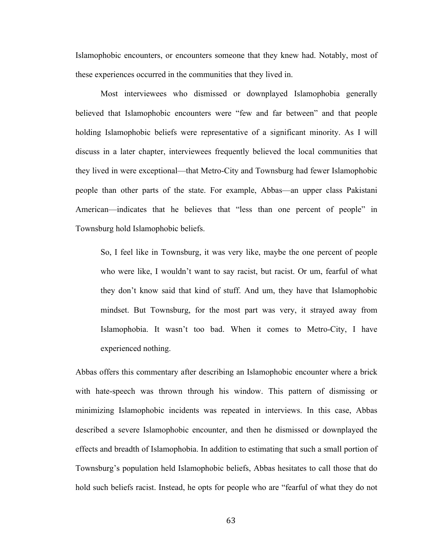Islamophobic encounters, or encounters someone that they knew had. Notably, most of these experiences occurred in the communities that they lived in.

Most interviewees who dismissed or downplayed Islamophobia generally believed that Islamophobic encounters were "few and far between" and that people holding Islamophobic beliefs were representative of a significant minority. As I will discuss in a later chapter, interviewees frequently believed the local communities that they lived in were exceptional—that Metro-City and Townsburg had fewer Islamophobic people than other parts of the state. For example, Abbas—an upper class Pakistani American—indicates that he believes that "less than one percent of people" in Townsburg hold Islamophobic beliefs.

So, I feel like in Townsburg, it was very like, maybe the one percent of people who were like, I wouldn't want to say racist, but racist. Or um, fearful of what they don't know said that kind of stuff. And um, they have that Islamophobic mindset. But Townsburg, for the most part was very, it strayed away from Islamophobia. It wasn't too bad. When it comes to Metro-City, I have experienced nothing.

Abbas offers this commentary after describing an Islamophobic encounter where a brick with hate-speech was thrown through his window. This pattern of dismissing or minimizing Islamophobic incidents was repeated in interviews. In this case, Abbas described a severe Islamophobic encounter, and then he dismissed or downplayed the effects and breadth of Islamophobia. In addition to estimating that such a small portion of Townsburg's population held Islamophobic beliefs, Abbas hesitates to call those that do hold such beliefs racist. Instead, he opts for people who are "fearful of what they do not

63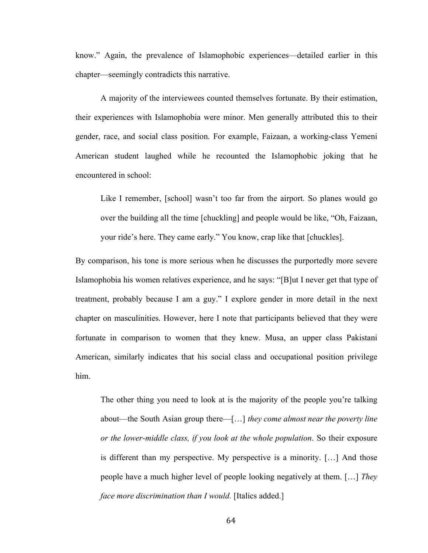know." Again, the prevalence of Islamophobic experiences—detailed earlier in this chapter—seemingly contradicts this narrative.

A majority of the interviewees counted themselves fortunate. By their estimation, their experiences with Islamophobia were minor. Men generally attributed this to their gender, race, and social class position. For example, Faizaan, a working-class Yemeni American student laughed while he recounted the Islamophobic joking that he encountered in school:

Like I remember, [school] wasn't too far from the airport. So planes would go over the building all the time [chuckling] and people would be like, "Oh, Faizaan, your ride's here. They came early." You know, crap like that [chuckles].

By comparison, his tone is more serious when he discusses the purportedly more severe Islamophobia his women relatives experience, and he says: "[B]ut I never get that type of treatment, probably because I am a guy." I explore gender in more detail in the next chapter on masculinities. However, here I note that participants believed that they were fortunate in comparison to women that they knew. Musa, an upper class Pakistani American, similarly indicates that his social class and occupational position privilege him.

The other thing you need to look at is the majority of the people you're talking about—the South Asian group there—[…] *they come almost near the poverty line or the lower-middle class, if you look at the whole population*. So their exposure is different than my perspective. My perspective is a minority. […] And those people have a much higher level of people looking negatively at them. […] *They face more discrimination than I would.* [Italics added.]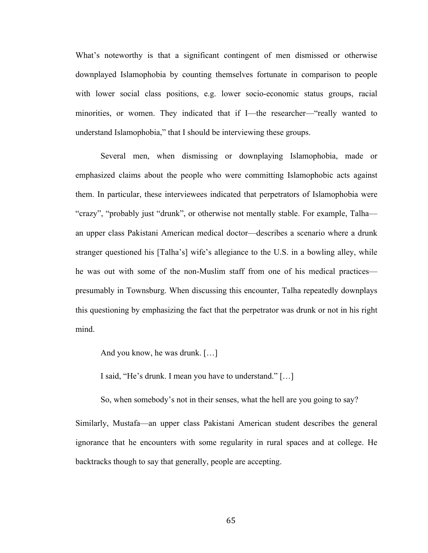What's noteworthy is that a significant contingent of men dismissed or otherwise downplayed Islamophobia by counting themselves fortunate in comparison to people with lower social class positions, e.g. lower socio-economic status groups, racial minorities, or women. They indicated that if I—the researcher—"really wanted to understand Islamophobia," that I should be interviewing these groups.

Several men, when dismissing or downplaying Islamophobia, made or emphasized claims about the people who were committing Islamophobic acts against them. In particular, these interviewees indicated that perpetrators of Islamophobia were "crazy", "probably just "drunk", or otherwise not mentally stable. For example, Talha an upper class Pakistani American medical doctor—describes a scenario where a drunk stranger questioned his [Talha's] wife's allegiance to the U.S. in a bowling alley, while he was out with some of the non-Muslim staff from one of his medical practices presumably in Townsburg. When discussing this encounter, Talha repeatedly downplays this questioning by emphasizing the fact that the perpetrator was drunk or not in his right mind.

And you know, he was drunk. […]

I said, "He's drunk. I mean you have to understand." […]

So, when somebody's not in their senses, what the hell are you going to say?

Similarly, Mustafa—an upper class Pakistani American student describes the general ignorance that he encounters with some regularity in rural spaces and at college. He backtracks though to say that generally, people are accepting.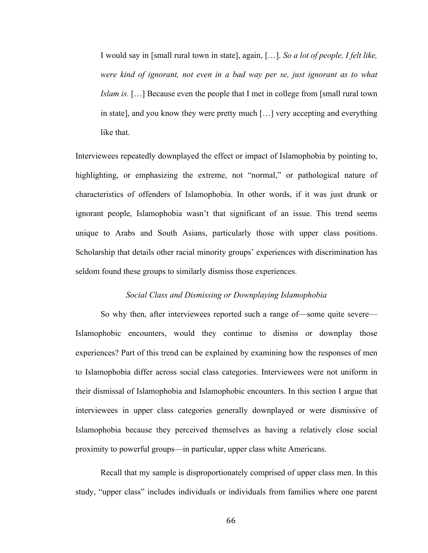I would say in [small rural town in state], again, […]. *So a lot of people, I felt like, were kind of ignorant, not even in a bad way per se, just ignorant as to what Islam is.* […] Because even the people that I met in college from [small rural town in state], and you know they were pretty much […] very accepting and everything like that.

Interviewees repeatedly downplayed the effect or impact of Islamophobia by pointing to, highlighting, or emphasizing the extreme, not "normal," or pathological nature of characteristics of offenders of Islamophobia. In other words, if it was just drunk or ignorant people, Islamophobia wasn't that significant of an issue. This trend seems unique to Arabs and South Asians, particularly those with upper class positions. Scholarship that details other racial minority groups' experiences with discrimination has seldom found these groups to similarly dismiss those experiences.

#### *Social Class and Dismissing or Downplaying Islamophobia*

So why then, after interviewees reported such a range of—some quite severe— Islamophobic encounters, would they continue to dismiss or downplay those experiences? Part of this trend can be explained by examining how the responses of men to Islamophobia differ across social class categories. Interviewees were not uniform in their dismissal of Islamophobia and Islamophobic encounters. In this section I argue that interviewees in upper class categories generally downplayed or were dismissive of Islamophobia because they perceived themselves as having a relatively close social proximity to powerful groups—in particular, upper class white Americans.

Recall that my sample is disproportionately comprised of upper class men. In this study, "upper class" includes individuals or individuals from families where one parent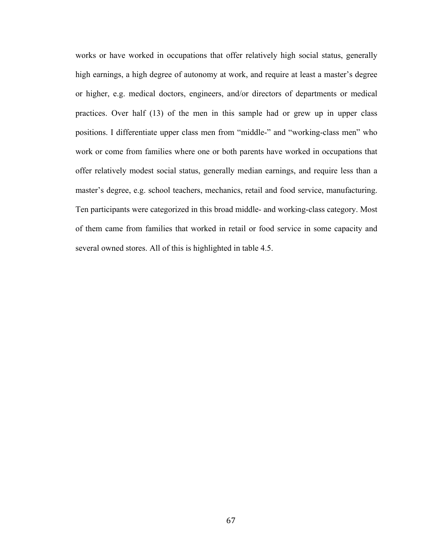works or have worked in occupations that offer relatively high social status, generally high earnings, a high degree of autonomy at work, and require at least a master's degree or higher, e.g. medical doctors, engineers, and/or directors of departments or medical practices. Over half (13) of the men in this sample had or grew up in upper class positions. I differentiate upper class men from "middle-" and "working-class men" who work or come from families where one or both parents have worked in occupations that offer relatively modest social status, generally median earnings, and require less than a master's degree, e.g. school teachers, mechanics, retail and food service, manufacturing. Ten participants were categorized in this broad middle- and working-class category. Most of them came from families that worked in retail or food service in some capacity and several owned stores. All of this is highlighted in table 4.5.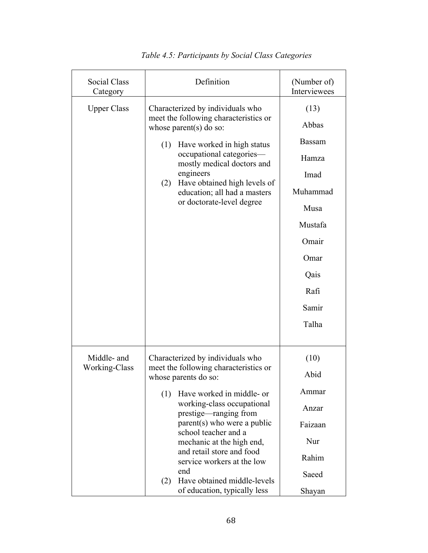| Social Class<br>Category     | Definition                                                                                                                                                                                                                                                                                                                                                                                                               | (Number of)<br>Interviewees                                                                                                |
|------------------------------|--------------------------------------------------------------------------------------------------------------------------------------------------------------------------------------------------------------------------------------------------------------------------------------------------------------------------------------------------------------------------------------------------------------------------|----------------------------------------------------------------------------------------------------------------------------|
| <b>Upper Class</b>           | Characterized by individuals who<br>meet the following characteristics or<br>whose parent $(s)$ do so:<br>Have worked in high status<br>(1)<br>occupational categories-<br>mostly medical doctors and<br>engineers<br>Have obtained high levels of<br>(2)<br>education; all had a masters<br>or doctorate-level degree                                                                                                   | (13)<br>Abbas<br>Bassam<br>Hamza<br>Imad<br>Muhammad<br>Musa<br>Mustafa<br>Omair<br>Omar<br>Qais<br>Rafi<br>Samir<br>Talha |
| Middle- and<br>Working-Class | Characterized by individuals who<br>meet the following characteristics or<br>whose parents do so:<br>(1)<br>Have worked in middle- or<br>working-class occupational<br>prestige—ranging from<br>parent(s) who were a public<br>school teacher and a<br>mechanic at the high end,<br>and retail store and food<br>service workers at the low<br>end<br>Have obtained middle-levels<br>(2)<br>of education, typically less | (10)<br>Abid<br>Ammar<br>Anzar<br>Faizaan<br>Nur<br>Rahim<br>Saeed<br>Shayan                                               |

*Table 4.5: Participants by Social Class Categories*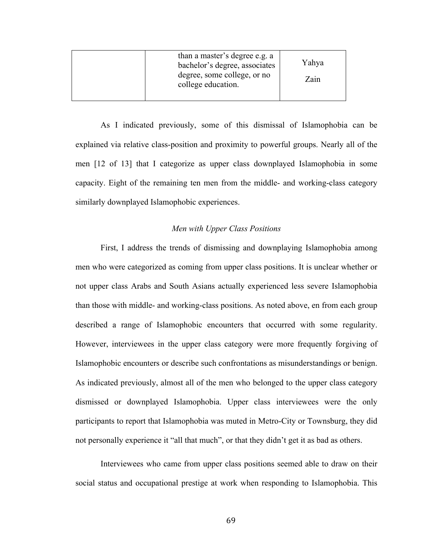As I indicated previously, some of this dismissal of Islamophobia can be explained via relative class-position and proximity to powerful groups. Nearly all of the men [12 of 13] that I categorize as upper class downplayed Islamophobia in some capacity. Eight of the remaining ten men from the middle- and working-class category similarly downplayed Islamophobic experiences.

# *Men with Upper Class Positions*

First, I address the trends of dismissing and downplaying Islamophobia among men who were categorized as coming from upper class positions. It is unclear whether or not upper class Arabs and South Asians actually experienced less severe Islamophobia than those with middle- and working-class positions. As noted above, en from each group described a range of Islamophobic encounters that occurred with some regularity. However, interviewees in the upper class category were more frequently forgiving of Islamophobic encounters or describe such confrontations as misunderstandings or benign. As indicated previously, almost all of the men who belonged to the upper class category dismissed or downplayed Islamophobia. Upper class interviewees were the only participants to report that Islamophobia was muted in Metro-City or Townsburg, they did not personally experience it "all that much", or that they didn't get it as bad as others.

Interviewees who came from upper class positions seemed able to draw on their social status and occupational prestige at work when responding to Islamophobia. This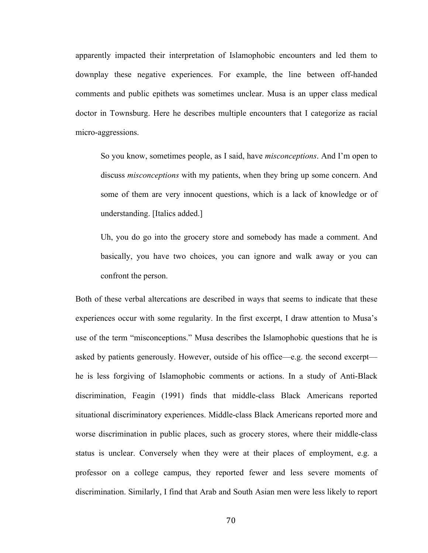apparently impacted their interpretation of Islamophobic encounters and led them to downplay these negative experiences. For example, the line between off-handed comments and public epithets was sometimes unclear. Musa is an upper class medical doctor in Townsburg. Here he describes multiple encounters that I categorize as racial micro-aggressions.

So you know, sometimes people, as I said, have *misconceptions*. And I'm open to discuss *misconceptions* with my patients, when they bring up some concern. And some of them are very innocent questions, which is a lack of knowledge or of understanding. [Italics added.]

Uh, you do go into the grocery store and somebody has made a comment. And basically, you have two choices, you can ignore and walk away or you can confront the person.

Both of these verbal altercations are described in ways that seems to indicate that these experiences occur with some regularity. In the first excerpt, I draw attention to Musa's use of the term "misconceptions." Musa describes the Islamophobic questions that he is asked by patients generously. However, outside of his office—e.g. the second excerpt he is less forgiving of Islamophobic comments or actions. In a study of Anti-Black discrimination, Feagin (1991) finds that middle-class Black Americans reported situational discriminatory experiences. Middle-class Black Americans reported more and worse discrimination in public places, such as grocery stores, where their middle-class status is unclear. Conversely when they were at their places of employment, e.g. a professor on a college campus, they reported fewer and less severe moments of discrimination. Similarly, I find that Arab and South Asian men were less likely to report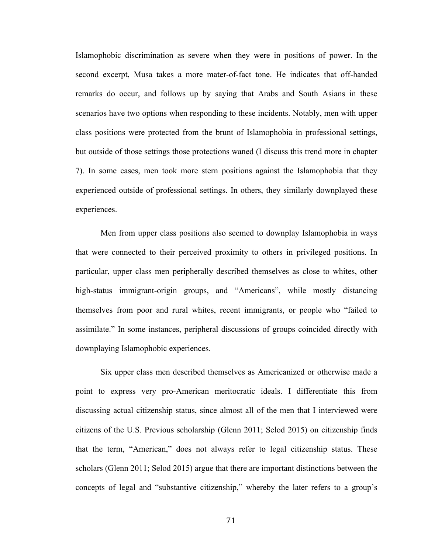Islamophobic discrimination as severe when they were in positions of power. In the second excerpt, Musa takes a more mater-of-fact tone. He indicates that off-handed remarks do occur, and follows up by saying that Arabs and South Asians in these scenarios have two options when responding to these incidents. Notably, men with upper class positions were protected from the brunt of Islamophobia in professional settings, but outside of those settings those protections waned (I discuss this trend more in chapter 7). In some cases, men took more stern positions against the Islamophobia that they experienced outside of professional settings. In others, they similarly downplayed these experiences.

Men from upper class positions also seemed to downplay Islamophobia in ways that were connected to their perceived proximity to others in privileged positions. In particular, upper class men peripherally described themselves as close to whites, other high-status immigrant-origin groups, and "Americans", while mostly distancing themselves from poor and rural whites, recent immigrants, or people who "failed to assimilate." In some instances, peripheral discussions of groups coincided directly with downplaying Islamophobic experiences.

Six upper class men described themselves as Americanized or otherwise made a point to express very pro-American meritocratic ideals. I differentiate this from discussing actual citizenship status, since almost all of the men that I interviewed were citizens of the U.S. Previous scholarship (Glenn 2011; Selod 2015) on citizenship finds that the term, "American," does not always refer to legal citizenship status. These scholars (Glenn 2011; Selod 2015) argue that there are important distinctions between the concepts of legal and "substantive citizenship," whereby the later refers to a group's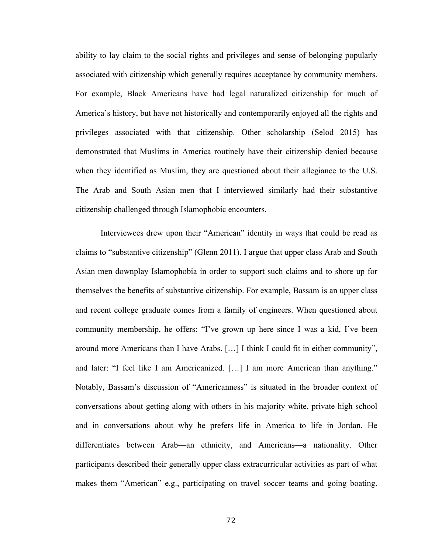ability to lay claim to the social rights and privileges and sense of belonging popularly associated with citizenship which generally requires acceptance by community members. For example, Black Americans have had legal naturalized citizenship for much of America's history, but have not historically and contemporarily enjoyed all the rights and privileges associated with that citizenship. Other scholarship (Selod 2015) has demonstrated that Muslims in America routinely have their citizenship denied because when they identified as Muslim, they are questioned about their allegiance to the U.S. The Arab and South Asian men that I interviewed similarly had their substantive citizenship challenged through Islamophobic encounters.

Interviewees drew upon their "American" identity in ways that could be read as claims to "substantive citizenship" (Glenn 2011). I argue that upper class Arab and South Asian men downplay Islamophobia in order to support such claims and to shore up for themselves the benefits of substantive citizenship. For example, Bassam is an upper class and recent college graduate comes from a family of engineers. When questioned about community membership, he offers: "I've grown up here since I was a kid, I've been around more Americans than I have Arabs. […] I think I could fit in either community", and later: "I feel like I am Americanized. […] I am more American than anything." Notably, Bassam's discussion of "Americanness" is situated in the broader context of conversations about getting along with others in his majority white, private high school and in conversations about why he prefers life in America to life in Jordan. He differentiates between Arab—an ethnicity, and Americans—a nationality. Other participants described their generally upper class extracurricular activities as part of what makes them "American" e.g., participating on travel soccer teams and going boating.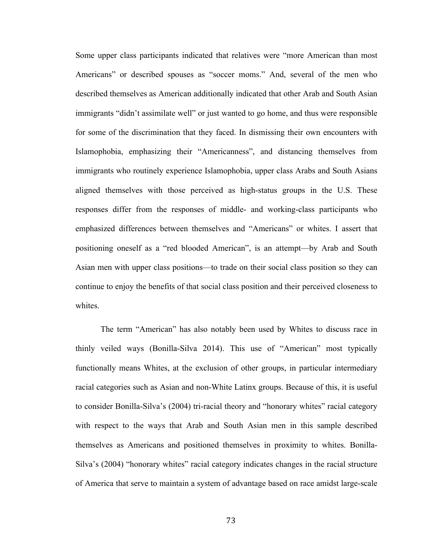Some upper class participants indicated that relatives were "more American than most Americans" or described spouses as "soccer moms." And, several of the men who described themselves as American additionally indicated that other Arab and South Asian immigrants "didn't assimilate well" or just wanted to go home, and thus were responsible for some of the discrimination that they faced. In dismissing their own encounters with Islamophobia, emphasizing their "Americanness", and distancing themselves from immigrants who routinely experience Islamophobia, upper class Arabs and South Asians aligned themselves with those perceived as high-status groups in the U.S. These responses differ from the responses of middle- and working-class participants who emphasized differences between themselves and "Americans" or whites. I assert that positioning oneself as a "red blooded American", is an attempt—by Arab and South Asian men with upper class positions—to trade on their social class position so they can continue to enjoy the benefits of that social class position and their perceived closeness to whites.

The term "American" has also notably been used by Whites to discuss race in thinly veiled ways (Bonilla-Silva 2014). This use of "American" most typically functionally means Whites, at the exclusion of other groups, in particular intermediary racial categories such as Asian and non-White Latinx groups. Because of this, it is useful to consider Bonilla-Silva's (2004) tri-racial theory and "honorary whites" racial category with respect to the ways that Arab and South Asian men in this sample described themselves as Americans and positioned themselves in proximity to whites. Bonilla-Silva's (2004) "honorary whites" racial category indicates changes in the racial structure of America that serve to maintain a system of advantage based on race amidst large-scale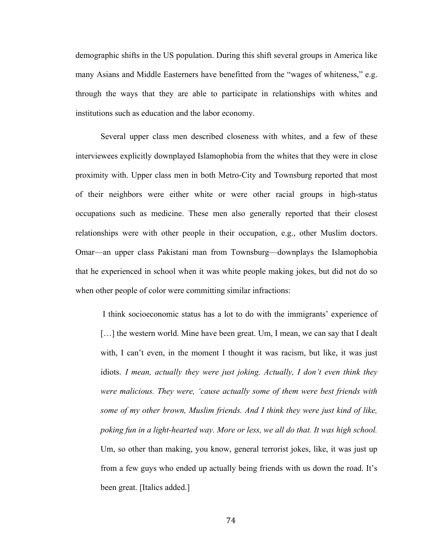demographic shifts in the US population. During this shift several groups in America like many Asians and Middle Easterners have benefitted from the "wages of whiteness," e.g. through the ways that they are able to participate in relationships with whites and institutions such as education and the labor economy.

Several upper class men described closeness with whites, and a few of these interviewees explicitly downplayed Islamophobia from the whites that they were in close proximity with. Upper class men in both Metro-City and Townsburg reported that most of their neighbors were either white or were other racial groups in high-status occupations such as medicine. These men also generally reported that their closest relationships were with other people in their occupation, e.g., other Muslim doctors. Omar—an upper class Pakistani man from Townsburg—downplays the Islamophobia that he experienced in school when it was white people making jokes, but did not do so when other people of color were committing similar infractions:

I think socioeconomic status has a lot to do with the immigrants' experience of [...] the western world. Mine have been great. Um, I mean, we can say that I dealt with, I can't even, in the moment I thought it was racism, but like, it was just idiots. *I mean, actually they were just joking. Actually, I don't even think they were malicious. They were, 'cause actually some of them were best friends with some of my other brown, Muslim friends. And I think they were just kind of like, poking fun in a light-hearted way. More or less, we all do that. It was high school.* Um, so other than making, you know, general terrorist jokes, like, it was just up from a few guys who ended up actually being friends with us down the road. It's been great. [Italics added.]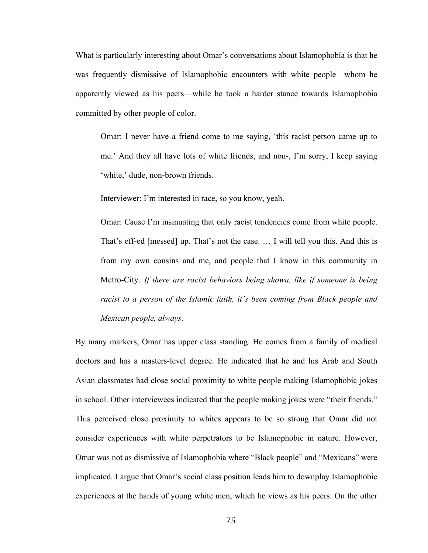What is particularly interesting about Omar's conversations about Islamophobia is that he was frequently dismissive of Islamophobic encounters with white people—whom he apparently viewed as his peers—while he took a harder stance towards Islamophobia committed by other people of color.

Omar: I never have a friend come to me saying, 'this racist person came up to me.' And they all have lots of white friends, and non-, I'm sorry, I keep saying 'white,' dude, non-brown friends.

Interviewer: I'm interested in race, so you know, yeah.

Omar: Cause I'm insinuating that only racist tendencies come from white people. That's eff-ed [messed] up. That's not the case. … I will tell you this. And this is from my own cousins and me, and people that I know in this community in Metro-City. *If there are racist behaviors being shown, like if someone is being racist to a person of the Islamic faith, it's been coming from Black people and Mexican people, always*.

By many markers, Omar has upper class standing. He comes from a family of medical doctors and has a masters-level degree. He indicated that he and his Arab and South Asian classmates had close social proximity to white people making Islamophobic jokes in school. Other interviewees indicated that the people making jokes were "their friends." This perceived close proximity to whites appears to be so strong that Omar did not consider experiences with white perpetrators to be Islamophobic in nature. However, Omar was not as dismissive of Islamophobia where "Black people" and "Mexicans" were implicated. I argue that Omar's social class position leads him to downplay Islamophobic experiences at the hands of young white men, which he views as his peers. On the other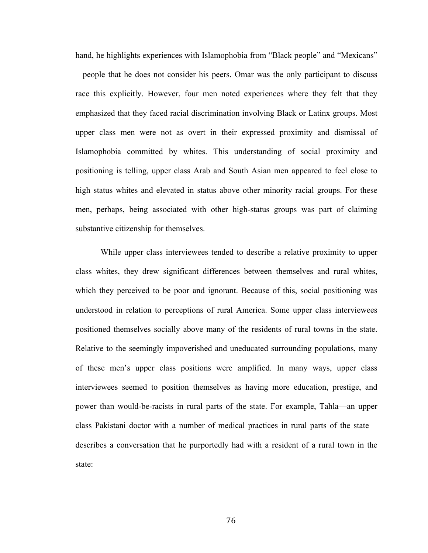hand, he highlights experiences with Islamophobia from "Black people" and "Mexicans" – people that he does not consider his peers. Omar was the only participant to discuss race this explicitly. However, four men noted experiences where they felt that they emphasized that they faced racial discrimination involving Black or Latinx groups. Most upper class men were not as overt in their expressed proximity and dismissal of Islamophobia committed by whites. This understanding of social proximity and positioning is telling, upper class Arab and South Asian men appeared to feel close to high status whites and elevated in status above other minority racial groups. For these men, perhaps, being associated with other high-status groups was part of claiming substantive citizenship for themselves.

While upper class interviewees tended to describe a relative proximity to upper class whites, they drew significant differences between themselves and rural whites, which they perceived to be poor and ignorant. Because of this, social positioning was understood in relation to perceptions of rural America. Some upper class interviewees positioned themselves socially above many of the residents of rural towns in the state. Relative to the seemingly impoverished and uneducated surrounding populations, many of these men's upper class positions were amplified. In many ways, upper class interviewees seemed to position themselves as having more education, prestige, and power than would-be-racists in rural parts of the state. For example, Tahla—an upper class Pakistani doctor with a number of medical practices in rural parts of the state describes a conversation that he purportedly had with a resident of a rural town in the state: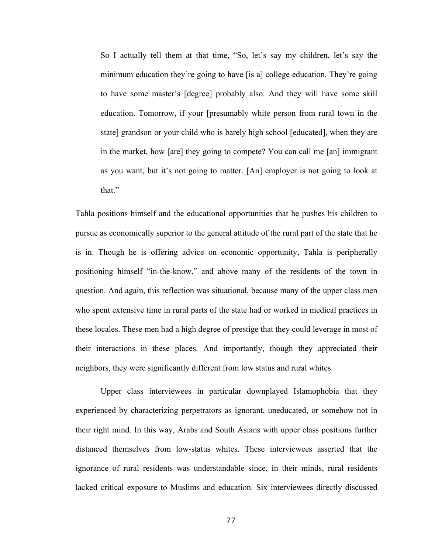So I actually tell them at that time, "So, let's say my children, let's say the minimum education they're going to have [is a] college education. They're going to have some master's [degree] probably also. And they will have some skill education. Tomorrow, if your [presumably white person from rural town in the state] grandson or your child who is barely high school [educated], when they are in the market, how [are] they going to compete? You can call me [an] immigrant as you want, but it's not going to matter. [An] employer is not going to look at that"

Tahla positions himself and the educational opportunities that he pushes his children to pursue as economically superior to the general attitude of the rural part of the state that he is in. Though he is offering advice on economic opportunity, Tahla is peripherally positioning himself "in-the-know," and above many of the residents of the town in question. And again, this reflection was situational, because many of the upper class men who spent extensive time in rural parts of the state had or worked in medical practices in these locales. These men had a high degree of prestige that they could leverage in most of their interactions in these places. And importantly, though they appreciated their neighbors, they were significantly different from low status and rural whites.

Upper class interviewees in particular downplayed Islamophobia that they experienced by characterizing perpetrators as ignorant, uneducated, or somehow not in their right mind. In this way, Arabs and South Asians with upper class positions further distanced themselves from low-status whites. These interviewees asserted that the ignorance of rural residents was understandable since, in their minds, rural residents lacked critical exposure to Muslims and education. Six interviewees directly discussed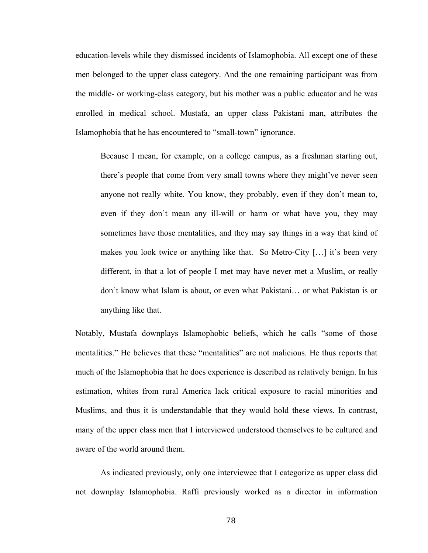education-levels while they dismissed incidents of Islamophobia. All except one of these men belonged to the upper class category. And the one remaining participant was from the middle- or working-class category, but his mother was a public educator and he was enrolled in medical school. Mustafa, an upper class Pakistani man, attributes the Islamophobia that he has encountered to "small-town" ignorance.

Because I mean, for example, on a college campus, as a freshman starting out, there's people that come from very small towns where they might've never seen anyone not really white. You know, they probably, even if they don't mean to, even if they don't mean any ill-will or harm or what have you, they may sometimes have those mentalities, and they may say things in a way that kind of makes you look twice or anything like that. So Metro-City [...] it's been very different, in that a lot of people I met may have never met a Muslim, or really don't know what Islam is about, or even what Pakistani… or what Pakistan is or anything like that.

Notably, Mustafa downplays Islamophobic beliefs, which he calls "some of those mentalities." He believes that these "mentalities" are not malicious. He thus reports that much of the Islamophobia that he does experience is described as relatively benign. In his estimation, whites from rural America lack critical exposure to racial minorities and Muslims, and thus it is understandable that they would hold these views. In contrast, many of the upper class men that I interviewed understood themselves to be cultured and aware of the world around them.

As indicated previously, only one interviewee that I categorize as upper class did not downplay Islamophobia. Raffi previously worked as a director in information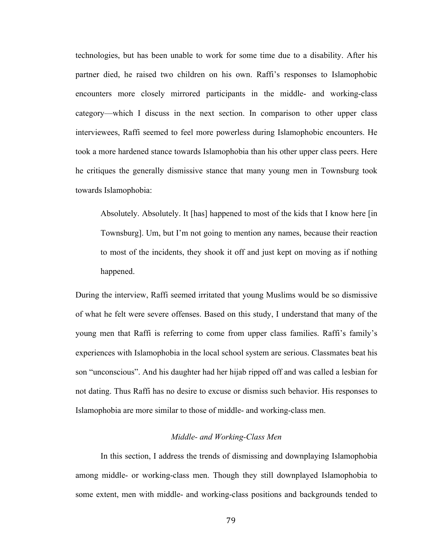technologies, but has been unable to work for some time due to a disability. After his partner died, he raised two children on his own. Raffi's responses to Islamophobic encounters more closely mirrored participants in the middle- and working-class category—which I discuss in the next section. In comparison to other upper class interviewees, Raffi seemed to feel more powerless during Islamophobic encounters. He took a more hardened stance towards Islamophobia than his other upper class peers. Here he critiques the generally dismissive stance that many young men in Townsburg took towards Islamophobia:

Absolutely. Absolutely. It [has] happened to most of the kids that I know here [in Townsburg]. Um, but I'm not going to mention any names, because their reaction to most of the incidents, they shook it off and just kept on moving as if nothing happened.

During the interview, Raffi seemed irritated that young Muslims would be so dismissive of what he felt were severe offenses. Based on this study, I understand that many of the young men that Raffi is referring to come from upper class families. Raffi's family's experiences with Islamophobia in the local school system are serious. Classmates beat his son "unconscious". And his daughter had her hijab ripped off and was called a lesbian for not dating. Thus Raffi has no desire to excuse or dismiss such behavior. His responses to Islamophobia are more similar to those of middle- and working-class men.

### *Middle- and Working-Class Men*

In this section, I address the trends of dismissing and downplaying Islamophobia among middle- or working-class men. Though they still downplayed Islamophobia to some extent, men with middle- and working-class positions and backgrounds tended to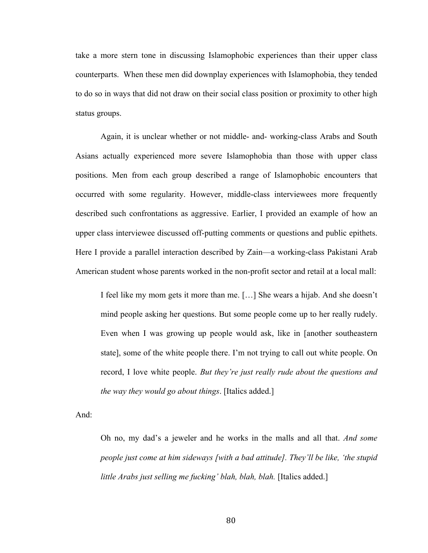take a more stern tone in discussing Islamophobic experiences than their upper class counterparts. When these men did downplay experiences with Islamophobia, they tended to do so in ways that did not draw on their social class position or proximity to other high status groups.

Again, it is unclear whether or not middle- and- working-class Arabs and South Asians actually experienced more severe Islamophobia than those with upper class positions. Men from each group described a range of Islamophobic encounters that occurred with some regularity. However, middle-class interviewees more frequently described such confrontations as aggressive. Earlier, I provided an example of how an upper class interviewee discussed off-putting comments or questions and public epithets. Here I provide a parallel interaction described by Zain—a working-class Pakistani Arab American student whose parents worked in the non-profit sector and retail at a local mall:

I feel like my mom gets it more than me. […] She wears a hijab. And she doesn't mind people asking her questions. But some people come up to her really rudely. Even when I was growing up people would ask, like in [another southeastern state], some of the white people there. I'm not trying to call out white people. On record, I love white people. *But they're just really rude about the questions and the way they would go about things*. [Italics added.]

And:

Oh no, my dad's a jeweler and he works in the malls and all that. *And some people just come at him sideways [with a bad attitude]. They'll be like, 'the stupid little Arabs just selling me fucking' blah, blah, blah.* [Italics added.]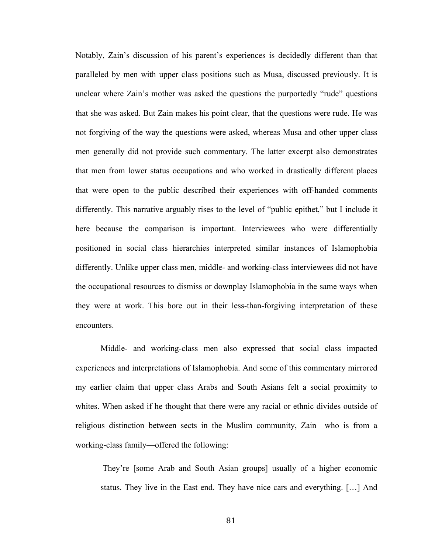Notably, Zain's discussion of his parent's experiences is decidedly different than that paralleled by men with upper class positions such as Musa, discussed previously. It is unclear where Zain's mother was asked the questions the purportedly "rude" questions that she was asked. But Zain makes his point clear, that the questions were rude. He was not forgiving of the way the questions were asked, whereas Musa and other upper class men generally did not provide such commentary. The latter excerpt also demonstrates that men from lower status occupations and who worked in drastically different places that were open to the public described their experiences with off-handed comments differently. This narrative arguably rises to the level of "public epithet," but I include it here because the comparison is important. Interviewees who were differentially positioned in social class hierarchies interpreted similar instances of Islamophobia differently. Unlike upper class men, middle- and working-class interviewees did not have the occupational resources to dismiss or downplay Islamophobia in the same ways when they were at work. This bore out in their less-than-forgiving interpretation of these encounters.

Middle- and working-class men also expressed that social class impacted experiences and interpretations of Islamophobia. And some of this commentary mirrored my earlier claim that upper class Arabs and South Asians felt a social proximity to whites. When asked if he thought that there were any racial or ethnic divides outside of religious distinction between sects in the Muslim community, Zain—who is from a working-class family—offered the following:

They're [some Arab and South Asian groups] usually of a higher economic status. They live in the East end. They have nice cars and everything. […] And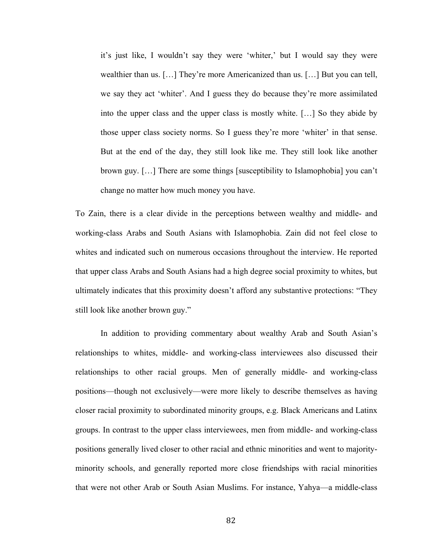it's just like, I wouldn't say they were 'whiter,' but I would say they were wealthier than us. […] They're more Americanized than us. […] But you can tell, we say they act 'whiter'. And I guess they do because they're more assimilated into the upper class and the upper class is mostly white. […] So they abide by those upper class society norms. So I guess they're more 'whiter' in that sense. But at the end of the day, they still look like me. They still look like another brown guy. […] There are some things [susceptibility to Islamophobia] you can't change no matter how much money you have.

To Zain, there is a clear divide in the perceptions between wealthy and middle- and working-class Arabs and South Asians with Islamophobia. Zain did not feel close to whites and indicated such on numerous occasions throughout the interview. He reported that upper class Arabs and South Asians had a high degree social proximity to whites, but ultimately indicates that this proximity doesn't afford any substantive protections: "They still look like another brown guy."

In addition to providing commentary about wealthy Arab and South Asian's relationships to whites, middle- and working-class interviewees also discussed their relationships to other racial groups. Men of generally middle- and working-class positions—though not exclusively—were more likely to describe themselves as having closer racial proximity to subordinated minority groups, e.g. Black Americans and Latinx groups. In contrast to the upper class interviewees, men from middle- and working-class positions generally lived closer to other racial and ethnic minorities and went to majorityminority schools, and generally reported more close friendships with racial minorities that were not other Arab or South Asian Muslims. For instance, Yahya—a middle-class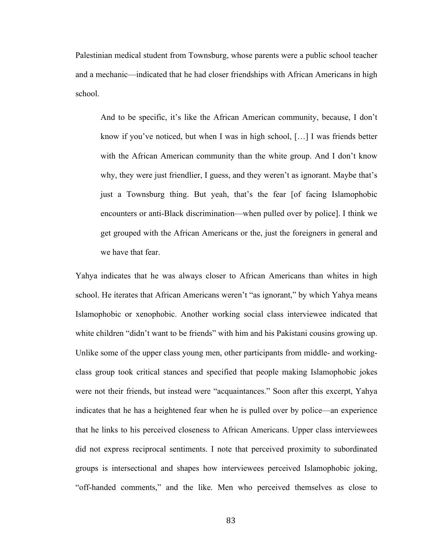Palestinian medical student from Townsburg, whose parents were a public school teacher and a mechanic—indicated that he had closer friendships with African Americans in high school.

And to be specific, it's like the African American community, because, I don't know if you've noticed, but when I was in high school, […] I was friends better with the African American community than the white group. And I don't know why, they were just friendlier, I guess, and they weren't as ignorant. Maybe that's just a Townsburg thing. But yeah, that's the fear [of facing Islamophobic encounters or anti-Black discrimination—when pulled over by police]. I think we get grouped with the African Americans or the, just the foreigners in general and we have that fear.

Yahya indicates that he was always closer to African Americans than whites in high school. He iterates that African Americans weren't "as ignorant," by which Yahya means Islamophobic or xenophobic. Another working social class interviewee indicated that white children "didn't want to be friends" with him and his Pakistani cousins growing up. Unlike some of the upper class young men, other participants from middle- and workingclass group took critical stances and specified that people making Islamophobic jokes were not their friends, but instead were "acquaintances." Soon after this excerpt, Yahya indicates that he has a heightened fear when he is pulled over by police—an experience that he links to his perceived closeness to African Americans. Upper class interviewees did not express reciprocal sentiments. I note that perceived proximity to subordinated groups is intersectional and shapes how interviewees perceived Islamophobic joking, "off-handed comments," and the like. Men who perceived themselves as close to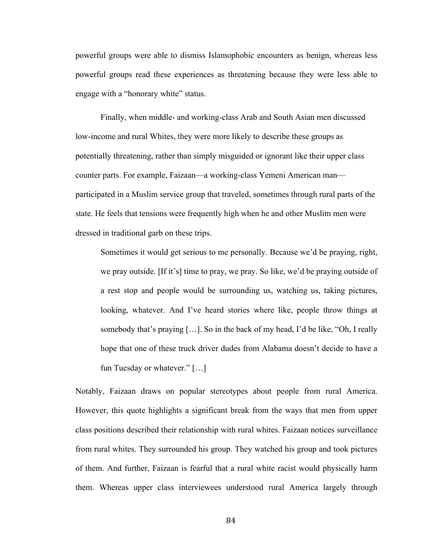powerful groups were able to dismiss Islamophobic encounters as benign, whereas less powerful groups read these experiences as threatening because they were less able to engage with a "honorary white" status.

Finally, when middle- and working-class Arab and South Asian men discussed low-income and rural Whites, they were more likely to describe these groups as potentially threatening, rather than simply misguided or ignorant like their upper class counter parts. For example, Faizaan—a working-class Yemeni American man participated in a Muslim service group that traveled, sometimes through rural parts of the state. He feels that tensions were frequently high when he and other Muslim men were dressed in traditional garb on these trips.

Sometimes it would get serious to me personally. Because we'd be praying, right, we pray outside. [If it's] time to pray, we pray. So like, we'd be praying outside of a rest stop and people would be surrounding us, watching us, taking pictures, looking, whatever. And I've heard stories where like, people throw things at somebody that's praying […]. So in the back of my head, I'd be like, "Oh, I really hope that one of these truck driver dudes from Alabama doesn't decide to have a fun Tuesday or whatever." […]

Notably, Faizaan draws on popular stereotypes about people from rural America. However, this quote highlights a significant break from the ways that men from upper class positions described their relationship with rural whites. Faizaan notices surveillance from rural whites. They surrounded his group. They watched his group and took pictures of them. And further, Faizaan is fearful that a rural white racist would physically harm them. Whereas upper class interviewees understood rural America largely through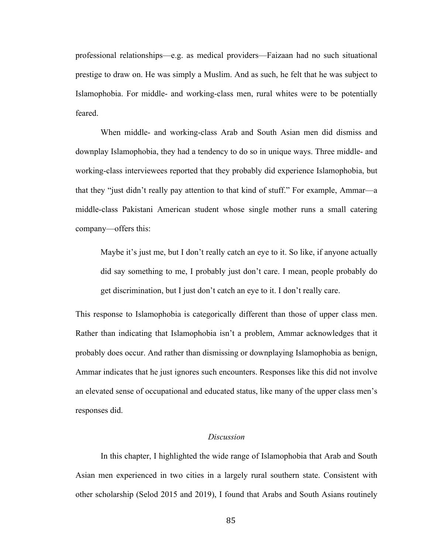professional relationships—e.g. as medical providers—Faizaan had no such situational prestige to draw on. He was simply a Muslim. And as such, he felt that he was subject to Islamophobia. For middle- and working-class men, rural whites were to be potentially feared.

When middle- and working-class Arab and South Asian men did dismiss and downplay Islamophobia, they had a tendency to do so in unique ways. Three middle- and working-class interviewees reported that they probably did experience Islamophobia, but that they "just didn't really pay attention to that kind of stuff." For example, Ammar—a middle-class Pakistani American student whose single mother runs a small catering company—offers this:

Maybe it's just me, but I don't really catch an eye to it. So like, if anyone actually did say something to me, I probably just don't care. I mean, people probably do get discrimination, but I just don't catch an eye to it. I don't really care.

This response to Islamophobia is categorically different than those of upper class men. Rather than indicating that Islamophobia isn't a problem, Ammar acknowledges that it probably does occur. And rather than dismissing or downplaying Islamophobia as benign, Ammar indicates that he just ignores such encounters. Responses like this did not involve an elevated sense of occupational and educated status, like many of the upper class men's responses did.

### *Discussion*

In this chapter, I highlighted the wide range of Islamophobia that Arab and South Asian men experienced in two cities in a largely rural southern state. Consistent with other scholarship (Selod 2015 and 2019), I found that Arabs and South Asians routinely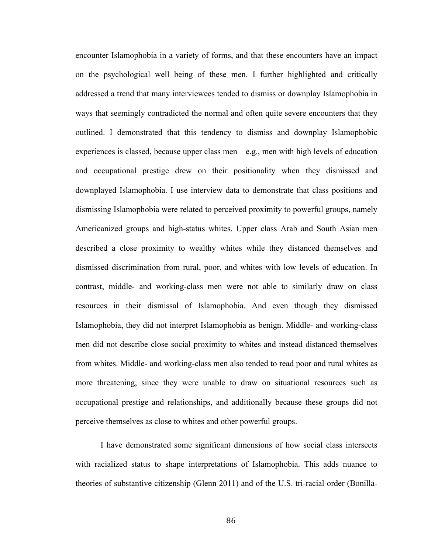encounter Islamophobia in a variety of forms, and that these encounters have an impact on the psychological well being of these men. I further highlighted and critically addressed a trend that many interviewees tended to dismiss or downplay Islamophobia in ways that seemingly contradicted the normal and often quite severe encounters that they outlined. I demonstrated that this tendency to dismiss and downplay Islamophobic experiences is classed, because upper class men—e.g., men with high levels of education and occupational prestige drew on their positionality when they dismissed and downplayed Islamophobia. I use interview data to demonstrate that class positions and dismissing Islamophobia were related to perceived proximity to powerful groups, namely Americanized groups and high-status whites. Upper class Arab and South Asian men described a close proximity to wealthy whites while they distanced themselves and dismissed discrimination from rural, poor, and whites with low levels of education. In contrast, middle- and working-class men were not able to similarly draw on class resources in their dismissal of Islamophobia. And even though they dismissed Islamophobia, they did not interpret Islamophobia as benign. Middle- and working-class men did not describe close social proximity to whites and instead distanced themselves from whites. Middle- and working-class men also tended to read poor and rural whites as more threatening, since they were unable to draw on situational resources such as occupational prestige and relationships, and additionally because these groups did not perceive themselves as close to whites and other powerful groups.

I have demonstrated some significant dimensions of how social class intersects with racialized status to shape interpretations of Islamophobia. This adds nuance to theories of substantive citizenship (Glenn 2011) and of the U.S. tri-racial order (Bonilla-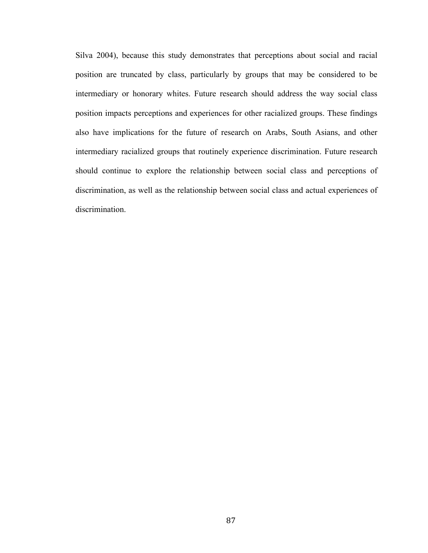Silva 2004), because this study demonstrates that perceptions about social and racial position are truncated by class, particularly by groups that may be considered to be intermediary or honorary whites. Future research should address the way social class position impacts perceptions and experiences for other racialized groups. These findings also have implications for the future of research on Arabs, South Asians, and other intermediary racialized groups that routinely experience discrimination. Future research should continue to explore the relationship between social class and perceptions of discrimination, as well as the relationship between social class and actual experiences of discrimination.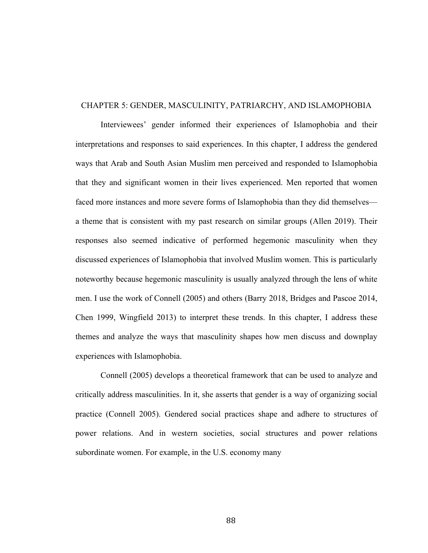## CHAPTER 5: GENDER, MASCULINITY, PATRIARCHY, AND ISLAMOPHOBIA

Interviewees' gender informed their experiences of Islamophobia and their interpretations and responses to said experiences. In this chapter, I address the gendered ways that Arab and South Asian Muslim men perceived and responded to Islamophobia that they and significant women in their lives experienced. Men reported that women faced more instances and more severe forms of Islamophobia than they did themselves a theme that is consistent with my past research on similar groups (Allen 2019). Their responses also seemed indicative of performed hegemonic masculinity when they discussed experiences of Islamophobia that involved Muslim women. This is particularly noteworthy because hegemonic masculinity is usually analyzed through the lens of white men. I use the work of Connell (2005) and others (Barry 2018, Bridges and Pascoe 2014, Chen 1999, Wingfield 2013) to interpret these trends. In this chapter, I address these themes and analyze the ways that masculinity shapes how men discuss and downplay experiences with Islamophobia.

Connell (2005) develops a theoretical framework that can be used to analyze and critically address masculinities. In it, she asserts that gender is a way of organizing social practice (Connell 2005). Gendered social practices shape and adhere to structures of power relations. And in western societies, social structures and power relations subordinate women. For example, in the U.S. economy many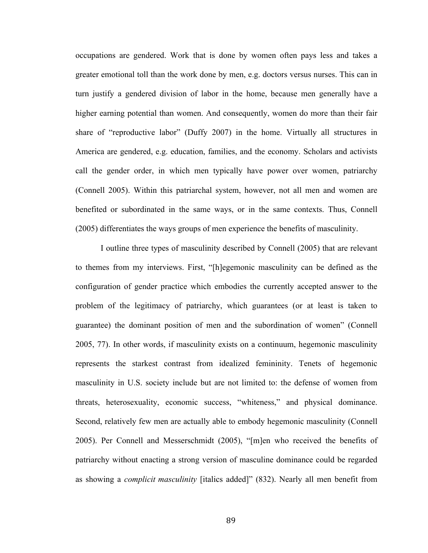occupations are gendered. Work that is done by women often pays less and takes a greater emotional toll than the work done by men, e.g. doctors versus nurses. This can in turn justify a gendered division of labor in the home, because men generally have a higher earning potential than women. And consequently, women do more than their fair share of "reproductive labor" (Duffy 2007) in the home. Virtually all structures in America are gendered, e.g. education, families, and the economy. Scholars and activists call the gender order, in which men typically have power over women, patriarchy (Connell 2005). Within this patriarchal system, however, not all men and women are benefited or subordinated in the same ways, or in the same contexts. Thus, Connell (2005) differentiates the ways groups of men experience the benefits of masculinity.

I outline three types of masculinity described by Connell (2005) that are relevant to themes from my interviews. First, "[h]egemonic masculinity can be defined as the configuration of gender practice which embodies the currently accepted answer to the problem of the legitimacy of patriarchy, which guarantees (or at least is taken to guarantee) the dominant position of men and the subordination of women" (Connell 2005, 77). In other words, if masculinity exists on a continuum, hegemonic masculinity represents the starkest contrast from idealized femininity. Tenets of hegemonic masculinity in U.S. society include but are not limited to: the defense of women from threats, heterosexuality, economic success, "whiteness," and physical dominance. Second, relatively few men are actually able to embody hegemonic masculinity (Connell 2005). Per Connell and Messerschmidt (2005), "[m]en who received the benefits of patriarchy without enacting a strong version of masculine dominance could be regarded as showing a *complicit masculinity* [italics added]" (832). Nearly all men benefit from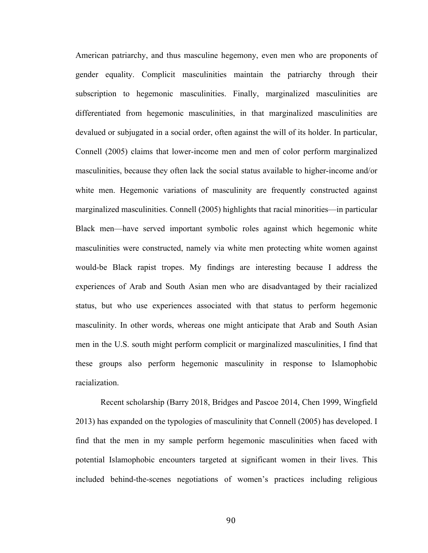American patriarchy, and thus masculine hegemony, even men who are proponents of gender equality. Complicit masculinities maintain the patriarchy through their subscription to hegemonic masculinities. Finally, marginalized masculinities are differentiated from hegemonic masculinities, in that marginalized masculinities are devalued or subjugated in a social order, often against the will of its holder. In particular, Connell (2005) claims that lower-income men and men of color perform marginalized masculinities, because they often lack the social status available to higher-income and/or white men. Hegemonic variations of masculinity are frequently constructed against marginalized masculinities. Connell (2005) highlights that racial minorities—in particular Black men—have served important symbolic roles against which hegemonic white masculinities were constructed, namely via white men protecting white women against would-be Black rapist tropes. My findings are interesting because I address the experiences of Arab and South Asian men who are disadvantaged by their racialized status, but who use experiences associated with that status to perform hegemonic masculinity. In other words, whereas one might anticipate that Arab and South Asian men in the U.S. south might perform complicit or marginalized masculinities, I find that these groups also perform hegemonic masculinity in response to Islamophobic racialization.

Recent scholarship (Barry 2018, Bridges and Pascoe 2014, Chen 1999, Wingfield 2013) has expanded on the typologies of masculinity that Connell (2005) has developed. I find that the men in my sample perform hegemonic masculinities when faced with potential Islamophobic encounters targeted at significant women in their lives. This included behind-the-scenes negotiations of women's practices including religious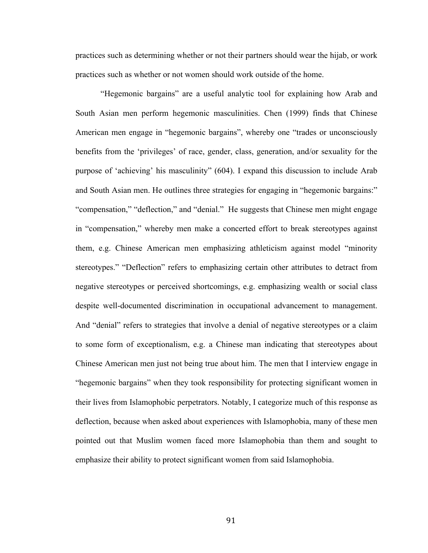practices such as determining whether or not their partners should wear the hijab, or work practices such as whether or not women should work outside of the home.

"Hegemonic bargains" are a useful analytic tool for explaining how Arab and South Asian men perform hegemonic masculinities. Chen (1999) finds that Chinese American men engage in "hegemonic bargains", whereby one "trades or unconsciously benefits from the 'privileges' of race, gender, class, generation, and/or sexuality for the purpose of 'achieving' his masculinity" (604). I expand this discussion to include Arab and South Asian men. He outlines three strategies for engaging in "hegemonic bargains:" "compensation," "deflection," and "denial." He suggests that Chinese men might engage in "compensation," whereby men make a concerted effort to break stereotypes against them, e.g. Chinese American men emphasizing athleticism against model "minority stereotypes." "Deflection" refers to emphasizing certain other attributes to detract from negative stereotypes or perceived shortcomings, e.g. emphasizing wealth or social class despite well-documented discrimination in occupational advancement to management. And "denial" refers to strategies that involve a denial of negative stereotypes or a claim to some form of exceptionalism, e.g. a Chinese man indicating that stereotypes about Chinese American men just not being true about him. The men that I interview engage in "hegemonic bargains" when they took responsibility for protecting significant women in their lives from Islamophobic perpetrators. Notably, I categorize much of this response as deflection, because when asked about experiences with Islamophobia, many of these men pointed out that Muslim women faced more Islamophobia than them and sought to emphasize their ability to protect significant women from said Islamophobia.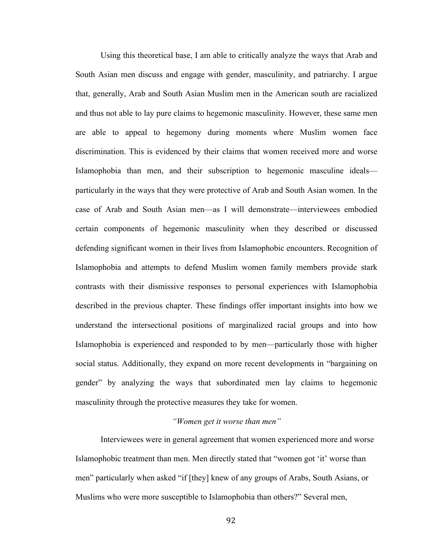Using this theoretical base, I am able to critically analyze the ways that Arab and South Asian men discuss and engage with gender, masculinity, and patriarchy. I argue that, generally, Arab and South Asian Muslim men in the American south are racialized and thus not able to lay pure claims to hegemonic masculinity. However, these same men are able to appeal to hegemony during moments where Muslim women face discrimination. This is evidenced by their claims that women received more and worse Islamophobia than men, and their subscription to hegemonic masculine ideals particularly in the ways that they were protective of Arab and South Asian women. In the case of Arab and South Asian men—as I will demonstrate—interviewees embodied certain components of hegemonic masculinity when they described or discussed defending significant women in their lives from Islamophobic encounters. Recognition of Islamophobia and attempts to defend Muslim women family members provide stark contrasts with their dismissive responses to personal experiences with Islamophobia described in the previous chapter. These findings offer important insights into how we understand the intersectional positions of marginalized racial groups and into how Islamophobia is experienced and responded to by men—particularly those with higher social status. Additionally, they expand on more recent developments in "bargaining on gender" by analyzing the ways that subordinated men lay claims to hegemonic masculinity through the protective measures they take for women.

## *"Women get it worse than men"*

Interviewees were in general agreement that women experienced more and worse Islamophobic treatment than men. Men directly stated that "women got 'it' worse than men" particularly when asked "if [they] knew of any groups of Arabs, South Asians, or Muslims who were more susceptible to Islamophobia than others?" Several men,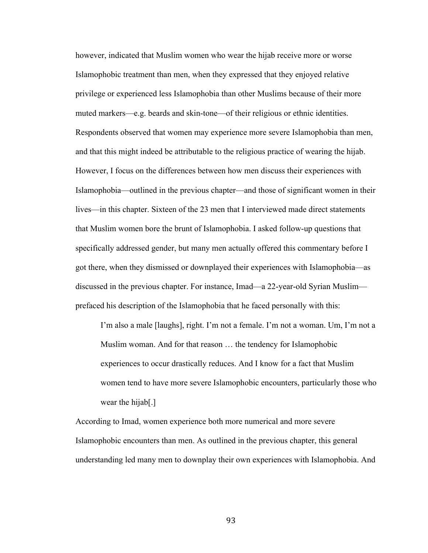however, indicated that Muslim women who wear the hijab receive more or worse Islamophobic treatment than men, when they expressed that they enjoyed relative privilege or experienced less Islamophobia than other Muslims because of their more muted markers—e.g. beards and skin-tone—of their religious or ethnic identities. Respondents observed that women may experience more severe Islamophobia than men, and that this might indeed be attributable to the religious practice of wearing the hijab. However, I focus on the differences between how men discuss their experiences with Islamophobia—outlined in the previous chapter—and those of significant women in their lives—in this chapter. Sixteen of the 23 men that I interviewed made direct statements that Muslim women bore the brunt of Islamophobia. I asked follow-up questions that specifically addressed gender, but many men actually offered this commentary before I got there, when they dismissed or downplayed their experiences with Islamophobia—as discussed in the previous chapter. For instance, Imad—a 22-year-old Syrian Muslim prefaced his description of the Islamophobia that he faced personally with this:

I'm also a male [laughs], right. I'm not a female. I'm not a woman. Um, I'm not a Muslim woman. And for that reason … the tendency for Islamophobic experiences to occur drastically reduces. And I know for a fact that Muslim women tend to have more severe Islamophobic encounters, particularly those who wear the hijab[.]

According to Imad, women experience both more numerical and more severe Islamophobic encounters than men. As outlined in the previous chapter, this general understanding led many men to downplay their own experiences with Islamophobia. And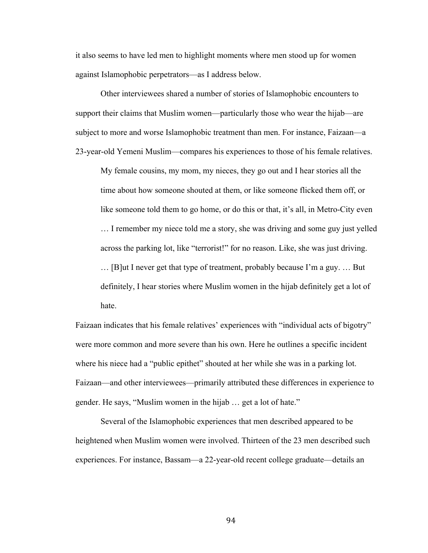it also seems to have led men to highlight moments where men stood up for women against Islamophobic perpetrators—as I address below.

Other interviewees shared a number of stories of Islamophobic encounters to support their claims that Muslim women—particularly those who wear the hijab—are subject to more and worse Islamophobic treatment than men. For instance, Faizaan—a 23-year-old Yemeni Muslim—compares his experiences to those of his female relatives.

My female cousins, my mom, my nieces, they go out and I hear stories all the time about how someone shouted at them, or like someone flicked them off, or like someone told them to go home, or do this or that, it's all, in Metro-City even

… I remember my niece told me a story, she was driving and some guy just yelled across the parking lot, like "terrorist!" for no reason. Like, she was just driving. … [B]ut I never get that type of treatment, probably because I'm a guy. … But definitely, I hear stories where Muslim women in the hijab definitely get a lot of hate.

Faizaan indicates that his female relatives' experiences with "individual acts of bigotry" were more common and more severe than his own. Here he outlines a specific incident where his niece had a "public epithet" shouted at her while she was in a parking lot. Faizaan—and other interviewees—primarily attributed these differences in experience to gender. He says, "Muslim women in the hijab … get a lot of hate."

Several of the Islamophobic experiences that men described appeared to be heightened when Muslim women were involved. Thirteen of the 23 men described such experiences. For instance, Bassam—a 22-year-old recent college graduate—details an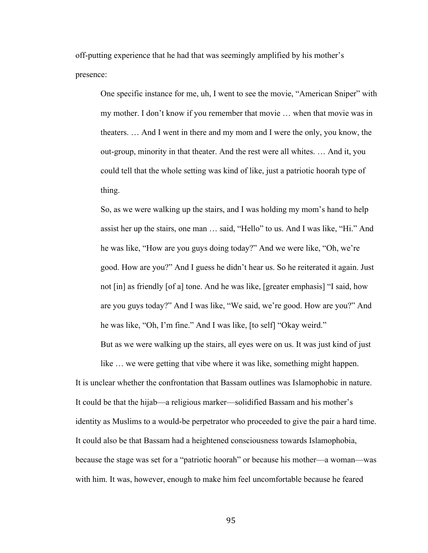off-putting experience that he had that was seemingly amplified by his mother's presence:

One specific instance for me, uh, I went to see the movie, "American Sniper" with my mother. I don't know if you remember that movie … when that movie was in theaters. … And I went in there and my mom and I were the only, you know, the out-group, minority in that theater. And the rest were all whites. … And it, you could tell that the whole setting was kind of like, just a patriotic hoorah type of thing.

So, as we were walking up the stairs, and I was holding my mom's hand to help assist her up the stairs, one man … said, "Hello" to us. And I was like, "Hi." And he was like, "How are you guys doing today?" And we were like, "Oh, we're good. How are you?" And I guess he didn't hear us. So he reiterated it again. Just not [in] as friendly [of a] tone. And he was like, [greater emphasis] "I said, how are you guys today?" And I was like, "We said, we're good. How are you?" And he was like, "Oh, I'm fine." And I was like, [to self] "Okay weird."

But as we were walking up the stairs, all eyes were on us. It was just kind of just like … we were getting that vibe where it was like, something might happen.

It is unclear whether the confrontation that Bassam outlines was Islamophobic in nature. It could be that the hijab—a religious marker—solidified Bassam and his mother's identity as Muslims to a would-be perpetrator who proceeded to give the pair a hard time. It could also be that Bassam had a heightened consciousness towards Islamophobia, because the stage was set for a "patriotic hoorah" or because his mother—a woman—was with him. It was, however, enough to make him feel uncomfortable because he feared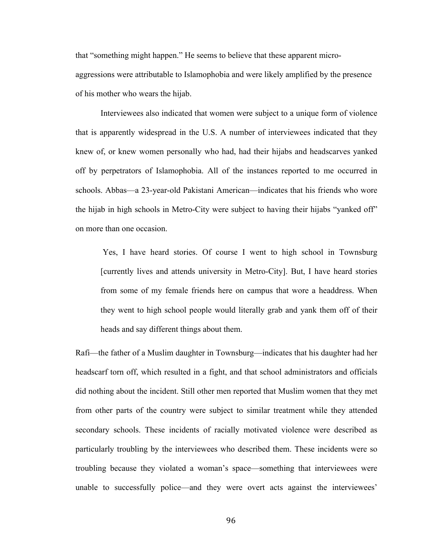that "something might happen." He seems to believe that these apparent microaggressions were attributable to Islamophobia and were likely amplified by the presence of his mother who wears the hijab.

Interviewees also indicated that women were subject to a unique form of violence that is apparently widespread in the U.S. A number of interviewees indicated that they knew of, or knew women personally who had, had their hijabs and headscarves yanked off by perpetrators of Islamophobia. All of the instances reported to me occurred in schools. Abbas—a 23-year-old Pakistani American—indicates that his friends who wore the hijab in high schools in Metro-City were subject to having their hijabs "yanked off" on more than one occasion.

Yes, I have heard stories. Of course I went to high school in Townsburg [currently lives and attends university in Metro-City]. But, I have heard stories from some of my female friends here on campus that wore a headdress. When they went to high school people would literally grab and yank them off of their heads and say different things about them.

Rafi—the father of a Muslim daughter in Townsburg—indicates that his daughter had her headscarf torn off, which resulted in a fight, and that school administrators and officials did nothing about the incident. Still other men reported that Muslim women that they met from other parts of the country were subject to similar treatment while they attended secondary schools. These incidents of racially motivated violence were described as particularly troubling by the interviewees who described them. These incidents were so troubling because they violated a woman's space—something that interviewees were unable to successfully police—and they were overt acts against the interviewees'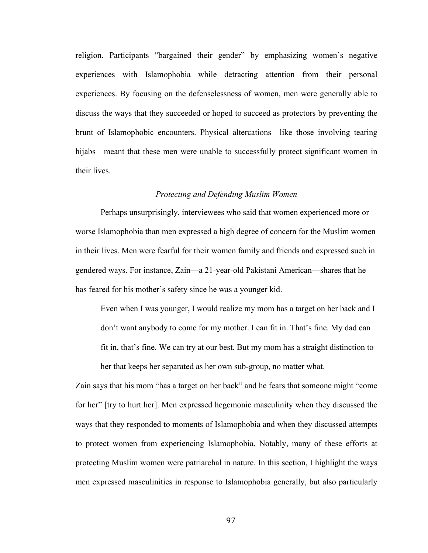religion. Participants "bargained their gender" by emphasizing women's negative experiences with Islamophobia while detracting attention from their personal experiences. By focusing on the defenselessness of women, men were generally able to discuss the ways that they succeeded or hoped to succeed as protectors by preventing the brunt of Islamophobic encounters. Physical altercations—like those involving tearing hijabs—meant that these men were unable to successfully protect significant women in their lives.

## *Protecting and Defending Muslim Women*

Perhaps unsurprisingly, interviewees who said that women experienced more or worse Islamophobia than men expressed a high degree of concern for the Muslim women in their lives. Men were fearful for their women family and friends and expressed such in gendered ways. For instance, Zain—a 21-year-old Pakistani American—shares that he has feared for his mother's safety since he was a younger kid.

Even when I was younger, I would realize my mom has a target on her back and I don't want anybody to come for my mother. I can fit in. That's fine. My dad can fit in, that's fine. We can try at our best. But my mom has a straight distinction to her that keeps her separated as her own sub-group, no matter what.

Zain says that his mom "has a target on her back" and he fears that someone might "come for her" [try to hurt her]. Men expressed hegemonic masculinity when they discussed the ways that they responded to moments of Islamophobia and when they discussed attempts to protect women from experiencing Islamophobia. Notably, many of these efforts at protecting Muslim women were patriarchal in nature. In this section, I highlight the ways men expressed masculinities in response to Islamophobia generally, but also particularly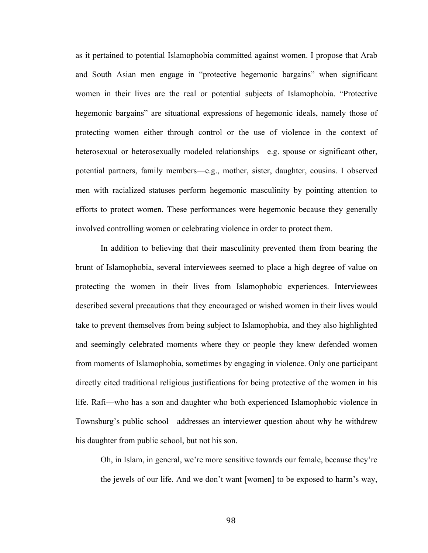as it pertained to potential Islamophobia committed against women. I propose that Arab and South Asian men engage in "protective hegemonic bargains" when significant women in their lives are the real or potential subjects of Islamophobia. "Protective hegemonic bargains" are situational expressions of hegemonic ideals, namely those of protecting women either through control or the use of violence in the context of heterosexual or heterosexually modeled relationships—e.g. spouse or significant other, potential partners, family members—e.g., mother, sister, daughter, cousins. I observed men with racialized statuses perform hegemonic masculinity by pointing attention to efforts to protect women. These performances were hegemonic because they generally involved controlling women or celebrating violence in order to protect them.

In addition to believing that their masculinity prevented them from bearing the brunt of Islamophobia, several interviewees seemed to place a high degree of value on protecting the women in their lives from Islamophobic experiences. Interviewees described several precautions that they encouraged or wished women in their lives would take to prevent themselves from being subject to Islamophobia, and they also highlighted and seemingly celebrated moments where they or people they knew defended women from moments of Islamophobia, sometimes by engaging in violence. Only one participant directly cited traditional religious justifications for being protective of the women in his life. Rafi—who has a son and daughter who both experienced Islamophobic violence in Townsburg's public school—addresses an interviewer question about why he withdrew his daughter from public school, but not his son.

Oh, in Islam, in general, we're more sensitive towards our female, because they're the jewels of our life. And we don't want [women] to be exposed to harm's way,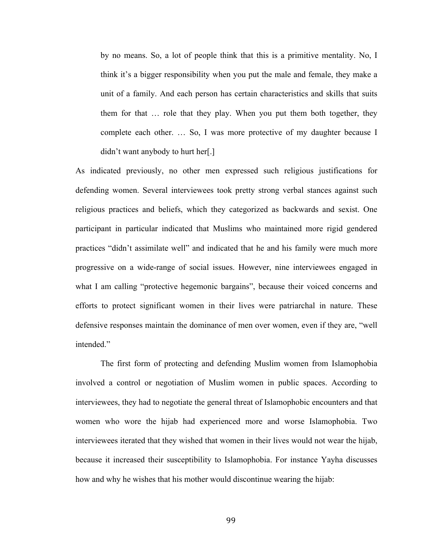by no means. So, a lot of people think that this is a primitive mentality. No, I think it's a bigger responsibility when you put the male and female, they make a unit of a family. And each person has certain characteristics and skills that suits them for that … role that they play. When you put them both together, they complete each other. … So, I was more protective of my daughter because I didn't want anybody to hurt her[.]

As indicated previously, no other men expressed such religious justifications for defending women. Several interviewees took pretty strong verbal stances against such religious practices and beliefs, which they categorized as backwards and sexist. One participant in particular indicated that Muslims who maintained more rigid gendered practices "didn't assimilate well" and indicated that he and his family were much more progressive on a wide-range of social issues. However, nine interviewees engaged in what I am calling "protective hegemonic bargains", because their voiced concerns and efforts to protect significant women in their lives were patriarchal in nature. These defensive responses maintain the dominance of men over women, even if they are, "well intended."

The first form of protecting and defending Muslim women from Islamophobia involved a control or negotiation of Muslim women in public spaces. According to interviewees, they had to negotiate the general threat of Islamophobic encounters and that women who wore the hijab had experienced more and worse Islamophobia. Two interviewees iterated that they wished that women in their lives would not wear the hijab, because it increased their susceptibility to Islamophobia. For instance Yayha discusses how and why he wishes that his mother would discontinue wearing the hijab: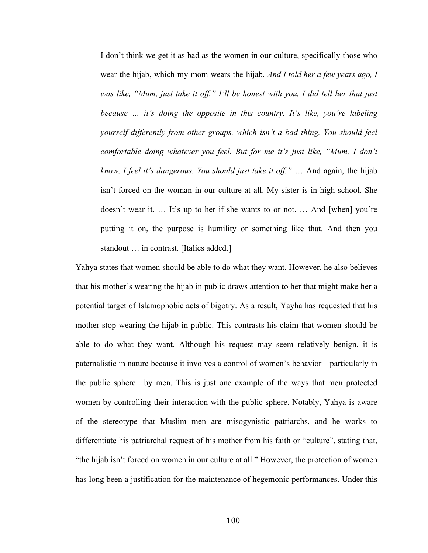I don't think we get it as bad as the women in our culture, specifically those who wear the hijab, which my mom wears the hijab. *And I told her a few years ago, I*  was like, "Mum, just take it off." I'll be honest with you, I did tell her that just *because … it's doing the opposite in this country. It's like, you're labeling yourself differently from other groups, which isn't a bad thing. You should feel comfortable doing whatever you feel. But for me it's just like, "Mum, I don't know, I feel it's dangerous. You should just take it off."* … And again, the hijab isn't forced on the woman in our culture at all. My sister is in high school. She doesn't wear it. … It's up to her if she wants to or not. … And [when] you're putting it on, the purpose is humility or something like that. And then you standout … in contrast. [Italics added.]

Yahya states that women should be able to do what they want. However, he also believes that his mother's wearing the hijab in public draws attention to her that might make her a potential target of Islamophobic acts of bigotry. As a result, Yayha has requested that his mother stop wearing the hijab in public. This contrasts his claim that women should be able to do what they want. Although his request may seem relatively benign, it is paternalistic in nature because it involves a control of women's behavior—particularly in the public sphere—by men. This is just one example of the ways that men protected women by controlling their interaction with the public sphere. Notably, Yahya is aware of the stereotype that Muslim men are misogynistic patriarchs, and he works to differentiate his patriarchal request of his mother from his faith or "culture", stating that, "the hijab isn't forced on women in our culture at all." However, the protection of women has long been a justification for the maintenance of hegemonic performances. Under this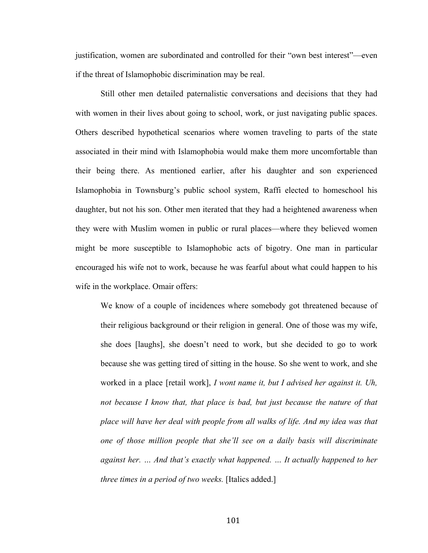justification, women are subordinated and controlled for their "own best interest"—even if the threat of Islamophobic discrimination may be real.

Still other men detailed paternalistic conversations and decisions that they had with women in their lives about going to school, work, or just navigating public spaces. Others described hypothetical scenarios where women traveling to parts of the state associated in their mind with Islamophobia would make them more uncomfortable than their being there. As mentioned earlier, after his daughter and son experienced Islamophobia in Townsburg's public school system, Raffi elected to homeschool his daughter, but not his son. Other men iterated that they had a heightened awareness when they were with Muslim women in public or rural places—where they believed women might be more susceptible to Islamophobic acts of bigotry. One man in particular encouraged his wife not to work, because he was fearful about what could happen to his wife in the workplace. Omair offers:

We know of a couple of incidences where somebody got threatened because of their religious background or their religion in general. One of those was my wife, she does [laughs], she doesn't need to work, but she decided to go to work because she was getting tired of sitting in the house. So she went to work, and she worked in a place [retail work], *I wont name it, but I advised her against it. Uh, not because I know that, that place is bad, but just because the nature of that place will have her deal with people from all walks of life. And my idea was that one of those million people that she'll see on a daily basis will discriminate against her. … And that's exactly what happened. … It actually happened to her three times in a period of two weeks.* [Italics added.]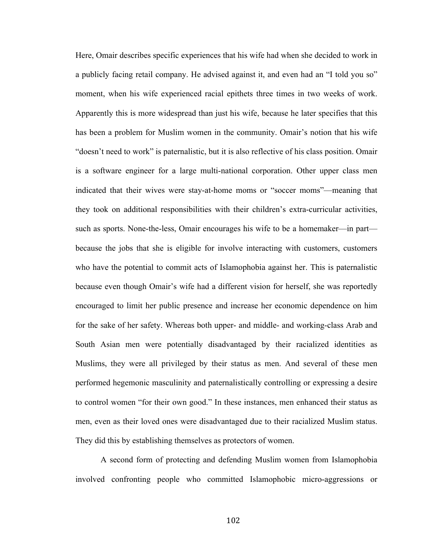Here, Omair describes specific experiences that his wife had when she decided to work in a publicly facing retail company. He advised against it, and even had an "I told you so" moment, when his wife experienced racial epithets three times in two weeks of work. Apparently this is more widespread than just his wife, because he later specifies that this has been a problem for Muslim women in the community. Omair's notion that his wife "doesn't need to work" is paternalistic, but it is also reflective of his class position. Omair is a software engineer for a large multi-national corporation. Other upper class men indicated that their wives were stay-at-home moms or "soccer moms"—meaning that they took on additional responsibilities with their children's extra-curricular activities, such as sports. None-the-less, Omair encourages his wife to be a homemaker—in part because the jobs that she is eligible for involve interacting with customers, customers who have the potential to commit acts of Islamophobia against her. This is paternalistic because even though Omair's wife had a different vision for herself, she was reportedly encouraged to limit her public presence and increase her economic dependence on him for the sake of her safety. Whereas both upper- and middle- and working-class Arab and South Asian men were potentially disadvantaged by their racialized identities as Muslims, they were all privileged by their status as men. And several of these men performed hegemonic masculinity and paternalistically controlling or expressing a desire to control women "for their own good." In these instances, men enhanced their status as men, even as their loved ones were disadvantaged due to their racialized Muslim status. They did this by establishing themselves as protectors of women.

A second form of protecting and defending Muslim women from Islamophobia involved confronting people who committed Islamophobic micro-aggressions or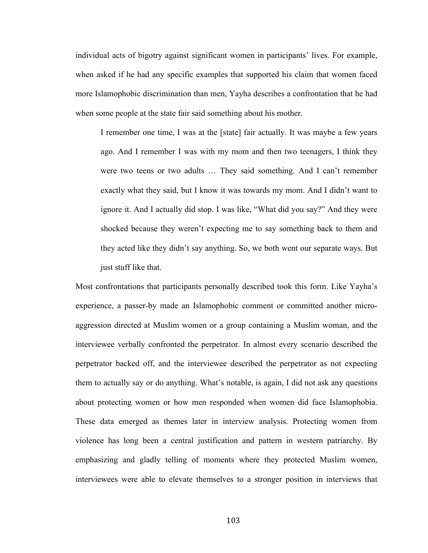individual acts of bigotry against significant women in participants' lives. For example, when asked if he had any specific examples that supported his claim that women faced more Islamophobic discrimination than men, Yayha describes a confrontation that he had when some people at the state fair said something about his mother.

I remember one time, I was at the [state] fair actually. It was maybe a few years ago. And I remember I was with my mom and then two teenagers, I think they were two teens or two adults … They said something. And I can't remember exactly what they said, but I know it was towards my mom. And I didn't want to ignore it. And I actually did stop. I was like, "What did you say?" And they were shocked because they weren't expecting me to say something back to them and they acted like they didn't say anything. So, we both went our separate ways. But just stuff like that.

Most confrontations that participants personally described took this form. Like Yayha's experience, a passer-by made an Islamophobic comment or committed another microaggression directed at Muslim women or a group containing a Muslim woman, and the interviewee verbally confronted the perpetrator. In almost every scenario described the perpetrator backed off, and the interviewee described the perpetrator as not expecting them to actually say or do anything. What's notable, is again, I did not ask any questions about protecting women or how men responded when women did face Islamophobia. These data emerged as themes later in interview analysis. Protecting women from violence has long been a central justification and pattern in western patriarchy. By emphasizing and gladly telling of moments where they protected Muslim women, interviewees were able to elevate themselves to a stronger position in interviews that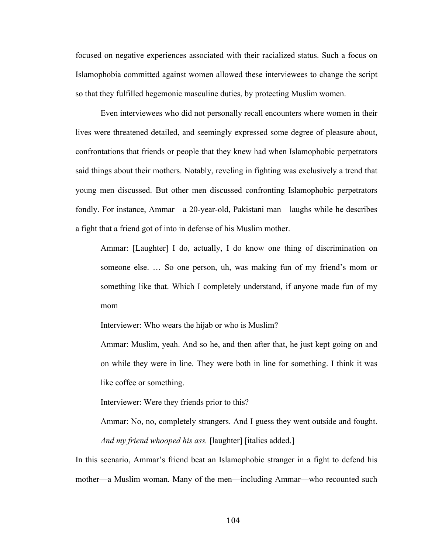focused on negative experiences associated with their racialized status. Such a focus on Islamophobia committed against women allowed these interviewees to change the script so that they fulfilled hegemonic masculine duties, by protecting Muslim women.

Even interviewees who did not personally recall encounters where women in their lives were threatened detailed, and seemingly expressed some degree of pleasure about, confrontations that friends or people that they knew had when Islamophobic perpetrators said things about their mothers. Notably, reveling in fighting was exclusively a trend that young men discussed. But other men discussed confronting Islamophobic perpetrators fondly. For instance, Ammar—a 20-year-old, Pakistani man—laughs while he describes a fight that a friend got of into in defense of his Muslim mother.

Ammar: [Laughter] I do, actually, I do know one thing of discrimination on someone else. … So one person, uh, was making fun of my friend's mom or something like that. Which I completely understand, if anyone made fun of my mom

Interviewer: Who wears the hijab or who is Muslim?

Ammar: Muslim, yeah. And so he, and then after that, he just kept going on and on while they were in line. They were both in line for something. I think it was like coffee or something.

Interviewer: Were they friends prior to this?

Ammar: No, no, completely strangers. And I guess they went outside and fought. *And my friend whooped his ass.* [laughter] [italics added.]

In this scenario, Ammar's friend beat an Islamophobic stranger in a fight to defend his mother—a Muslim woman. Many of the men—including Ammar—who recounted such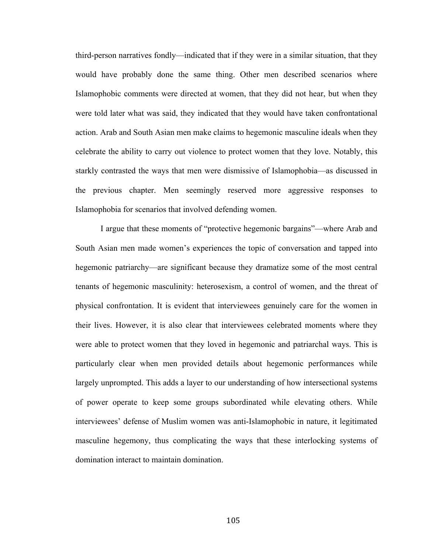third-person narratives fondly—indicated that if they were in a similar situation, that they would have probably done the same thing. Other men described scenarios where Islamophobic comments were directed at women, that they did not hear, but when they were told later what was said, they indicated that they would have taken confrontational action. Arab and South Asian men make claims to hegemonic masculine ideals when they celebrate the ability to carry out violence to protect women that they love. Notably, this starkly contrasted the ways that men were dismissive of Islamophobia—as discussed in the previous chapter. Men seemingly reserved more aggressive responses to Islamophobia for scenarios that involved defending women.

I argue that these moments of "protective hegemonic bargains"—where Arab and South Asian men made women's experiences the topic of conversation and tapped into hegemonic patriarchy—are significant because they dramatize some of the most central tenants of hegemonic masculinity: heterosexism, a control of women, and the threat of physical confrontation. It is evident that interviewees genuinely care for the women in their lives. However, it is also clear that interviewees celebrated moments where they were able to protect women that they loved in hegemonic and patriarchal ways. This is particularly clear when men provided details about hegemonic performances while largely unprompted. This adds a layer to our understanding of how intersectional systems of power operate to keep some groups subordinated while elevating others. While interviewees' defense of Muslim women was anti-Islamophobic in nature, it legitimated masculine hegemony, thus complicating the ways that these interlocking systems of domination interact to maintain domination.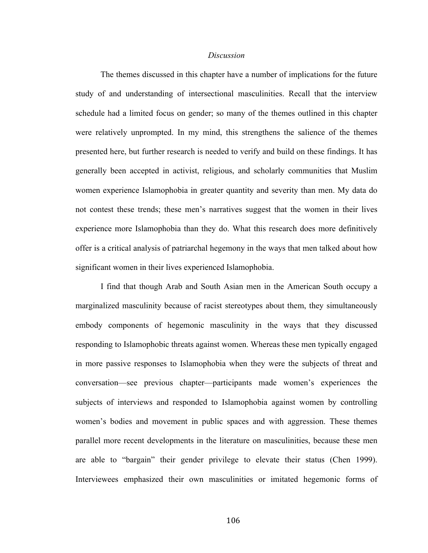### *Discussion*

The themes discussed in this chapter have a number of implications for the future study of and understanding of intersectional masculinities. Recall that the interview schedule had a limited focus on gender; so many of the themes outlined in this chapter were relatively unprompted. In my mind, this strengthens the salience of the themes presented here, but further research is needed to verify and build on these findings. It has generally been accepted in activist, religious, and scholarly communities that Muslim women experience Islamophobia in greater quantity and severity than men. My data do not contest these trends; these men's narratives suggest that the women in their lives experience more Islamophobia than they do. What this research does more definitively offer is a critical analysis of patriarchal hegemony in the ways that men talked about how significant women in their lives experienced Islamophobia.

I find that though Arab and South Asian men in the American South occupy a marginalized masculinity because of racist stereotypes about them, they simultaneously embody components of hegemonic masculinity in the ways that they discussed responding to Islamophobic threats against women. Whereas these men typically engaged in more passive responses to Islamophobia when they were the subjects of threat and conversation—see previous chapter—participants made women's experiences the subjects of interviews and responded to Islamophobia against women by controlling women's bodies and movement in public spaces and with aggression. These themes parallel more recent developments in the literature on masculinities, because these men are able to "bargain" their gender privilege to elevate their status (Chen 1999). Interviewees emphasized their own masculinities or imitated hegemonic forms of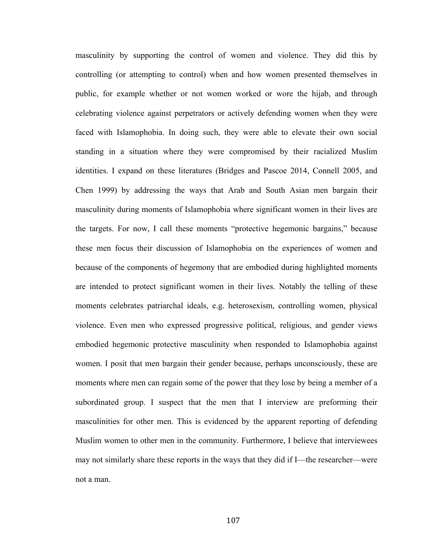masculinity by supporting the control of women and violence. They did this by controlling (or attempting to control) when and how women presented themselves in public, for example whether or not women worked or wore the hijab, and through celebrating violence against perpetrators or actively defending women when they were faced with Islamophobia. In doing such, they were able to elevate their own social standing in a situation where they were compromised by their racialized Muslim identities. I expand on these literatures (Bridges and Pascoe 2014, Connell 2005, and Chen 1999) by addressing the ways that Arab and South Asian men bargain their masculinity during moments of Islamophobia where significant women in their lives are the targets. For now, I call these moments "protective hegemonic bargains," because these men focus their discussion of Islamophobia on the experiences of women and because of the components of hegemony that are embodied during highlighted moments are intended to protect significant women in their lives. Notably the telling of these moments celebrates patriarchal ideals, e.g. heterosexism, controlling women, physical violence. Even men who expressed progressive political, religious, and gender views embodied hegemonic protective masculinity when responded to Islamophobia against women. I posit that men bargain their gender because, perhaps unconsciously, these are moments where men can regain some of the power that they lose by being a member of a subordinated group. I suspect that the men that I interview are preforming their masculinities for other men. This is evidenced by the apparent reporting of defending Muslim women to other men in the community. Furthermore, I believe that interviewees may not similarly share these reports in the ways that they did if I—the researcher—were not a man.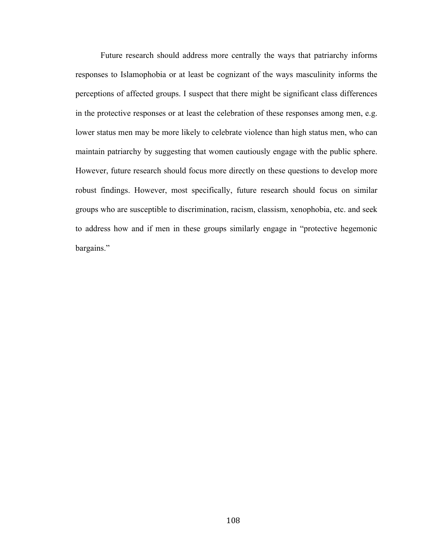Future research should address more centrally the ways that patriarchy informs responses to Islamophobia or at least be cognizant of the ways masculinity informs the perceptions of affected groups. I suspect that there might be significant class differences in the protective responses or at least the celebration of these responses among men, e.g. lower status men may be more likely to celebrate violence than high status men, who can maintain patriarchy by suggesting that women cautiously engage with the public sphere. However, future research should focus more directly on these questions to develop more robust findings. However, most specifically, future research should focus on similar groups who are susceptible to discrimination, racism, classism, xenophobia, etc. and seek to address how and if men in these groups similarly engage in "protective hegemonic bargains."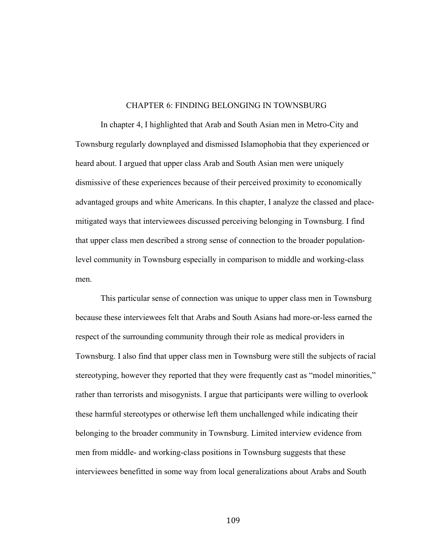### CHAPTER 6: FINDING BELONGING IN TOWNSBURG

In chapter 4, I highlighted that Arab and South Asian men in Metro-City and Townsburg regularly downplayed and dismissed Islamophobia that they experienced or heard about. I argued that upper class Arab and South Asian men were uniquely dismissive of these experiences because of their perceived proximity to economically advantaged groups and white Americans. In this chapter, I analyze the classed and placemitigated ways that interviewees discussed perceiving belonging in Townsburg. I find that upper class men described a strong sense of connection to the broader populationlevel community in Townsburg especially in comparison to middle and working-class men.

This particular sense of connection was unique to upper class men in Townsburg because these interviewees felt that Arabs and South Asians had more-or-less earned the respect of the surrounding community through their role as medical providers in Townsburg. I also find that upper class men in Townsburg were still the subjects of racial stereotyping, however they reported that they were frequently cast as "model minorities," rather than terrorists and misogynists. I argue that participants were willing to overlook these harmful stereotypes or otherwise left them unchallenged while indicating their belonging to the broader community in Townsburg. Limited interview evidence from men from middle- and working-class positions in Townsburg suggests that these interviewees benefitted in some way from local generalizations about Arabs and South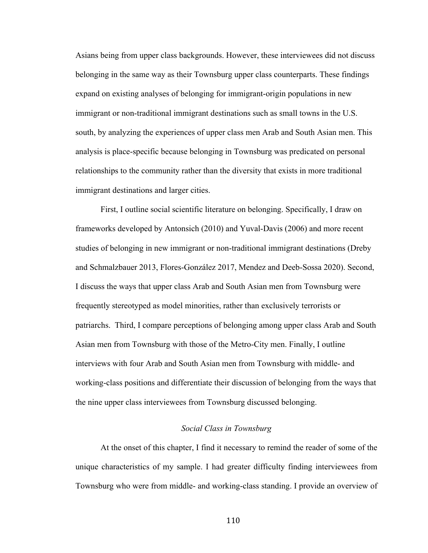Asians being from upper class backgrounds. However, these interviewees did not discuss belonging in the same way as their Townsburg upper class counterparts. These findings expand on existing analyses of belonging for immigrant-origin populations in new immigrant or non-traditional immigrant destinations such as small towns in the U.S. south, by analyzing the experiences of upper class men Arab and South Asian men. This analysis is place-specific because belonging in Townsburg was predicated on personal relationships to the community rather than the diversity that exists in more traditional immigrant destinations and larger cities.

First, I outline social scientific literature on belonging. Specifically, I draw on frameworks developed by Antonsich (2010) and Yuval-Davis (2006) and more recent studies of belonging in new immigrant or non-traditional immigrant destinations (Dreby and Schmalzbauer 2013, Flores-González 2017, Mendez and Deeb-Sossa 2020). Second, I discuss the ways that upper class Arab and South Asian men from Townsburg were frequently stereotyped as model minorities, rather than exclusively terrorists or patriarchs. Third, I compare perceptions of belonging among upper class Arab and South Asian men from Townsburg with those of the Metro-City men. Finally, I outline interviews with four Arab and South Asian men from Townsburg with middle- and working-class positions and differentiate their discussion of belonging from the ways that the nine upper class interviewees from Townsburg discussed belonging.

## *Social Class in Townsburg*

At the onset of this chapter, I find it necessary to remind the reader of some of the unique characteristics of my sample. I had greater difficulty finding interviewees from Townsburg who were from middle- and working-class standing. I provide an overview of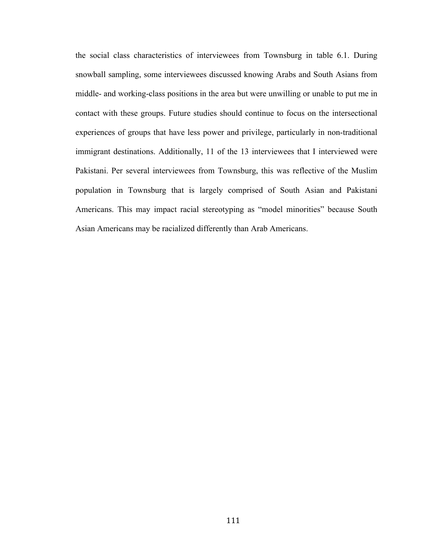the social class characteristics of interviewees from Townsburg in table 6.1. During snowball sampling, some interviewees discussed knowing Arabs and South Asians from middle- and working-class positions in the area but were unwilling or unable to put me in contact with these groups. Future studies should continue to focus on the intersectional experiences of groups that have less power and privilege, particularly in non-traditional immigrant destinations. Additionally, 11 of the 13 interviewees that I interviewed were Pakistani. Per several interviewees from Townsburg, this was reflective of the Muslim population in Townsburg that is largely comprised of South Asian and Pakistani Americans. This may impact racial stereotyping as "model minorities" because South Asian Americans may be racialized differently than Arab Americans.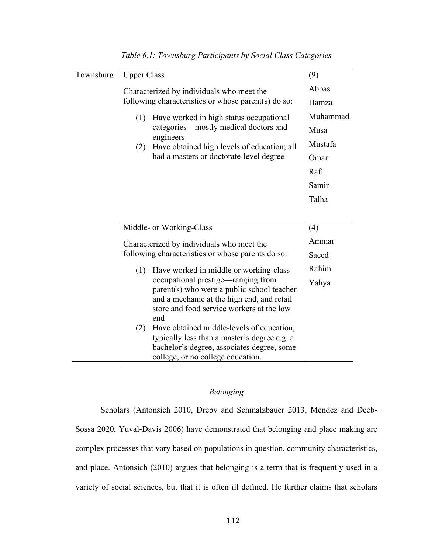| Townsburg | <b>Upper Class</b>                                                                                                                                                                  | (9)      |
|-----------|-------------------------------------------------------------------------------------------------------------------------------------------------------------------------------------|----------|
|           | Characterized by individuals who meet the                                                                                                                                           | Abbas    |
|           | following characteristics or whose parent(s) do so:                                                                                                                                 | Hamza    |
|           | Have worked in high status occupational<br>(1)                                                                                                                                      | Muhammad |
|           | categories—mostly medical doctors and<br>engineers                                                                                                                                  | Musa     |
|           | Have obtained high levels of education; all<br>(2)                                                                                                                                  | Mustafa  |
|           | had a masters or doctorate-level degree                                                                                                                                             | Omar     |
|           |                                                                                                                                                                                     | Rafi     |
|           |                                                                                                                                                                                     | Samir    |
|           |                                                                                                                                                                                     | Talha    |
|           |                                                                                                                                                                                     |          |
|           | Middle- or Working-Class                                                                                                                                                            | (4)      |
|           | Characterized by individuals who meet the                                                                                                                                           | Ammar    |
|           | following characteristics or whose parents do so:                                                                                                                                   | Saeed    |
|           | Have worked in middle or working-class<br>(1)                                                                                                                                       | Rahim    |
|           | occupational prestige—ranging from<br>parent(s) who were a public school teacher<br>and a mechanic at the high end, and retail<br>store and food service workers at the low<br>end  | Yahya    |
|           | Have obtained middle-levels of education,<br>(2)<br>typically less than a master's degree e.g. a<br>bachelor's degree, associates degree, some<br>college, or no college education. |          |

*Table 6.1: Townsburg Participants by Social Class Categories*

# *Belonging*

Scholars (Antonsich 2010, Dreby and Schmalzbauer 2013, Mendez and Deeb-Sossa 2020, Yuval-Davis 2006) have demonstrated that belonging and place making are complex processes that vary based on populations in question, community characteristics, and place. Antonsich (2010) argues that belonging is a term that is frequently used in a variety of social sciences, but that it is often ill defined. He further claims that scholars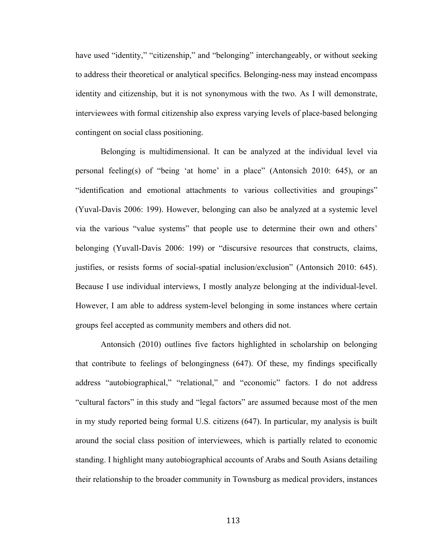have used "identity," "citizenship," and "belonging" interchangeably, or without seeking to address their theoretical or analytical specifics. Belonging-ness may instead encompass identity and citizenship, but it is not synonymous with the two. As I will demonstrate, interviewees with formal citizenship also express varying levels of place-based belonging contingent on social class positioning.

Belonging is multidimensional. It can be analyzed at the individual level via personal feeling(s) of "being 'at home' in a place" (Antonsich 2010: 645), or an "identification and emotional attachments to various collectivities and groupings" (Yuval-Davis 2006: 199). However, belonging can also be analyzed at a systemic level via the various "value systems" that people use to determine their own and others' belonging (Yuvall-Davis 2006: 199) or "discursive resources that constructs, claims, justifies, or resists forms of social-spatial inclusion/exclusion" (Antonsich 2010: 645). Because I use individual interviews, I mostly analyze belonging at the individual-level. However, I am able to address system-level belonging in some instances where certain groups feel accepted as community members and others did not.

Antonsich (2010) outlines five factors highlighted in scholarship on belonging that contribute to feelings of belongingness (647). Of these, my findings specifically address "autobiographical," "relational," and "economic" factors. I do not address "cultural factors" in this study and "legal factors" are assumed because most of the men in my study reported being formal U.S. citizens (647). In particular, my analysis is built around the social class position of interviewees, which is partially related to economic standing. I highlight many autobiographical accounts of Arabs and South Asians detailing their relationship to the broader community in Townsburg as medical providers, instances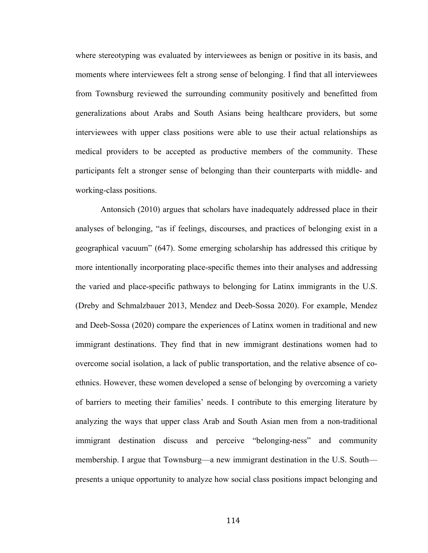where stereotyping was evaluated by interviewees as benign or positive in its basis, and moments where interviewees felt a strong sense of belonging. I find that all interviewees from Townsburg reviewed the surrounding community positively and benefitted from generalizations about Arabs and South Asians being healthcare providers, but some interviewees with upper class positions were able to use their actual relationships as medical providers to be accepted as productive members of the community. These participants felt a stronger sense of belonging than their counterparts with middle- and working-class positions.

Antonsich (2010) argues that scholars have inadequately addressed place in their analyses of belonging, "as if feelings, discourses, and practices of belonging exist in a geographical vacuum" (647). Some emerging scholarship has addressed this critique by more intentionally incorporating place-specific themes into their analyses and addressing the varied and place-specific pathways to belonging for Latinx immigrants in the U.S. (Dreby and Schmalzbauer 2013, Mendez and Deeb-Sossa 2020). For example, Mendez and Deeb-Sossa (2020) compare the experiences of Latinx women in traditional and new immigrant destinations. They find that in new immigrant destinations women had to overcome social isolation, a lack of public transportation, and the relative absence of coethnics. However, these women developed a sense of belonging by overcoming a variety of barriers to meeting their families' needs. I contribute to this emerging literature by analyzing the ways that upper class Arab and South Asian men from a non-traditional immigrant destination discuss and perceive "belonging-ness" and community membership. I argue that Townsburg—a new immigrant destination in the U.S. South presents a unique opportunity to analyze how social class positions impact belonging and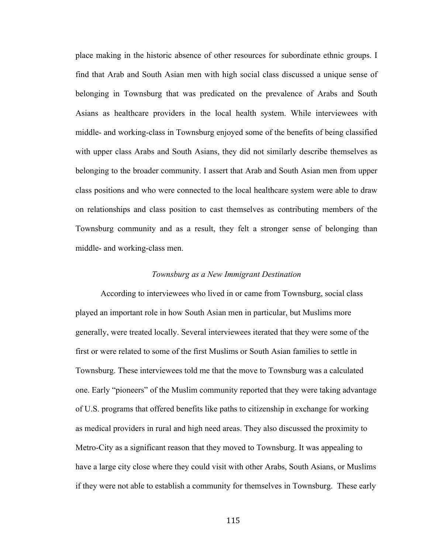place making in the historic absence of other resources for subordinate ethnic groups. I find that Arab and South Asian men with high social class discussed a unique sense of belonging in Townsburg that was predicated on the prevalence of Arabs and South Asians as healthcare providers in the local health system. While interviewees with middle- and working-class in Townsburg enjoyed some of the benefits of being classified with upper class Arabs and South Asians, they did not similarly describe themselves as belonging to the broader community. I assert that Arab and South Asian men from upper class positions and who were connected to the local healthcare system were able to draw on relationships and class position to cast themselves as contributing members of the Townsburg community and as a result, they felt a stronger sense of belonging than middle- and working-class men.

#### *Townsburg as a New Immigrant Destination*

According to interviewees who lived in or came from Townsburg, social class played an important role in how South Asian men in particular, but Muslims more generally, were treated locally. Several interviewees iterated that they were some of the first or were related to some of the first Muslims or South Asian families to settle in Townsburg. These interviewees told me that the move to Townsburg was a calculated one. Early "pioneers" of the Muslim community reported that they were taking advantage of U.S. programs that offered benefits like paths to citizenship in exchange for working as medical providers in rural and high need areas. They also discussed the proximity to Metro-City as a significant reason that they moved to Townsburg. It was appealing to have a large city close where they could visit with other Arabs, South Asians, or Muslims if they were not able to establish a community for themselves in Townsburg. These early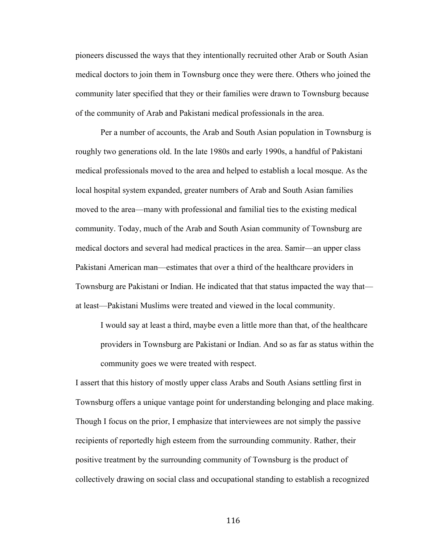pioneers discussed the ways that they intentionally recruited other Arab or South Asian medical doctors to join them in Townsburg once they were there. Others who joined the community later specified that they or their families were drawn to Townsburg because of the community of Arab and Pakistani medical professionals in the area.

Per a number of accounts, the Arab and South Asian population in Townsburg is roughly two generations old. In the late 1980s and early 1990s, a handful of Pakistani medical professionals moved to the area and helped to establish a local mosque. As the local hospital system expanded, greater numbers of Arab and South Asian families moved to the area—many with professional and familial ties to the existing medical community. Today, much of the Arab and South Asian community of Townsburg are medical doctors and several had medical practices in the area. Samir—an upper class Pakistani American man—estimates that over a third of the healthcare providers in Townsburg are Pakistani or Indian. He indicated that that status impacted the way that at least—Pakistani Muslims were treated and viewed in the local community.

I would say at least a third, maybe even a little more than that, of the healthcare providers in Townsburg are Pakistani or Indian. And so as far as status within the community goes we were treated with respect.

I assert that this history of mostly upper class Arabs and South Asians settling first in Townsburg offers a unique vantage point for understanding belonging and place making. Though I focus on the prior, I emphasize that interviewees are not simply the passive recipients of reportedly high esteem from the surrounding community. Rather, their positive treatment by the surrounding community of Townsburg is the product of collectively drawing on social class and occupational standing to establish a recognized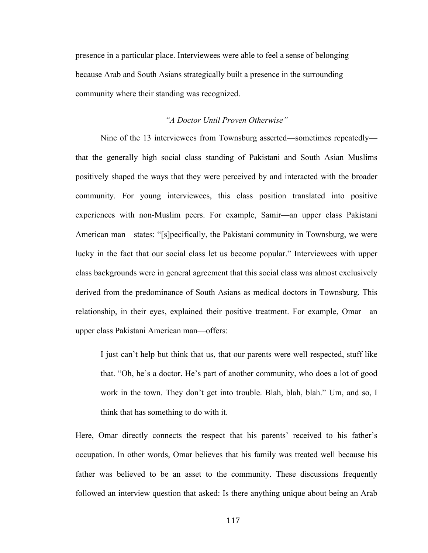presence in a particular place. Interviewees were able to feel a sense of belonging because Arab and South Asians strategically built a presence in the surrounding community where their standing was recognized.

# *"A Doctor Until Proven Otherwise"*

Nine of the 13 interviewees from Townsburg asserted—sometimes repeatedly that the generally high social class standing of Pakistani and South Asian Muslims positively shaped the ways that they were perceived by and interacted with the broader community. For young interviewees, this class position translated into positive experiences with non-Muslim peers. For example, Samir—an upper class Pakistani American man—states: "[s]pecifically, the Pakistani community in Townsburg, we were lucky in the fact that our social class let us become popular." Interviewees with upper class backgrounds were in general agreement that this social class was almost exclusively derived from the predominance of South Asians as medical doctors in Townsburg. This relationship, in their eyes, explained their positive treatment. For example, Omar—an upper class Pakistani American man—offers:

I just can't help but think that us, that our parents were well respected, stuff like that. "Oh, he's a doctor. He's part of another community, who does a lot of good work in the town. They don't get into trouble. Blah, blah, blah." Um, and so, I think that has something to do with it.

Here, Omar directly connects the respect that his parents' received to his father's occupation. In other words, Omar believes that his family was treated well because his father was believed to be an asset to the community. These discussions frequently followed an interview question that asked: Is there anything unique about being an Arab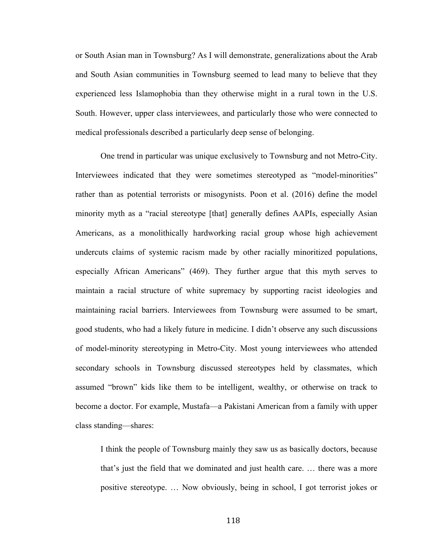or South Asian man in Townsburg? As I will demonstrate, generalizations about the Arab and South Asian communities in Townsburg seemed to lead many to believe that they experienced less Islamophobia than they otherwise might in a rural town in the U.S. South. However, upper class interviewees, and particularly those who were connected to medical professionals described a particularly deep sense of belonging.

One trend in particular was unique exclusively to Townsburg and not Metro-City. Interviewees indicated that they were sometimes stereotyped as "model-minorities" rather than as potential terrorists or misogynists. Poon et al. (2016) define the model minority myth as a "racial stereotype [that] generally defines AAPIs, especially Asian Americans, as a monolithically hardworking racial group whose high achievement undercuts claims of systemic racism made by other racially minoritized populations, especially African Americans" (469). They further argue that this myth serves to maintain a racial structure of white supremacy by supporting racist ideologies and maintaining racial barriers. Interviewees from Townsburg were assumed to be smart, good students, who had a likely future in medicine. I didn't observe any such discussions of model-minority stereotyping in Metro-City. Most young interviewees who attended secondary schools in Townsburg discussed stereotypes held by classmates, which assumed "brown" kids like them to be intelligent, wealthy, or otherwise on track to become a doctor. For example, Mustafa—a Pakistani American from a family with upper class standing—shares:

I think the people of Townsburg mainly they saw us as basically doctors, because that's just the field that we dominated and just health care. … there was a more positive stereotype. … Now obviously, being in school, I got terrorist jokes or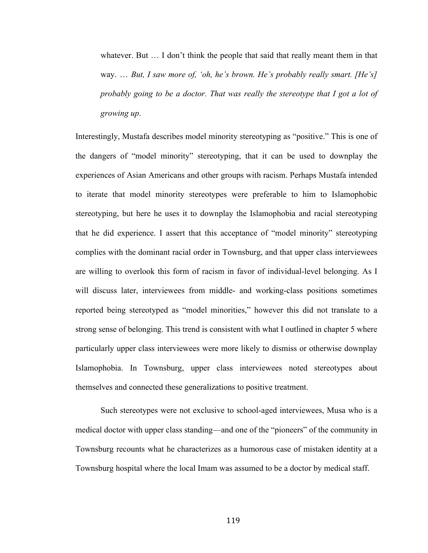whatever. But ... I don't think the people that said that really meant them in that way. … *But, I saw more of, 'oh, he's brown. He's probably really smart. [He's] probably going to be a doctor. That was really the stereotype that I got a lot of growing up*.

Interestingly, Mustafa describes model minority stereotyping as "positive." This is one of the dangers of "model minority" stereotyping, that it can be used to downplay the experiences of Asian Americans and other groups with racism. Perhaps Mustafa intended to iterate that model minority stereotypes were preferable to him to Islamophobic stereotyping, but here he uses it to downplay the Islamophobia and racial stereotyping that he did experience. I assert that this acceptance of "model minority" stereotyping complies with the dominant racial order in Townsburg, and that upper class interviewees are willing to overlook this form of racism in favor of individual-level belonging. As I will discuss later, interviewees from middle- and working-class positions sometimes reported being stereotyped as "model minorities," however this did not translate to a strong sense of belonging. This trend is consistent with what I outlined in chapter 5 where particularly upper class interviewees were more likely to dismiss or otherwise downplay Islamophobia. In Townsburg, upper class interviewees noted stereotypes about themselves and connected these generalizations to positive treatment.

Such stereotypes were not exclusive to school-aged interviewees, Musa who is a medical doctor with upper class standing—and one of the "pioneers" of the community in Townsburg recounts what he characterizes as a humorous case of mistaken identity at a Townsburg hospital where the local Imam was assumed to be a doctor by medical staff.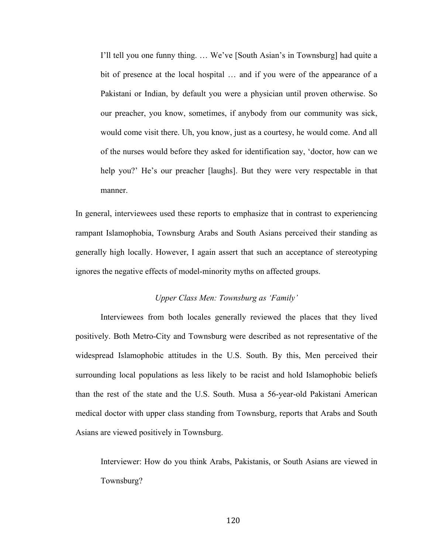I'll tell you one funny thing. … We've [South Asian's in Townsburg] had quite a bit of presence at the local hospital … and if you were of the appearance of a Pakistani or Indian, by default you were a physician until proven otherwise. So our preacher, you know, sometimes, if anybody from our community was sick, would come visit there. Uh, you know, just as a courtesy, he would come. And all of the nurses would before they asked for identification say, 'doctor, how can we help you?' He's our preacher [laughs]. But they were very respectable in that manner.

In general, interviewees used these reports to emphasize that in contrast to experiencing rampant Islamophobia, Townsburg Arabs and South Asians perceived their standing as generally high locally. However, I again assert that such an acceptance of stereotyping ignores the negative effects of model-minority myths on affected groups.

## *Upper Class Men: Townsburg as 'Family'*

Interviewees from both locales generally reviewed the places that they lived positively. Both Metro-City and Townsburg were described as not representative of the widespread Islamophobic attitudes in the U.S. South. By this, Men perceived their surrounding local populations as less likely to be racist and hold Islamophobic beliefs than the rest of the state and the U.S. South. Musa a 56-year-old Pakistani American medical doctor with upper class standing from Townsburg, reports that Arabs and South Asians are viewed positively in Townsburg.

Interviewer: How do you think Arabs, Pakistanis, or South Asians are viewed in Townsburg?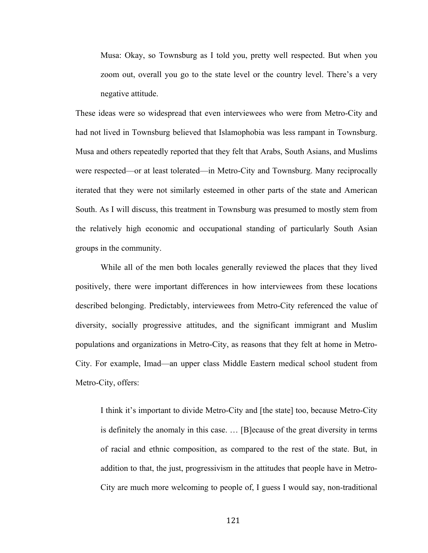Musa: Okay, so Townsburg as I told you, pretty well respected. But when you zoom out, overall you go to the state level or the country level. There's a very negative attitude.

These ideas were so widespread that even interviewees who were from Metro-City and had not lived in Townsburg believed that Islamophobia was less rampant in Townsburg. Musa and others repeatedly reported that they felt that Arabs, South Asians, and Muslims were respected—or at least tolerated—in Metro-City and Townsburg. Many reciprocally iterated that they were not similarly esteemed in other parts of the state and American South. As I will discuss, this treatment in Townsburg was presumed to mostly stem from the relatively high economic and occupational standing of particularly South Asian groups in the community.

While all of the men both locales generally reviewed the places that they lived positively, there were important differences in how interviewees from these locations described belonging. Predictably, interviewees from Metro-City referenced the value of diversity, socially progressive attitudes, and the significant immigrant and Muslim populations and organizations in Metro-City, as reasons that they felt at home in Metro-City. For example, Imad—an upper class Middle Eastern medical school student from Metro-City, offers:

I think it's important to divide Metro-City and [the state] too, because Metro-City is definitely the anomaly in this case. … [B]ecause of the great diversity in terms of racial and ethnic composition, as compared to the rest of the state. But, in addition to that, the just, progressivism in the attitudes that people have in Metro-City are much more welcoming to people of, I guess I would say, non-traditional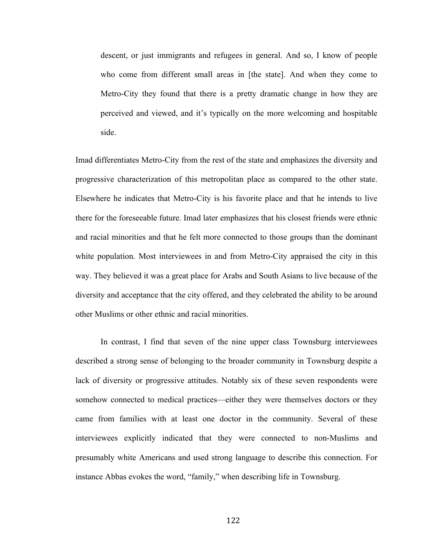descent, or just immigrants and refugees in general. And so, I know of people who come from different small areas in [the state]. And when they come to Metro-City they found that there is a pretty dramatic change in how they are perceived and viewed, and it's typically on the more welcoming and hospitable side.

Imad differentiates Metro-City from the rest of the state and emphasizes the diversity and progressive characterization of this metropolitan place as compared to the other state. Elsewhere he indicates that Metro-City is his favorite place and that he intends to live there for the foreseeable future. Imad later emphasizes that his closest friends were ethnic and racial minorities and that he felt more connected to those groups than the dominant white population. Most interviewees in and from Metro-City appraised the city in this way. They believed it was a great place for Arabs and South Asians to live because of the diversity and acceptance that the city offered, and they celebrated the ability to be around other Muslims or other ethnic and racial minorities.

In contrast, I find that seven of the nine upper class Townsburg interviewees described a strong sense of belonging to the broader community in Townsburg despite a lack of diversity or progressive attitudes. Notably six of these seven respondents were somehow connected to medical practices—either they were themselves doctors or they came from families with at least one doctor in the community. Several of these interviewees explicitly indicated that they were connected to non-Muslims and presumably white Americans and used strong language to describe this connection. For instance Abbas evokes the word, "family," when describing life in Townsburg.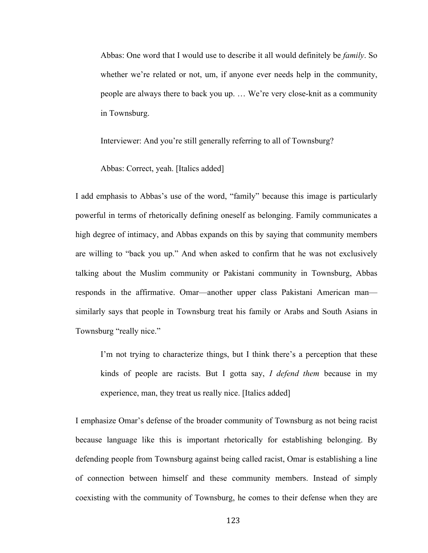Abbas: One word that I would use to describe it all would definitely be *family*. So whether we're related or not, um, if anyone ever needs help in the community, people are always there to back you up. … We're very close-knit as a community in Townsburg.

Interviewer: And you're still generally referring to all of Townsburg?

Abbas: Correct, yeah. [Italics added]

I add emphasis to Abbas's use of the word, "family" because this image is particularly powerful in terms of rhetorically defining oneself as belonging. Family communicates a high degree of intimacy, and Abbas expands on this by saying that community members are willing to "back you up." And when asked to confirm that he was not exclusively talking about the Muslim community or Pakistani community in Townsburg, Abbas responds in the affirmative. Omar—another upper class Pakistani American man similarly says that people in Townsburg treat his family or Arabs and South Asians in Townsburg "really nice."

I'm not trying to characterize things, but I think there's a perception that these kinds of people are racists. But I gotta say, *I defend them* because in my experience, man, they treat us really nice. [Italics added]

I emphasize Omar's defense of the broader community of Townsburg as not being racist because language like this is important rhetorically for establishing belonging. By defending people from Townsburg against being called racist, Omar is establishing a line of connection between himself and these community members. Instead of simply coexisting with the community of Townsburg, he comes to their defense when they are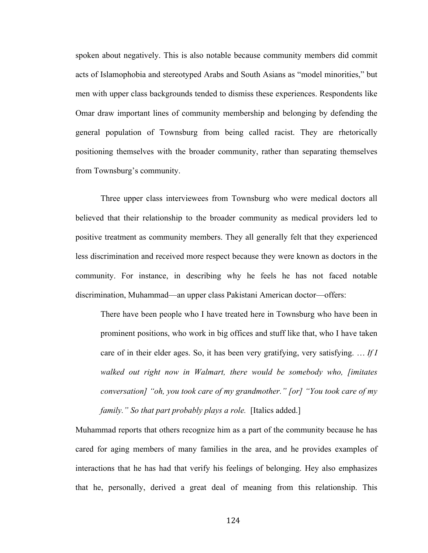spoken about negatively. This is also notable because community members did commit acts of Islamophobia and stereotyped Arabs and South Asians as "model minorities," but men with upper class backgrounds tended to dismiss these experiences. Respondents like Omar draw important lines of community membership and belonging by defending the general population of Townsburg from being called racist. They are rhetorically positioning themselves with the broader community, rather than separating themselves from Townsburg's community.

Three upper class interviewees from Townsburg who were medical doctors all believed that their relationship to the broader community as medical providers led to positive treatment as community members. They all generally felt that they experienced less discrimination and received more respect because they were known as doctors in the community. For instance, in describing why he feels he has not faced notable discrimination, Muhammad—an upper class Pakistani American doctor—offers:

There have been people who I have treated here in Townsburg who have been in prominent positions, who work in big offices and stuff like that, who I have taken care of in their elder ages. So, it has been very gratifying, very satisfying. … *If I walked out right now in Walmart, there would be somebody who, [imitates conversation] "oh, you took care of my grandmother." [or] "You took care of my family." So that part probably plays a role.* [Italics added.]

Muhammad reports that others recognize him as a part of the community because he has cared for aging members of many families in the area, and he provides examples of interactions that he has had that verify his feelings of belonging. Hey also emphasizes that he, personally, derived a great deal of meaning from this relationship. This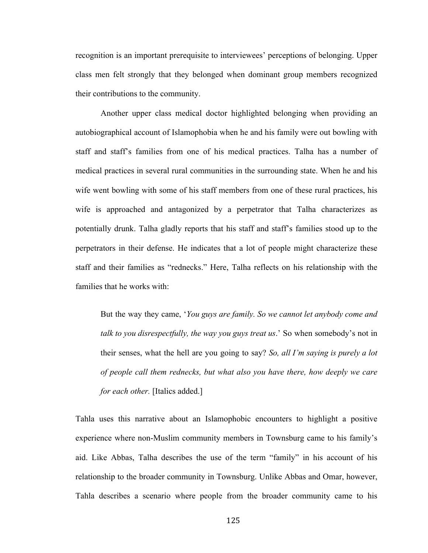recognition is an important prerequisite to interviewees' perceptions of belonging. Upper class men felt strongly that they belonged when dominant group members recognized their contributions to the community.

Another upper class medical doctor highlighted belonging when providing an autobiographical account of Islamophobia when he and his family were out bowling with staff and staff's families from one of his medical practices. Talha has a number of medical practices in several rural communities in the surrounding state. When he and his wife went bowling with some of his staff members from one of these rural practices, his wife is approached and antagonized by a perpetrator that Talha characterizes as potentially drunk. Talha gladly reports that his staff and staff's families stood up to the perpetrators in their defense. He indicates that a lot of people might characterize these staff and their families as "rednecks." Here, Talha reflects on his relationship with the families that he works with:

But the way they came, '*You guys are family. So we cannot let anybody come and talk to you disrespectfully, the way you guys treat us*.' So when somebody's not in their senses, what the hell are you going to say? *So, all I'm saying is purely a lot of people call them rednecks, but what also you have there, how deeply we care for each other.* [Italics added.]

Tahla uses this narrative about an Islamophobic encounters to highlight a positive experience where non-Muslim community members in Townsburg came to his family's aid. Like Abbas, Talha describes the use of the term "family" in his account of his relationship to the broader community in Townsburg. Unlike Abbas and Omar, however, Tahla describes a scenario where people from the broader community came to his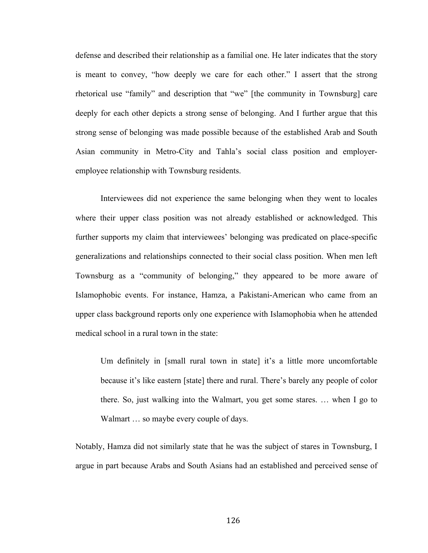defense and described their relationship as a familial one. He later indicates that the story is meant to convey, "how deeply we care for each other." I assert that the strong rhetorical use "family" and description that "we" [the community in Townsburg] care deeply for each other depicts a strong sense of belonging. And I further argue that this strong sense of belonging was made possible because of the established Arab and South Asian community in Metro-City and Tahla's social class position and employeremployee relationship with Townsburg residents.

Interviewees did not experience the same belonging when they went to locales where their upper class position was not already established or acknowledged. This further supports my claim that interviewees' belonging was predicated on place-specific generalizations and relationships connected to their social class position. When men left Townsburg as a "community of belonging," they appeared to be more aware of Islamophobic events. For instance, Hamza, a Pakistani-American who came from an upper class background reports only one experience with Islamophobia when he attended medical school in a rural town in the state:

Um definitely in [small rural town in state] it's a little more uncomfortable because it's like eastern [state] there and rural. There's barely any people of color there. So, just walking into the Walmart, you get some stares. … when I go to Walmart ... so maybe every couple of days.

Notably, Hamza did not similarly state that he was the subject of stares in Townsburg, I argue in part because Arabs and South Asians had an established and perceived sense of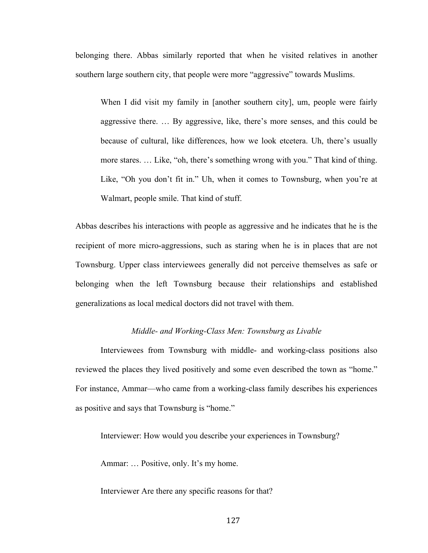belonging there. Abbas similarly reported that when he visited relatives in another southern large southern city, that people were more "aggressive" towards Muslims.

When I did visit my family in [another southern city], um, people were fairly aggressive there. … By aggressive, like, there's more senses, and this could be because of cultural, like differences, how we look etcetera. Uh, there's usually more stares. … Like, "oh, there's something wrong with you." That kind of thing. Like, "Oh you don't fit in." Uh, when it comes to Townsburg, when you're at Walmart, people smile. That kind of stuff.

Abbas describes his interactions with people as aggressive and he indicates that he is the recipient of more micro-aggressions, such as staring when he is in places that are not Townsburg. Upper class interviewees generally did not perceive themselves as safe or belonging when the left Townsburg because their relationships and established generalizations as local medical doctors did not travel with them.

## *Middle- and Working-Class Men: Townsburg as Livable*

Interviewees from Townsburg with middle- and working-class positions also reviewed the places they lived positively and some even described the town as "home." For instance, Ammar—who came from a working-class family describes his experiences as positive and says that Townsburg is "home."

Interviewer: How would you describe your experiences in Townsburg?

Ammar: … Positive, only. It's my home.

Interviewer Are there any specific reasons for that?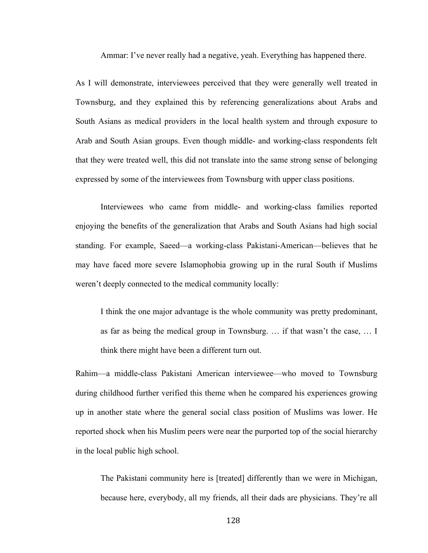Ammar: I've never really had a negative, yeah. Everything has happened there.

As I will demonstrate, interviewees perceived that they were generally well treated in Townsburg, and they explained this by referencing generalizations about Arabs and South Asians as medical providers in the local health system and through exposure to Arab and South Asian groups. Even though middle- and working-class respondents felt that they were treated well, this did not translate into the same strong sense of belonging expressed by some of the interviewees from Townsburg with upper class positions.

Interviewees who came from middle- and working-class families reported enjoying the benefits of the generalization that Arabs and South Asians had high social standing. For example, Saeed—a working-class Pakistani-American—believes that he may have faced more severe Islamophobia growing up in the rural South if Muslims weren't deeply connected to the medical community locally:

I think the one major advantage is the whole community was pretty predominant, as far as being the medical group in Townsburg. … if that wasn't the case, … I think there might have been a different turn out.

Rahim—a middle-class Pakistani American interviewee—who moved to Townsburg during childhood further verified this theme when he compared his experiences growing up in another state where the general social class position of Muslims was lower. He reported shock when his Muslim peers were near the purported top of the social hierarchy in the local public high school.

The Pakistani community here is [treated] differently than we were in Michigan, because here, everybody, all my friends, all their dads are physicians. They're all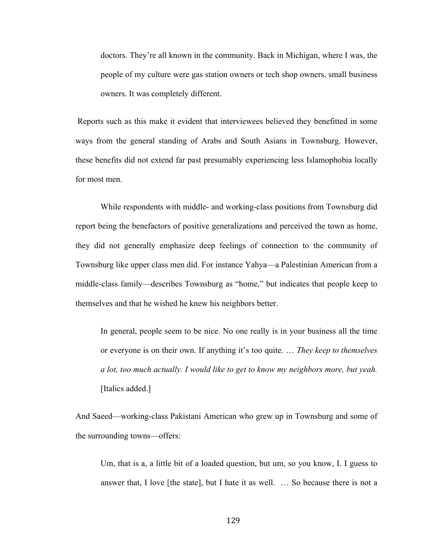doctors. They're all known in the community. Back in Michigan, where I was, the people of my culture were gas station owners or tech shop owners, small business owners. It was completely different.

Reports such as this make it evident that interviewees believed they benefitted in some ways from the general standing of Arabs and South Asians in Townsburg. However, these benefits did not extend far past presumably experiencing less Islamophobia locally for most men.

While respondents with middle- and working-class positions from Townsburg did report being the benefactors of positive generalizations and perceived the town as home, they did not generally emphasize deep feelings of connection to the community of Townsburg like upper class men did. For instance Yahya—a Palestinian American from a middle-class family—describes Townsburg as "home," but indicates that people keep to themselves and that he wished he knew his neighbors better.

In general, people seem to be nice. No one really is in your business all the time or everyone is on their own. If anything it's too quite. … *They keep to themselves a lot, too much actually. I would like to get to know my neighbors more, but yeah.* [Italics added.]

And Saeed—working-class Pakistani American who grew up in Townsburg and some of the surrounding towns—offers:

Um, that is a, a little bit of a loaded question, but um, so you know, I. I guess to answer that, I love [the state], but I hate it as well. … So because there is not a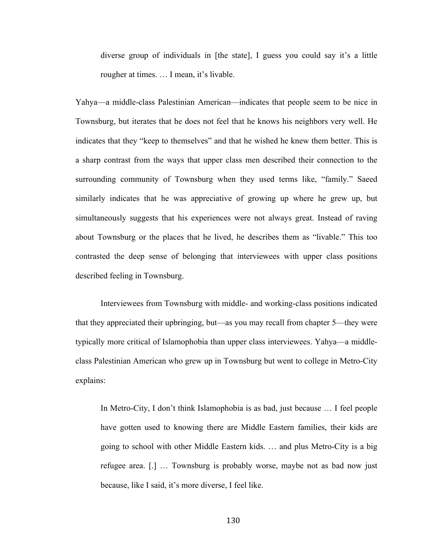diverse group of individuals in [the state], I guess you could say it's a little rougher at times. … I mean, it's livable.

Yahya—a middle-class Palestinian American—indicates that people seem to be nice in Townsburg, but iterates that he does not feel that he knows his neighbors very well. He indicates that they "keep to themselves" and that he wished he knew them better. This is a sharp contrast from the ways that upper class men described their connection to the surrounding community of Townsburg when they used terms like, "family." Saeed similarly indicates that he was appreciative of growing up where he grew up, but simultaneously suggests that his experiences were not always great. Instead of raving about Townsburg or the places that he lived, he describes them as "livable." This too contrasted the deep sense of belonging that interviewees with upper class positions described feeling in Townsburg.

Interviewees from Townsburg with middle- and working-class positions indicated that they appreciated their upbringing, but—as you may recall from chapter 5—they were typically more critical of Islamophobia than upper class interviewees. Yahya—a middleclass Palestinian American who grew up in Townsburg but went to college in Metro-City explains:

In Metro-City, I don't think Islamophobia is as bad, just because … I feel people have gotten used to knowing there are Middle Eastern families, their kids are going to school with other Middle Eastern kids. … and plus Metro-City is a big refugee area. [.] … Townsburg is probably worse, maybe not as bad now just because, like I said, it's more diverse, I feel like.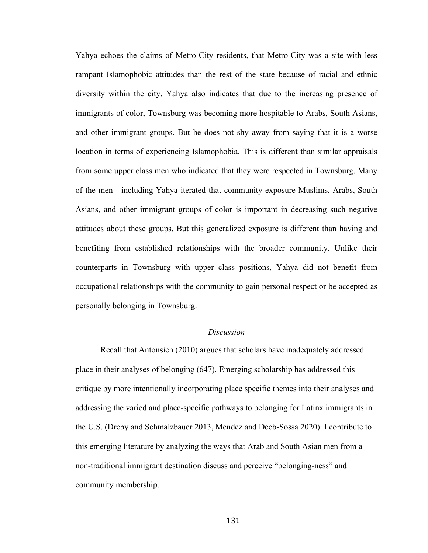Yahya echoes the claims of Metro-City residents, that Metro-City was a site with less rampant Islamophobic attitudes than the rest of the state because of racial and ethnic diversity within the city. Yahya also indicates that due to the increasing presence of immigrants of color, Townsburg was becoming more hospitable to Arabs, South Asians, and other immigrant groups. But he does not shy away from saying that it is a worse location in terms of experiencing Islamophobia. This is different than similar appraisals from some upper class men who indicated that they were respected in Townsburg. Many of the men—including Yahya iterated that community exposure Muslims, Arabs, South Asians, and other immigrant groups of color is important in decreasing such negative attitudes about these groups. But this generalized exposure is different than having and benefiting from established relationships with the broader community. Unlike their counterparts in Townsburg with upper class positions, Yahya did not benefit from occupational relationships with the community to gain personal respect or be accepted as personally belonging in Townsburg.

### *Discussion*

Recall that Antonsich (2010) argues that scholars have inadequately addressed place in their analyses of belonging (647). Emerging scholarship has addressed this critique by more intentionally incorporating place specific themes into their analyses and addressing the varied and place-specific pathways to belonging for Latinx immigrants in the U.S. (Dreby and Schmalzbauer 2013, Mendez and Deeb-Sossa 2020). I contribute to this emerging literature by analyzing the ways that Arab and South Asian men from a non-traditional immigrant destination discuss and perceive "belonging-ness" and community membership.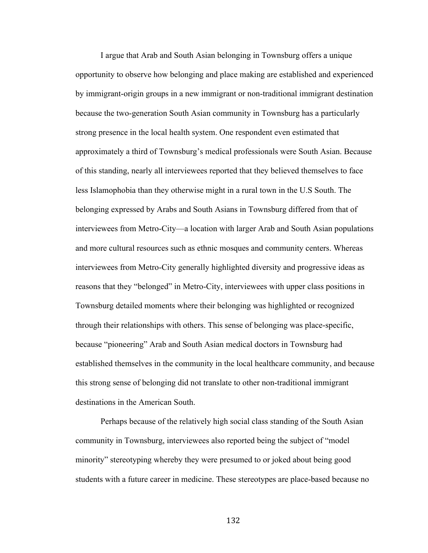I argue that Arab and South Asian belonging in Townsburg offers a unique opportunity to observe how belonging and place making are established and experienced by immigrant-origin groups in a new immigrant or non-traditional immigrant destination because the two-generation South Asian community in Townsburg has a particularly strong presence in the local health system. One respondent even estimated that approximately a third of Townsburg's medical professionals were South Asian. Because of this standing, nearly all interviewees reported that they believed themselves to face less Islamophobia than they otherwise might in a rural town in the U.S South. The belonging expressed by Arabs and South Asians in Townsburg differed from that of interviewees from Metro-City—a location with larger Arab and South Asian populations and more cultural resources such as ethnic mosques and community centers. Whereas interviewees from Metro-City generally highlighted diversity and progressive ideas as reasons that they "belonged" in Metro-City, interviewees with upper class positions in Townsburg detailed moments where their belonging was highlighted or recognized through their relationships with others. This sense of belonging was place-specific, because "pioneering" Arab and South Asian medical doctors in Townsburg had established themselves in the community in the local healthcare community, and because this strong sense of belonging did not translate to other non-traditional immigrant destinations in the American South.

Perhaps because of the relatively high social class standing of the South Asian community in Townsburg, interviewees also reported being the subject of "model minority" stereotyping whereby they were presumed to or joked about being good students with a future career in medicine. These stereotypes are place-based because no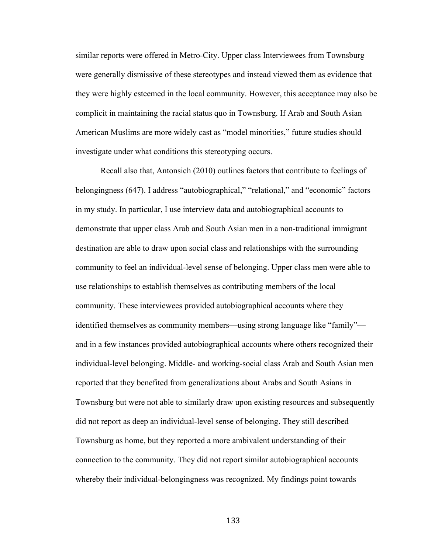similar reports were offered in Metro-City. Upper class Interviewees from Townsburg were generally dismissive of these stereotypes and instead viewed them as evidence that they were highly esteemed in the local community. However, this acceptance may also be complicit in maintaining the racial status quo in Townsburg. If Arab and South Asian American Muslims are more widely cast as "model minorities," future studies should investigate under what conditions this stereotyping occurs.

Recall also that, Antonsich (2010) outlines factors that contribute to feelings of belongingness (647). I address "autobiographical," "relational," and "economic" factors in my study. In particular, I use interview data and autobiographical accounts to demonstrate that upper class Arab and South Asian men in a non-traditional immigrant destination are able to draw upon social class and relationships with the surrounding community to feel an individual-level sense of belonging. Upper class men were able to use relationships to establish themselves as contributing members of the local community. These interviewees provided autobiographical accounts where they identified themselves as community members—using strong language like "family" and in a few instances provided autobiographical accounts where others recognized their individual-level belonging. Middle- and working-social class Arab and South Asian men reported that they benefited from generalizations about Arabs and South Asians in Townsburg but were not able to similarly draw upon existing resources and subsequently did not report as deep an individual-level sense of belonging. They still described Townsburg as home, but they reported a more ambivalent understanding of their connection to the community. They did not report similar autobiographical accounts whereby their individual-belongingness was recognized. My findings point towards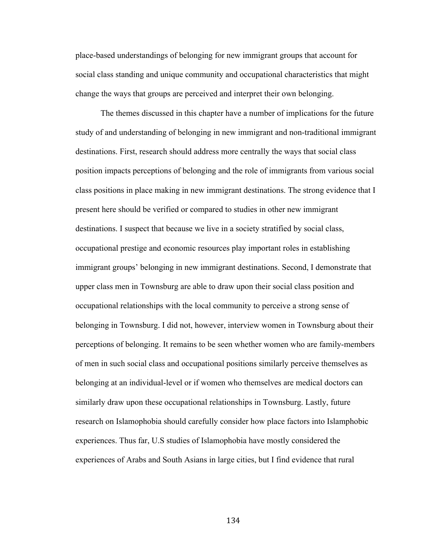place-based understandings of belonging for new immigrant groups that account for social class standing and unique community and occupational characteristics that might change the ways that groups are perceived and interpret their own belonging.

The themes discussed in this chapter have a number of implications for the future study of and understanding of belonging in new immigrant and non-traditional immigrant destinations. First, research should address more centrally the ways that social class position impacts perceptions of belonging and the role of immigrants from various social class positions in place making in new immigrant destinations. The strong evidence that I present here should be verified or compared to studies in other new immigrant destinations. I suspect that because we live in a society stratified by social class, occupational prestige and economic resources play important roles in establishing immigrant groups' belonging in new immigrant destinations. Second, I demonstrate that upper class men in Townsburg are able to draw upon their social class position and occupational relationships with the local community to perceive a strong sense of belonging in Townsburg. I did not, however, interview women in Townsburg about their perceptions of belonging. It remains to be seen whether women who are family-members of men in such social class and occupational positions similarly perceive themselves as belonging at an individual-level or if women who themselves are medical doctors can similarly draw upon these occupational relationships in Townsburg. Lastly, future research on Islamophobia should carefully consider how place factors into Islamphobic experiences. Thus far, U.S studies of Islamophobia have mostly considered the experiences of Arabs and South Asians in large cities, but I find evidence that rural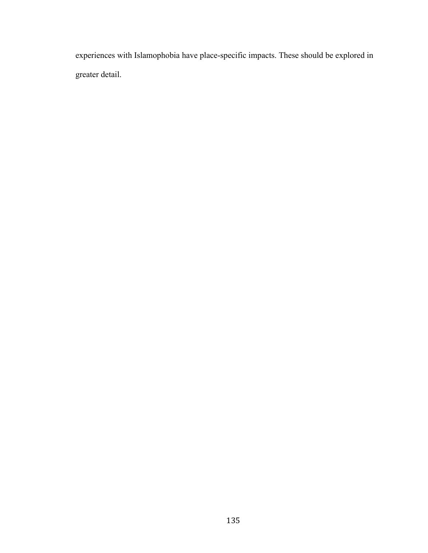experiences with Islamophobia have place-specific impacts. These should be explored in greater detail.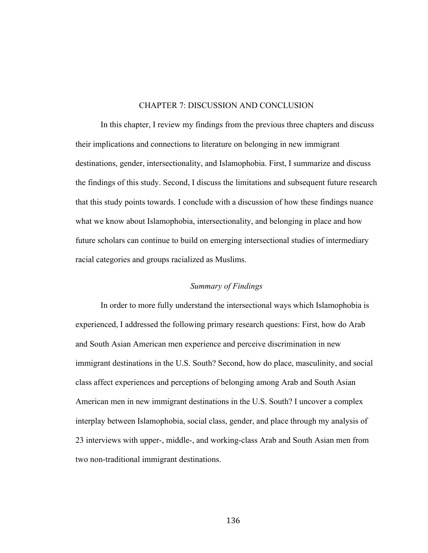#### CHAPTER 7: DISCUSSION AND CONCLUSION

In this chapter, I review my findings from the previous three chapters and discuss their implications and connections to literature on belonging in new immigrant destinations, gender, intersectionality, and Islamophobia. First, I summarize and discuss the findings of this study. Second, I discuss the limitations and subsequent future research that this study points towards. I conclude with a discussion of how these findings nuance what we know about Islamophobia, intersectionality, and belonging in place and how future scholars can continue to build on emerging intersectional studies of intermediary racial categories and groups racialized as Muslims.

### *Summary of Findings*

In order to more fully understand the intersectional ways which Islamophobia is experienced, I addressed the following primary research questions: First, how do Arab and South Asian American men experience and perceive discrimination in new immigrant destinations in the U.S. South? Second, how do place, masculinity, and social class affect experiences and perceptions of belonging among Arab and South Asian American men in new immigrant destinations in the U.S. South? I uncover a complex interplay between Islamophobia, social class, gender, and place through my analysis of 23 interviews with upper-, middle-, and working-class Arab and South Asian men from two non-traditional immigrant destinations.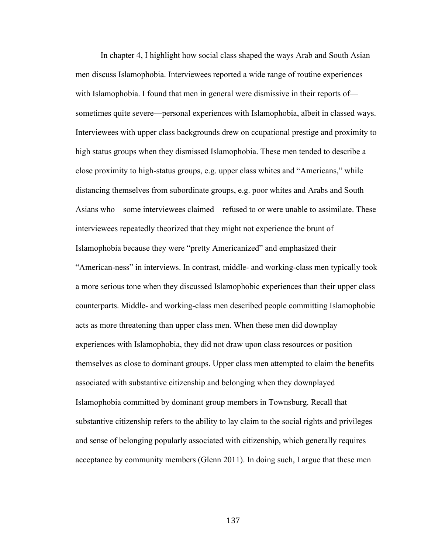In chapter 4, I highlight how social class shaped the ways Arab and South Asian men discuss Islamophobia. Interviewees reported a wide range of routine experiences with Islamophobia. I found that men in general were dismissive in their reports of sometimes quite severe—personal experiences with Islamophobia, albeit in classed ways. Interviewees with upper class backgrounds drew on ccupational prestige and proximity to high status groups when they dismissed Islamophobia. These men tended to describe a close proximity to high-status groups, e.g. upper class whites and "Americans," while distancing themselves from subordinate groups, e.g. poor whites and Arabs and South Asians who—some interviewees claimed—refused to or were unable to assimilate. These interviewees repeatedly theorized that they might not experience the brunt of Islamophobia because they were "pretty Americanized" and emphasized their "American-ness" in interviews. In contrast, middle- and working-class men typically took a more serious tone when they discussed Islamophobic experiences than their upper class counterparts. Middle- and working-class men described people committing Islamophobic acts as more threatening than upper class men. When these men did downplay experiences with Islamophobia, they did not draw upon class resources or position themselves as close to dominant groups. Upper class men attempted to claim the benefits associated with substantive citizenship and belonging when they downplayed Islamophobia committed by dominant group members in Townsburg. Recall that substantive citizenship refers to the ability to lay claim to the social rights and privileges and sense of belonging popularly associated with citizenship, which generally requires acceptance by community members (Glenn 2011). In doing such, I argue that these men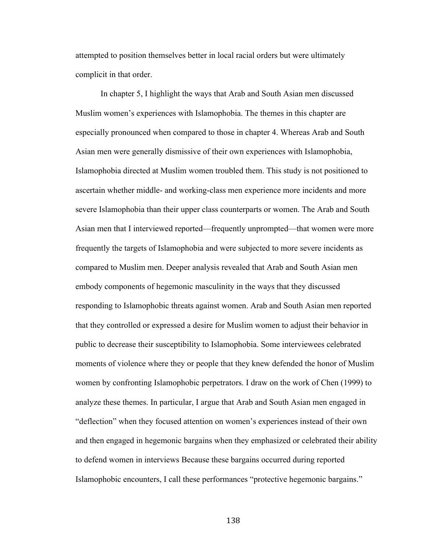attempted to position themselves better in local racial orders but were ultimately complicit in that order.

In chapter 5, I highlight the ways that Arab and South Asian men discussed Muslim women's experiences with Islamophobia. The themes in this chapter are especially pronounced when compared to those in chapter 4. Whereas Arab and South Asian men were generally dismissive of their own experiences with Islamophobia, Islamophobia directed at Muslim women troubled them. This study is not positioned to ascertain whether middle- and working-class men experience more incidents and more severe Islamophobia than their upper class counterparts or women. The Arab and South Asian men that I interviewed reported—frequently unprompted—that women were more frequently the targets of Islamophobia and were subjected to more severe incidents as compared to Muslim men. Deeper analysis revealed that Arab and South Asian men embody components of hegemonic masculinity in the ways that they discussed responding to Islamophobic threats against women. Arab and South Asian men reported that they controlled or expressed a desire for Muslim women to adjust their behavior in public to decrease their susceptibility to Islamophobia. Some interviewees celebrated moments of violence where they or people that they knew defended the honor of Muslim women by confronting Islamophobic perpetrators. I draw on the work of Chen (1999) to analyze these themes. In particular, I argue that Arab and South Asian men engaged in "deflection" when they focused attention on women's experiences instead of their own and then engaged in hegemonic bargains when they emphasized or celebrated their ability to defend women in interviews Because these bargains occurred during reported Islamophobic encounters, I call these performances "protective hegemonic bargains."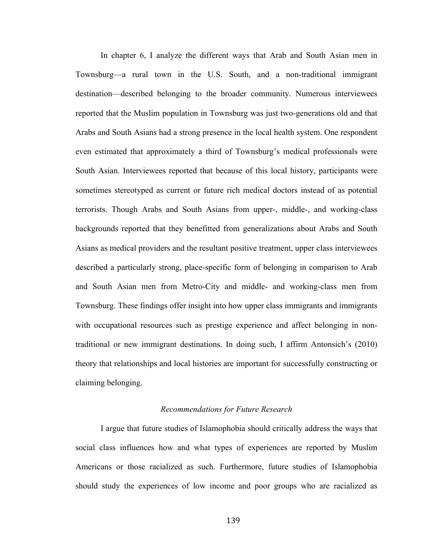In chapter 6, I analyze the different ways that Arab and South Asian men in Townsburg—a rural town in the U.S. South, and a non-traditional immigrant destination—described belonging to the broader community. Numerous interviewees reported that the Muslim population in Townsburg was just two-generations old and that Arabs and South Asians had a strong presence in the local health system. One respondent even estimated that approximately a third of Townsburg's medical professionals were South Asian. Interviewees reported that because of this local history, participants were sometimes stereotyped as current or future rich medical doctors instead of as potential terrorists. Though Arabs and South Asians from upper-, middle-, and working-class backgrounds reported that they benefitted from generalizations about Arabs and South Asians as medical providers and the resultant positive treatment, upper class interviewees described a particularly strong, place-specific form of belonging in comparison to Arab and South Asian men from Metro-City and middle- and working-class men from Townsburg. These findings offer insight into how upper class immigrants and immigrants with occupational resources such as prestige experience and affect belonging in nontraditional or new immigrant destinations. In doing such, I affirm Antonsich's (2010) theory that relationships and local histories are important for successfully constructing or claiming belonging.

#### *Recommendations for Future Research*

I argue that future studies of Islamophobia should critically address the ways that social class influences how and what types of experiences are reported by Muslim Americans or those racialized as such. Furthermore, future studies of Islamophobia should study the experiences of low income and poor groups who are racialized as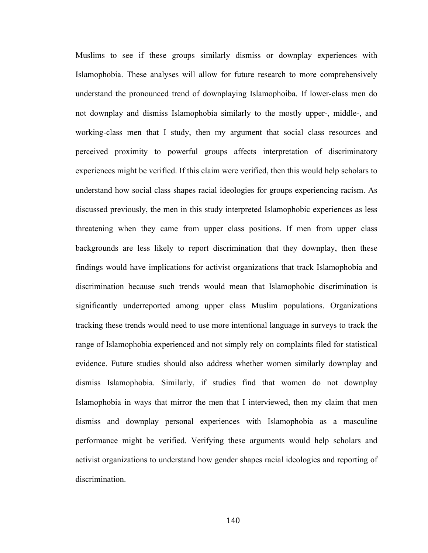Muslims to see if these groups similarly dismiss or downplay experiences with Islamophobia. These analyses will allow for future research to more comprehensively understand the pronounced trend of downplaying Islamophoiba. If lower-class men do not downplay and dismiss Islamophobia similarly to the mostly upper-, middle-, and working-class men that I study, then my argument that social class resources and perceived proximity to powerful groups affects interpretation of discriminatory experiences might be verified. If this claim were verified, then this would help scholars to understand how social class shapes racial ideologies for groups experiencing racism. As discussed previously, the men in this study interpreted Islamophobic experiences as less threatening when they came from upper class positions. If men from upper class backgrounds are less likely to report discrimination that they downplay, then these findings would have implications for activist organizations that track Islamophobia and discrimination because such trends would mean that Islamophobic discrimination is significantly underreported among upper class Muslim populations. Organizations tracking these trends would need to use more intentional language in surveys to track the range of Islamophobia experienced and not simply rely on complaints filed for statistical evidence. Future studies should also address whether women similarly downplay and dismiss Islamophobia. Similarly, if studies find that women do not downplay Islamophobia in ways that mirror the men that I interviewed, then my claim that men dismiss and downplay personal experiences with Islamophobia as a masculine performance might be verified. Verifying these arguments would help scholars and activist organizations to understand how gender shapes racial ideologies and reporting of discrimination.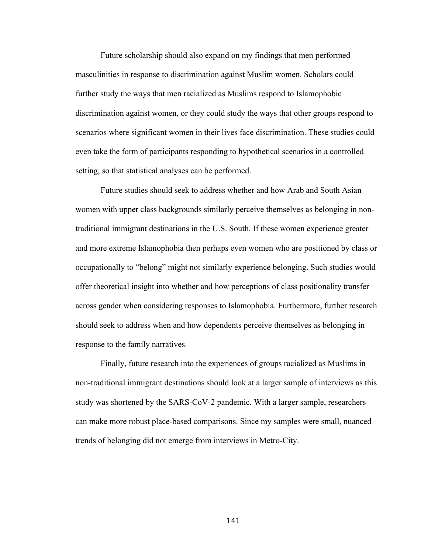Future scholarship should also expand on my findings that men performed masculinities in response to discrimination against Muslim women. Scholars could further study the ways that men racialized as Muslims respond to Islamophobic discrimination against women, or they could study the ways that other groups respond to scenarios where significant women in their lives face discrimination. These studies could even take the form of participants responding to hypothetical scenarios in a controlled setting, so that statistical analyses can be performed.

Future studies should seek to address whether and how Arab and South Asian women with upper class backgrounds similarly perceive themselves as belonging in nontraditional immigrant destinations in the U.S. South. If these women experience greater and more extreme Islamophobia then perhaps even women who are positioned by class or occupationally to "belong" might not similarly experience belonging. Such studies would offer theoretical insight into whether and how perceptions of class positionality transfer across gender when considering responses to Islamophobia. Furthermore, further research should seek to address when and how dependents perceive themselves as belonging in response to the family narratives.

Finally, future research into the experiences of groups racialized as Muslims in non-traditional immigrant destinations should look at a larger sample of interviews as this study was shortened by the SARS-CoV-2 pandemic. With a larger sample, researchers can make more robust place-based comparisons. Since my samples were small, nuanced trends of belonging did not emerge from interviews in Metro-City.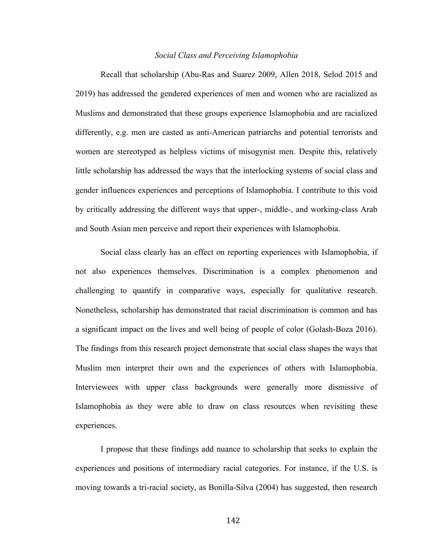#### *Social Class and Perceiving Islamophobia*

Recall that scholarship (Abu-Ras and Suarez 2009, Allen 2018, Selod 2015 and 2019) has addressed the gendered experiences of men and women who are racialized as Muslims and demonstrated that these groups experience Islamophobia and are racialized differently, e.g. men are casted as anti-American patriarchs and potential terrorists and women are stereotyped as helpless victims of misogynist men. Despite this, relatively little scholarship has addressed the ways that the interlocking systems of social class and gender influences experiences and perceptions of Islamophobia. I contribute to this void by critically addressing the different ways that upper-, middle-, and working-class Arab and South Asian men perceive and report their experiences with Islamophobia.

Social class clearly has an effect on reporting experiences with Islamophobia, if not also experiences themselves. Discrimination is a complex phenomenon and challenging to quantify in comparative ways, especially for qualitative research. Nonetheless, scholarship has demonstrated that racial discrimination is common and has a significant impact on the lives and well being of people of color (Golash-Boza 2016). The findings from this research project demonstrate that social class shapes the ways that Muslim men interpret their own and the experiences of others with Islamophobia. Interviewees with upper class backgrounds were generally more dismissive of Islamophobia as they were able to draw on class resources when revisiting these experiences.

I propose that these findings add nuance to scholarship that seeks to explain the experiences and positions of intermediary racial categories. For instance, if the U.S. is moving towards a tri-racial society, as Bonilla-Silva (2004) has suggested, then research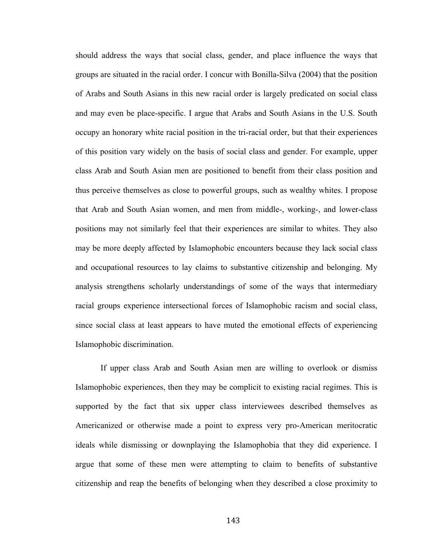should address the ways that social class, gender, and place influence the ways that groups are situated in the racial order. I concur with Bonilla-Silva (2004) that the position of Arabs and South Asians in this new racial order is largely predicated on social class and may even be place-specific. I argue that Arabs and South Asians in the U.S. South occupy an honorary white racial position in the tri-racial order, but that their experiences of this position vary widely on the basis of social class and gender. For example, upper class Arab and South Asian men are positioned to benefit from their class position and thus perceive themselves as close to powerful groups, such as wealthy whites. I propose that Arab and South Asian women, and men from middle-, working-, and lower-class positions may not similarly feel that their experiences are similar to whites. They also may be more deeply affected by Islamophobic encounters because they lack social class and occupational resources to lay claims to substantive citizenship and belonging. My analysis strengthens scholarly understandings of some of the ways that intermediary racial groups experience intersectional forces of Islamophobic racism and social class, since social class at least appears to have muted the emotional effects of experiencing Islamophobic discrimination.

If upper class Arab and South Asian men are willing to overlook or dismiss Islamophobic experiences, then they may be complicit to existing racial regimes. This is supported by the fact that six upper class interviewees described themselves as Americanized or otherwise made a point to express very pro-American meritocratic ideals while dismissing or downplaying the Islamophobia that they did experience. I argue that some of these men were attempting to claim to benefits of substantive citizenship and reap the benefits of belonging when they described a close proximity to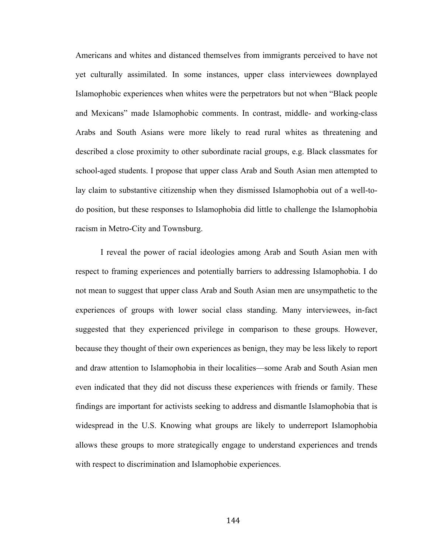Americans and whites and distanced themselves from immigrants perceived to have not yet culturally assimilated. In some instances, upper class interviewees downplayed Islamophobic experiences when whites were the perpetrators but not when "Black people and Mexicans" made Islamophobic comments. In contrast, middle- and working-class Arabs and South Asians were more likely to read rural whites as threatening and described a close proximity to other subordinate racial groups, e.g. Black classmates for school-aged students. I propose that upper class Arab and South Asian men attempted to lay claim to substantive citizenship when they dismissed Islamophobia out of a well-todo position, but these responses to Islamophobia did little to challenge the Islamophobia racism in Metro-City and Townsburg.

I reveal the power of racial ideologies among Arab and South Asian men with respect to framing experiences and potentially barriers to addressing Islamophobia. I do not mean to suggest that upper class Arab and South Asian men are unsympathetic to the experiences of groups with lower social class standing. Many interviewees, in-fact suggested that they experienced privilege in comparison to these groups. However, because they thought of their own experiences as benign, they may be less likely to report and draw attention to Islamophobia in their localities—some Arab and South Asian men even indicated that they did not discuss these experiences with friends or family. These findings are important for activists seeking to address and dismantle Islamophobia that is widespread in the U.S. Knowing what groups are likely to underreport Islamophobia allows these groups to more strategically engage to understand experiences and trends with respect to discrimination and Islamophobie experiences.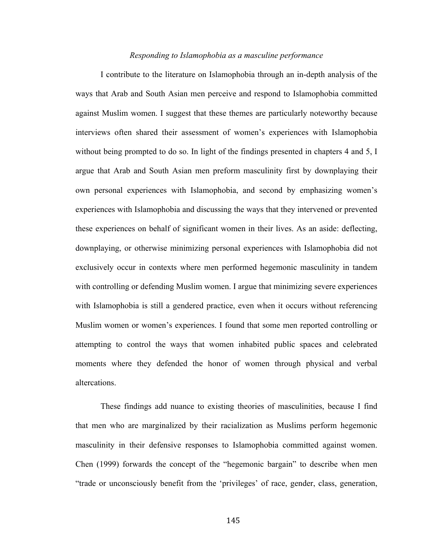#### *Responding to Islamophobia as a masculine performance*

I contribute to the literature on Islamophobia through an in-depth analysis of the ways that Arab and South Asian men perceive and respond to Islamophobia committed against Muslim women. I suggest that these themes are particularly noteworthy because interviews often shared their assessment of women's experiences with Islamophobia without being prompted to do so. In light of the findings presented in chapters 4 and 5, I argue that Arab and South Asian men preform masculinity first by downplaying their own personal experiences with Islamophobia, and second by emphasizing women's experiences with Islamophobia and discussing the ways that they intervened or prevented these experiences on behalf of significant women in their lives. As an aside: deflecting, downplaying, or otherwise minimizing personal experiences with Islamophobia did not exclusively occur in contexts where men performed hegemonic masculinity in tandem with controlling or defending Muslim women. I argue that minimizing severe experiences with Islamophobia is still a gendered practice, even when it occurs without referencing Muslim women or women's experiences. I found that some men reported controlling or attempting to control the ways that women inhabited public spaces and celebrated moments where they defended the honor of women through physical and verbal altercations.

These findings add nuance to existing theories of masculinities, because I find that men who are marginalized by their racialization as Muslims perform hegemonic masculinity in their defensive responses to Islamophobia committed against women. Chen (1999) forwards the concept of the "hegemonic bargain" to describe when men "trade or unconsciously benefit from the 'privileges' of race, gender, class, generation,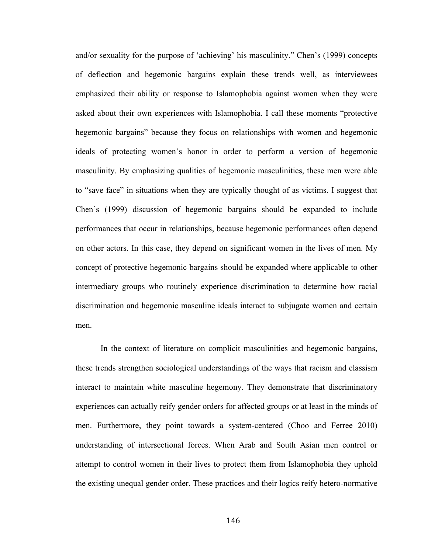and/or sexuality for the purpose of 'achieving' his masculinity." Chen's (1999) concepts of deflection and hegemonic bargains explain these trends well, as interviewees emphasized their ability or response to Islamophobia against women when they were asked about their own experiences with Islamophobia. I call these moments "protective hegemonic bargains" because they focus on relationships with women and hegemonic ideals of protecting women's honor in order to perform a version of hegemonic masculinity. By emphasizing qualities of hegemonic masculinities, these men were able to "save face" in situations when they are typically thought of as victims. I suggest that Chen's (1999) discussion of hegemonic bargains should be expanded to include performances that occur in relationships, because hegemonic performances often depend on other actors. In this case, they depend on significant women in the lives of men. My concept of protective hegemonic bargains should be expanded where applicable to other intermediary groups who routinely experience discrimination to determine how racial discrimination and hegemonic masculine ideals interact to subjugate women and certain men.

In the context of literature on complicit masculinities and hegemonic bargains, these trends strengthen sociological understandings of the ways that racism and classism interact to maintain white masculine hegemony. They demonstrate that discriminatory experiences can actually reify gender orders for affected groups or at least in the minds of men. Furthermore, they point towards a system-centered (Choo and Ferree 2010) understanding of intersectional forces. When Arab and South Asian men control or attempt to control women in their lives to protect them from Islamophobia they uphold the existing unequal gender order. These practices and their logics reify hetero-normative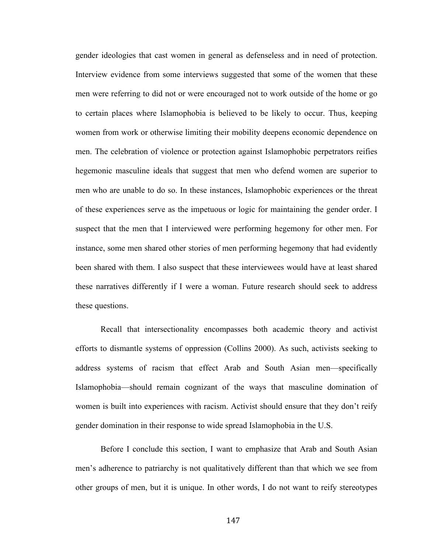gender ideologies that cast women in general as defenseless and in need of protection. Interview evidence from some interviews suggested that some of the women that these men were referring to did not or were encouraged not to work outside of the home or go to certain places where Islamophobia is believed to be likely to occur. Thus, keeping women from work or otherwise limiting their mobility deepens economic dependence on men. The celebration of violence or protection against Islamophobic perpetrators reifies hegemonic masculine ideals that suggest that men who defend women are superior to men who are unable to do so. In these instances, Islamophobic experiences or the threat of these experiences serve as the impetuous or logic for maintaining the gender order. I suspect that the men that I interviewed were performing hegemony for other men. For instance, some men shared other stories of men performing hegemony that had evidently been shared with them. I also suspect that these interviewees would have at least shared these narratives differently if I were a woman. Future research should seek to address these questions.

Recall that intersectionality encompasses both academic theory and activist efforts to dismantle systems of oppression (Collins 2000). As such, activists seeking to address systems of racism that effect Arab and South Asian men—specifically Islamophobia—should remain cognizant of the ways that masculine domination of women is built into experiences with racism. Activist should ensure that they don't reify gender domination in their response to wide spread Islamophobia in the U.S.

Before I conclude this section, I want to emphasize that Arab and South Asian men's adherence to patriarchy is not qualitatively different than that which we see from other groups of men, but it is unique. In other words, I do not want to reify stereotypes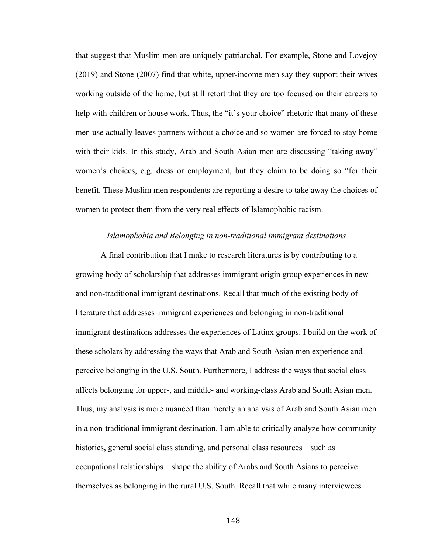that suggest that Muslim men are uniquely patriarchal. For example, Stone and Lovejoy (2019) and Stone (2007) find that white, upper-income men say they support their wives working outside of the home, but still retort that they are too focused on their careers to help with children or house work. Thus, the "it's your choice" rhetoric that many of these men use actually leaves partners without a choice and so women are forced to stay home with their kids. In this study, Arab and South Asian men are discussing "taking away" women's choices, e.g. dress or employment, but they claim to be doing so "for their benefit. These Muslim men respondents are reporting a desire to take away the choices of women to protect them from the very real effects of Islamophobic racism.

#### *Islamophobia and Belonging in non-traditional immigrant destinations*

A final contribution that I make to research literatures is by contributing to a growing body of scholarship that addresses immigrant-origin group experiences in new and non-traditional immigrant destinations. Recall that much of the existing body of literature that addresses immigrant experiences and belonging in non-traditional immigrant destinations addresses the experiences of Latinx groups. I build on the work of these scholars by addressing the ways that Arab and South Asian men experience and perceive belonging in the U.S. South. Furthermore, I address the ways that social class affects belonging for upper-, and middle- and working-class Arab and South Asian men. Thus, my analysis is more nuanced than merely an analysis of Arab and South Asian men in a non-traditional immigrant destination. I am able to critically analyze how community histories, general social class standing, and personal class resources—such as occupational relationships—shape the ability of Arabs and South Asians to perceive themselves as belonging in the rural U.S. South. Recall that while many interviewees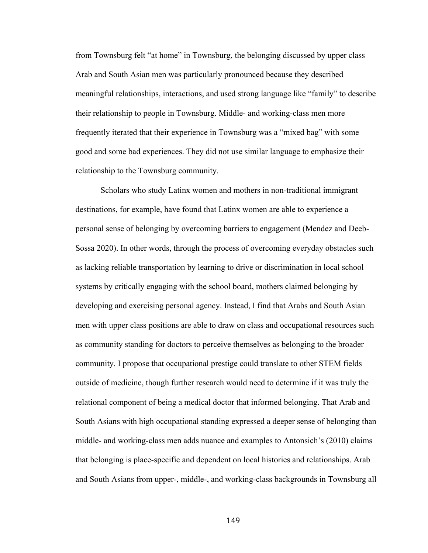from Townsburg felt "at home" in Townsburg, the belonging discussed by upper class Arab and South Asian men was particularly pronounced because they described meaningful relationships, interactions, and used strong language like "family" to describe their relationship to people in Townsburg. Middle- and working-class men more frequently iterated that their experience in Townsburg was a "mixed bag" with some good and some bad experiences. They did not use similar language to emphasize their relationship to the Townsburg community.

Scholars who study Latinx women and mothers in non-traditional immigrant destinations, for example, have found that Latinx women are able to experience a personal sense of belonging by overcoming barriers to engagement (Mendez and Deeb-Sossa 2020). In other words, through the process of overcoming everyday obstacles such as lacking reliable transportation by learning to drive or discrimination in local school systems by critically engaging with the school board, mothers claimed belonging by developing and exercising personal agency. Instead, I find that Arabs and South Asian men with upper class positions are able to draw on class and occupational resources such as community standing for doctors to perceive themselves as belonging to the broader community. I propose that occupational prestige could translate to other STEM fields outside of medicine, though further research would need to determine if it was truly the relational component of being a medical doctor that informed belonging. That Arab and South Asians with high occupational standing expressed a deeper sense of belonging than middle- and working-class men adds nuance and examples to Antonsich's (2010) claims that belonging is place-specific and dependent on local histories and relationships. Arab and South Asians from upper-, middle-, and working-class backgrounds in Townsburg all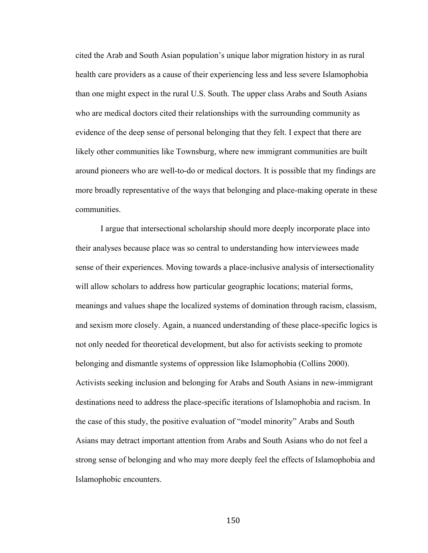cited the Arab and South Asian population's unique labor migration history in as rural health care providers as a cause of their experiencing less and less severe Islamophobia than one might expect in the rural U.S. South. The upper class Arabs and South Asians who are medical doctors cited their relationships with the surrounding community as evidence of the deep sense of personal belonging that they felt. I expect that there are likely other communities like Townsburg, where new immigrant communities are built around pioneers who are well-to-do or medical doctors. It is possible that my findings are more broadly representative of the ways that belonging and place-making operate in these communities.

I argue that intersectional scholarship should more deeply incorporate place into their analyses because place was so central to understanding how interviewees made sense of their experiences. Moving towards a place-inclusive analysis of intersectionality will allow scholars to address how particular geographic locations; material forms, meanings and values shape the localized systems of domination through racism, classism, and sexism more closely. Again, a nuanced understanding of these place-specific logics is not only needed for theoretical development, but also for activists seeking to promote belonging and dismantle systems of oppression like Islamophobia (Collins 2000). Activists seeking inclusion and belonging for Arabs and South Asians in new-immigrant destinations need to address the place-specific iterations of Islamophobia and racism. In the case of this study, the positive evaluation of "model minority" Arabs and South Asians may detract important attention from Arabs and South Asians who do not feel a strong sense of belonging and who may more deeply feel the effects of Islamophobia and Islamophobic encounters.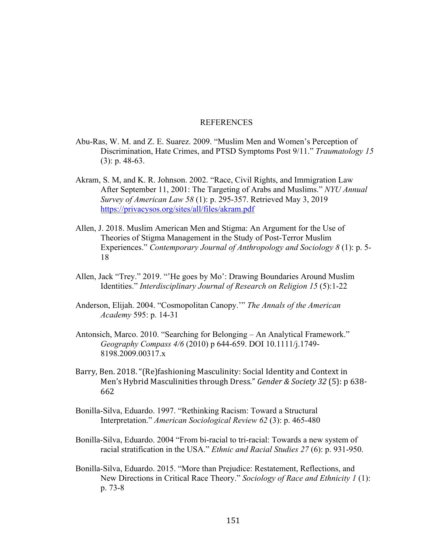#### REFERENCES

- Abu-Ras, W. M. and Z. E. Suarez. 2009. "Muslim Men and Women's Perception of Discrimination, Hate Crimes, and PTSD Symptoms Post 9/11." *Traumatology 15* (3): p. 48-63.
- Akram, S. M, and K. R. Johnson. 2002. "Race, Civil Rights, and Immigration Law After September 11, 2001: The Targeting of Arabs and Muslims." *NYU Annual Survey of American Law 58* (1): p. 295-357. Retrieved May 3, 2019 https://privacysos.org/sites/all/files/akram.pdf
- Allen, J. 2018. Muslim American Men and Stigma: An Argument for the Use of Theories of Stigma Management in the Study of Post-Terror Muslim Experiences." *Contemporary Journal of Anthropology and Sociology 8* (1): p. 5- 18
- Allen, Jack "Trey." 2019. "'He goes by Mo': Drawing Boundaries Around Muslim Identities." *Interdisciplinary Journal of Research on Religion 15* (5):1-22
- Anderson, Elijah. 2004. "Cosmopolitan Canopy.'" *The Annals of the American Academy* 595: p. 14-31
- Antonsich, Marco. 2010. "Searching for Belonging An Analytical Framework." *Geography Compass 4/6* (2010) p 644-659. DOI 10.1111/j.1749- 8198.2009.00317.x
- Barry, Ben. 2018. "(Re)fashioning Masculinity: Social Identity and Context in Men's Hybrid Masculinities through Dress." *Gender & Society 32* (5): p 638-662
- Bonilla-Silva, Eduardo. 1997. "Rethinking Racism: Toward a Structural Interpretation." *American Sociological Review 62* (3): p. 465-480
- Bonilla-Silva, Eduardo. 2004 "From bi-racial to tri-racial: Towards a new system of racial stratification in the USA." *Ethnic and Racial Studies 27* (6): p. 931-950.
- Bonilla-Silva, Eduardo. 2015. "More than Prejudice: Restatement, Reflections, and New Directions in Critical Race Theory." *Sociology of Race and Ethnicity 1* (1): p. 73-8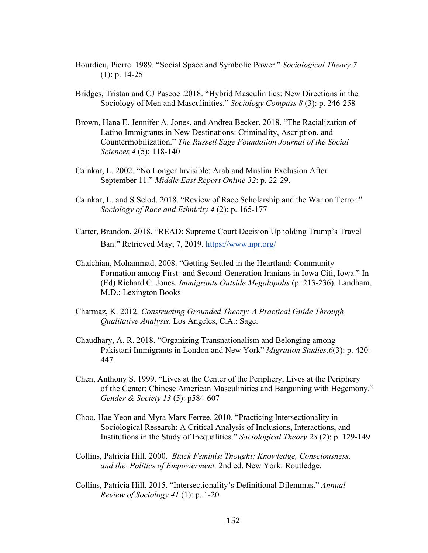- Bourdieu, Pierre. 1989. "Social Space and Symbolic Power." *Sociological Theory 7*  $(1)$ : p. 14-25
- Bridges, Tristan and CJ Pascoe .2018. "Hybrid Masculinities: New Directions in the Sociology of Men and Masculinities." *Sociology Compass 8* (3): p. 246-258
- Brown, Hana E. Jennifer A. Jones, and Andrea Becker. 2018. "The Racialization of Latino Immigrants in New Destinations: Criminality, Ascription, and Countermobilization." *The Russell Sage Foundation Journal of the Social Sciences 4* (5): 118-140
- Cainkar, L. 2002. "No Longer Invisible: Arab and Muslim Exclusion After September 11." *Middle East Report Online 32*: p. 22-29.
- Cainkar, L. and S Selod. 2018. "Review of Race Scholarship and the War on Terror." *Sociology of Race and Ethnicity 4* (2): p. 165-177
- Carter, Brandon. 2018. "READ: Supreme Court Decision Upholding Trump's Travel Ban." Retrieved May, 7, 2019. https://www.npr.org/
- Chaichian, Mohammad. 2008. "Getting Settled in the Heartland: Community Formation among First- and Second-Generation Iranians in Iowa Citi, Iowa." In (Ed) Richard C. Jones. *Immigrants Outside Megalopolis* (p. 213-236). Landham, M.D.: Lexington Books
- Charmaz, K. 2012. *Constructing Grounded Theory: A Practical Guide Through Qualitative Analysis*. Los Angeles, C.A.: Sage.
- Chaudhary, A. R. 2018. "Organizing Transnationalism and Belonging among Pakistani Immigrants in London and New York" *Migration Studies.6*(3): p. 420- 447.
- Chen, Anthony S. 1999. "Lives at the Center of the Periphery, Lives at the Periphery of the Center: Chinese American Masculinities and Bargaining with Hegemony." *Gender & Society 13* (5): p584-607
- Choo, Hae Yeon and Myra Marx Ferree. 2010. "Practicing Intersectionality in Sociological Research: A Critical Analysis of Inclusions, Interactions, and Institutions in the Study of Inequalities." *Sociological Theory 28* (2): p. 129-149
- Collins, Patricia Hill. 2000. *Black Feminist Thought: Knowledge, Consciousness, and the Politics of Empowerment.* 2nd ed. New York: Routledge.
- Collins, Patricia Hill. 2015. "Intersectionality's Definitional Dilemmas." *Annual Review of Sociology 41* (1): p. 1-20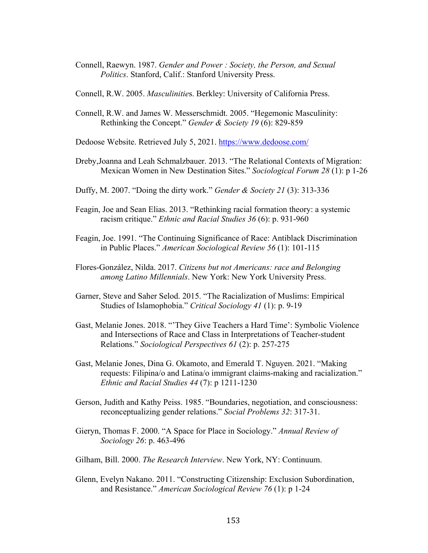Connell, Raewyn. 1987. *Gender and Power : Society, the Person, and Sexual Politics*. Stanford, Calif.: Stanford University Press.

Connell, R.W. 2005. *Masculinitie*s. Berkley: University of California Press.

Connell, R.W. and James W. Messerschmidt. 2005. "Hegemonic Masculinity: Rethinking the Concept." *Gender & Society 19* (6): 829-859

Dedoose Website. Retrieved July 5, 2021. https://www.dedoose.com/

- Dreby,Joanna and Leah Schmalzbauer. 2013. "The Relational Contexts of Migration: Mexican Women in New Destination Sites." *Sociological Forum 28* (1): p 1-26
- Duffy, M. 2007. "Doing the dirty work." *Gender & Society 21* (3): 313-336
- Feagin, Joe and Sean Elias. 2013. "Rethinking racial formation theory: a systemic racism critique." *Ethnic and Racial Studies 36* (6): p. 931-960
- Feagin, Joe. 1991. "The Continuing Significance of Race: Antiblack Discrimination in Public Places." *American Sociological Review 56* (1): 101-115
- Flores-González, Nilda. 2017. *Citizens but not Americans: race and Belonging among Latino Millennials*. New York: New York University Press.
- Garner, Steve and Saher Selod. 2015. "The Racialization of Muslims: Empirical Studies of Islamophobia." *Critical Sociology 41* (1): p. 9-19
- Gast, Melanie Jones. 2018. "'They Give Teachers a Hard Time': Symbolic Violence and Intersections of Race and Class in Interpretations of Teacher-student Relations." *Sociological Perspectives 61* (2): p. 257-275
- Gast, Melanie Jones, Dina G. Okamoto, and Emerald T. Nguyen. 2021. "Making requests: Filipina/o and Latina/o immigrant claims-making and racialization." *Ethnic and Racial Studies 44* (7): p 1211-1230
- Gerson, Judith and Kathy Peiss. 1985. "Boundaries, negotiation, and consciousness: reconceptualizing gender relations." *Social Problems 32*: 317-31.
- Gieryn, Thomas F. 2000. "A Space for Place in Sociology." *Annual Review of Sociology 26*: p. 463-496
- Gilham, Bill. 2000. *The Research Interview*. New York, NY: Continuum.
- Glenn, Evelyn Nakano. 2011. "Constructing Citizenship: Exclusion Subordination, and Resistance." *American Sociological Review 76* (1): p 1-24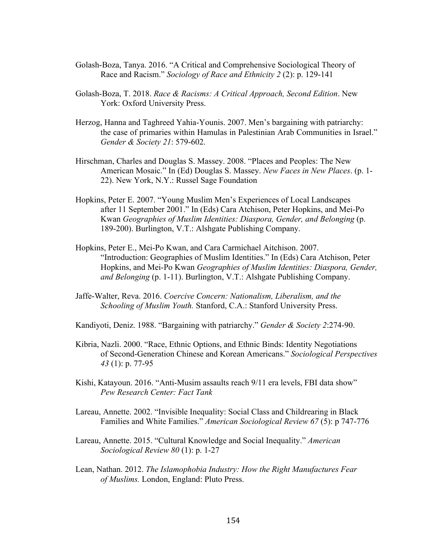- Golash-Boza, Tanya. 2016. "A Critical and Comprehensive Sociological Theory of Race and Racism." *Sociology of Race and Ethnicity 2* (2): p. 129-141
- Golash-Boza, T. 2018. *Race & Racisms: A Critical Approach, Second Edition*. New York: Oxford University Press.
- Herzog, Hanna and Taghreed Yahia-Younis. 2007. Men's bargaining with patriarchy: the case of primaries within Hamulas in Palestinian Arab Communities in Israel." *Gender & Society 21*: 579-602.
- Hirschman, Charles and Douglas S. Massey. 2008. "Places and Peoples: The New American Mosaic." In (Ed) Douglas S. Massey. *New Faces in New Places*. (p. 1- 22). New York, N.Y.: Russel Sage Foundation
- Hopkins, Peter E. 2007. "Young Muslim Men's Experiences of Local Landscapes after 11 September 2001." In (Eds) Cara Atchison, Peter Hopkins, and Mei-Po Kwan *Geographies of Muslim Identities: Diaspora, Gender, and Belonging* (p. 189-200). Burlington, V.T.: Alshgate Publishing Company.
- Hopkins, Peter E., Mei-Po Kwan, and Cara Carmichael Aitchison. 2007. "Introduction: Geographies of Muslim Identities." In (Eds) Cara Atchison, Peter Hopkins, and Mei-Po Kwan *Geographies of Muslim Identities: Diaspora, Gender, and Belonging* (p. 1-11). Burlington, V.T.: Alshgate Publishing Company.
- Jaffe-Walter, Reva. 2016. *Coercive Concern: Nationalism, Liberalism, and the Schooling of Muslim Youth.* Stanford, C.A.: Stanford University Press.
- Kandiyoti, Deniz. 1988. "Bargaining with patriarchy." *Gender & Society 2*:274-90.
- Kibria, Nazli. 2000. "Race, Ethnic Options, and Ethnic Binds: Identity Negotiations of Second-Generation Chinese and Korean Americans." *Sociological Perspectives 43* (1): p. 77-95
- Kishi, Katayoun. 2016. "Anti-Musim assaults reach 9/11 era levels, FBI data show" *Pew Research Center: Fact Tank*
- Lareau, Annette. 2002. "Invisible Inequality: Social Class and Childrearing in Black Families and White Families." *American Sociological Review 67* (5): p 747-776
- Lareau, Annette. 2015. "Cultural Knowledge and Social Inequality." *American Sociological Review 80* (1): p. 1-27
- Lean, Nathan. 2012. *The Islamophobia Industry: How the Right Manufactures Fear of Muslims.* London, England: Pluto Press.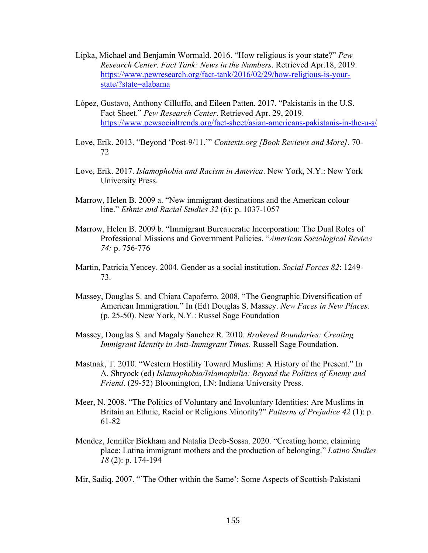- Lipka, Michael and Benjamin Wormald. 2016. "How religious is your state?" *Pew Research Center. Fact Tank: News in the Numbers*. Retrieved Apr.18, 2019. https://www.pewresearch.org/fact-tank/2016/02/29/how-religious-is-yourstate/?state=alabama
- López, Gustavo, Anthony Cilluffo, and Eileen Patten. 2017. "Pakistanis in the U.S. Fact Sheet." *Pew Research Center*. Retrieved Apr. 29, 2019. https://www.pewsocialtrends.org/fact-sheet/asian-americans-pakistanis-in-the-u-s/
- Love, Erik. 2013. "Beyond 'Post-9/11.'" *Contexts.org [Book Reviews and More].* 70- 72
- Love, Erik. 2017. *Islamophobia and Racism in America*. New York, N.Y.: New York University Press.
- Marrow, Helen B. 2009 a. "New immigrant destinations and the American colour line." *Ethnic and Racial Studies 32* (6): p. 1037-1057
- Marrow, Helen B. 2009 b. "Immigrant Bureaucratic Incorporation: The Dual Roles of Professional Missions and Government Policies. "*American Sociological Review 74:* p. 756-776
- Martin, Patricia Yencey. 2004. Gender as a social institution. *Social Forces 82*: 1249- 73.
- Massey, Douglas S. and Chiara Capoferro. 2008. "The Geographic Diversification of American Immigration." In (Ed) Douglas S. Massey. *New Faces in New Places.* (p. 25-50). New York, N.Y.: Russel Sage Foundation
- Massey, Douglas S. and Magaly Sanchez R. 2010. *Brokered Boundaries: Creating Immigrant Identity in Anti-Immigrant Times*. Russell Sage Foundation.
- Mastnak, T. 2010. "Western Hostility Toward Muslims: A History of the Present." In A. Shryock (ed) *Islamophobia/Islamophilia: Beyond the Politics of Enemy and Friend*. (29-52) Bloomington, I.N: Indiana University Press.
- Meer, N. 2008. "The Politics of Voluntary and Involuntary Identities: Are Muslims in Britain an Ethnic, Racial or Religions Minority?" *Patterns of Prejudice 42* (1): p. 61-82
- Mendez, Jennifer Bickham and Natalia Deeb-Sossa. 2020. "Creating home, claiming place: Latina immigrant mothers and the production of belonging." *Latino Studies 18* (2): p. 174-194

Mir, Sadiq. 2007. "'The Other within the Same': Some Aspects of Scottish-Pakistani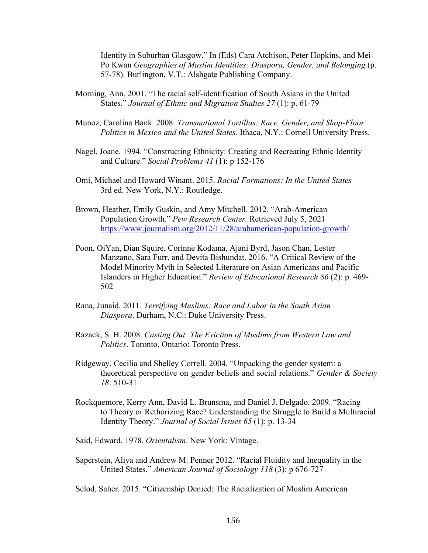Identity in Suburban Glasgow." In (Eds) Cara Atchison, Peter Hopkins, and Mei-Po Kwan *Geographies of Muslim Identities: Diaspora, Gender, and Belonging* (p. 57-78). Burlington, V.T.: Alshgate Publishing Company.

- Morning, Ann. 2001. "The racial self-identification of South Asians in the United States." *Journal of Ethnic and Migration Studies 27* (1): p. 61-79
- Munoz, Carolina Bank. 2008. *Transnational Tortillas: Race, Gender, and Shop-Floor Politics in Mexico and the United States*. Ithaca, N.Y.: Cornell University Press.
- Nagel, Joane. 1994. "Constructing Ethnicity: Creating and Recreating Ethnic Identity and Culture." *Social Problems 41* (1): p 152-176
- Omi, Michael and Howard Winant. 2015. *Racial Formations: In the United States* 3rd ed. New York, N.Y.: Routledge.
- Brown, Heather, Emily Guskin, and Amy Mitchell. 2012. "Arab-American Population Growth." *Pew Research Center.* Retrieved July 5, 2021 https://www.journalism.org/2012/11/28/arabamerican-population-growth/
- Poon, OiYan, Dian Squire, Corinne Kodama, Ajani Byrd, Jason Chan, Lester Manzano, Sara Furr, and Devita Bishundat. 2016. "A Critical Review of the Model Minority Myth in Selected Literature on Asian Americans and Pacific Islanders in Higher Education." *Review of Educational Research 86* (2): p. 469- 502
- Rana, Junaid. 2011. *Terrifying Muslims: Race and Labor in the South Asian Diaspora*. Durham, N.C.: Duke University Press.
- Razack, S. H. 2008. *Casting Out: The Eviction of Muslims from Western Law and Politics*. Toronto, Ontario: Toronto Press.
- Ridgeway, Cecilia and Shelley Correll. 2004. "Unpacking the gender system: a theoretical perspective on gender beliefs and social relations." *Gender & Society 18*: 510-31
- Rockquemore, Kerry Ann, David L. Brunsma, and Daniel J. Delgado. 2009. "Racing to Theory or Rethorizing Race? Understanding the Struggle to Build a Multiracial Identity Theory." *Journal of Social Issues 65* (1): p. 13-34
- Said, Edward. 1978. *Orientalism*. New York: Vintage.
- Saperstein, Aliya and Andrew M. Penner 2012. "Racial Fluidity and Inequality in the United States." *American Journal of Sociology 118* (3): p 676-727

Selod, Saher. 2015. "Citizenship Denied: The Racialization of Muslim American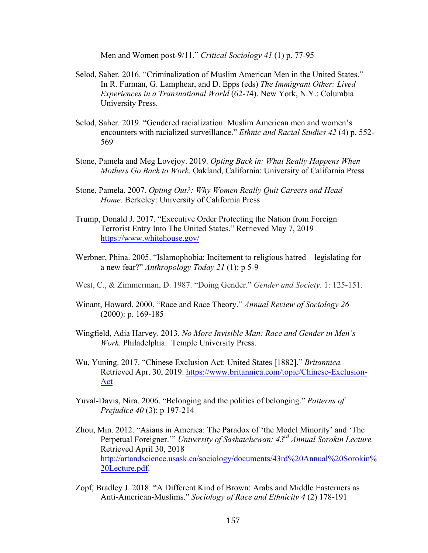Men and Women post-9/11." *Critical Sociology 41* (1) p. 77-95

- Selod, Saher. 2016. "Criminalization of Muslim American Men in the United States." In R. Furman, G. Lamphear, and D. Epps (eds) *The Immigrant Other: Lived Experiences in a Transnational World* (62-74). New York, N.Y.: Columbia University Press.
- Selod, Saher. 2019. "Gendered racialization: Muslim American men and women's encounters with racialized surveillance." *Ethnic and Racial Studies 42* (4) p. 552- 569
- Stone, Pamela and Meg Lovejoy. 2019. *Opting Back in: What Really Happens When Mothers Go Back to Work.* Oakland, California: University of California Press
- Stone, Pamela. 2007. *Opting Out?: Why Women Really Quit Careers and Head Home*. Berkeley: University of California Press
- Trump, Donald J. 2017. "Executive Order Protecting the Nation from Foreign Terrorist Entry Into The United States." Retrieved May 7, 2019 https://www.whitehouse.gov/
- Werbner, Phina. 2005. "Islamophobia: Incitement to religious hatred legislating for a new fear?" *Anthropology Today 21* (1): p 5-9
- West, C., & Zimmerman, D. 1987. "Doing Gender." *Gender and Society*. 1: 125-151.
- Winant, Howard. 2000. "Race and Race Theory." *Annual Review of Sociology 26* (2000): p. 169-185
- Wingfield, Adia Harvey. 2013. *No More Invisible Man: Race and Gender in Men's Work*. Philadelphia: Temple University Press.
- Wu, Yuning. 2017. "Chinese Exclusion Act: United States [1882]." *Britannica.*  Retrieved Apr. 30, 2019. https://www.britannica.com/topic/Chinese-Exclusion-Act
- Yuval-Davis, Nira. 2006. "Belonging and the politics of belonging." *Patterns of Prejudice 40* (3): p 197-214
- Zhou, Min. 2012. "Asians in America: The Paradox of 'the Model Minority' and 'The Perpetual Foreigner.'" *University of Saskatchewan: 43rd Annual Sorokin Lecture.*  Retrieved April 30, 2018 http://artandscience.usask.ca/sociology/documents/43rd%20Annual%20Sorokin% 20Lecture.pdf.
- Zopf, Bradley J. 2018. "A Different Kind of Brown: Arabs and Middle Easterners as Anti-American-Muslims." *Sociology of Race and Ethnicity 4* (2) 178-191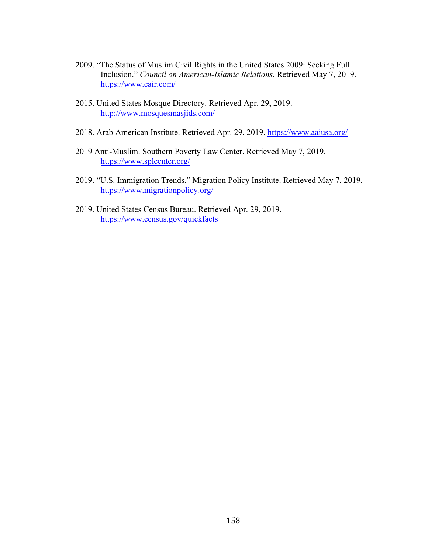- 2009. "The Status of Muslim Civil Rights in the United States 2009: Seeking Full Inclusion." *Council on American-Islamic Relations*. Retrieved May 7, 2019. https://www.cair.com/
- 2015. United States Mosque Directory. Retrieved Apr. 29, 2019. http://www.mosquesmasjids.com/
- 2018. Arab American Institute. Retrieved Apr. 29, 2019. https://www.aaiusa.org/
- 2019 Anti-Muslim. Southern Poverty Law Center. Retrieved May 7, 2019. https://www.splcenter.org/
- 2019. "U.S. Immigration Trends." Migration Policy Institute. Retrieved May 7, 2019. https://www.migrationpolicy.org/
- 2019. United States Census Bureau. Retrieved Apr. 29, 2019. https://www.census.gov/quickfacts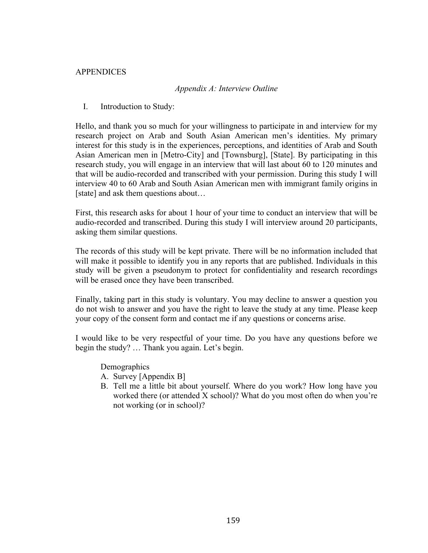# APPENDICES

# *Appendix A: Interview Outline*

I. Introduction to Study:

Hello, and thank you so much for your willingness to participate in and interview for my research project on Arab and South Asian American men's identities. My primary interest for this study is in the experiences, perceptions, and identities of Arab and South Asian American men in [Metro-City] and [Townsburg], [State]. By participating in this research study, you will engage in an interview that will last about 60 to 120 minutes and that will be audio-recorded and transcribed with your permission. During this study I will interview 40 to 60 Arab and South Asian American men with immigrant family origins in [state] and ask them questions about...

First, this research asks for about 1 hour of your time to conduct an interview that will be audio-recorded and transcribed. During this study I will interview around 20 participants, asking them similar questions.

The records of this study will be kept private. There will be no information included that will make it possible to identify you in any reports that are published. Individuals in this study will be given a pseudonym to protect for confidentiality and research recordings will be erased once they have been transcribed.

Finally, taking part in this study is voluntary. You may decline to answer a question you do not wish to answer and you have the right to leave the study at any time. Please keep your copy of the consent form and contact me if any questions or concerns arise.

I would like to be very respectful of your time. Do you have any questions before we begin the study? … Thank you again. Let's begin.

**Demographics** 

- A. Survey [Appendix B]
- B. Tell me a little bit about yourself. Where do you work? How long have you worked there (or attended X school)? What do you most often do when you're not working (or in school)?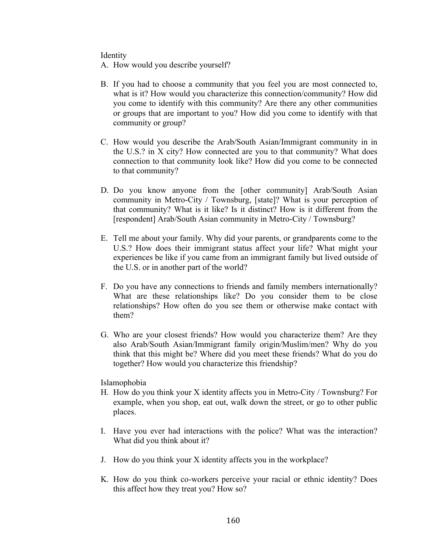Identity

A. How would you describe yourself?

- B. If you had to choose a community that you feel you are most connected to, what is it? How would you characterize this connection/community? How did you come to identify with this community? Are there any other communities or groups that are important to you? How did you come to identify with that community or group?
- C. How would you describe the Arab/South Asian/Immigrant community in in the U.S.? in X city? How connected are you to that community? What does connection to that community look like? How did you come to be connected to that community?
- D. Do you know anyone from the [other community] Arab/South Asian community in Metro-City / Townsburg, [state]? What is your perception of that community? What is it like? Is it distinct? How is it different from the [respondent] Arab/South Asian community in Metro-City / Townsburg?
- E. Tell me about your family. Why did your parents, or grandparents come to the U.S.? How does their immigrant status affect your life? What might your experiences be like if you came from an immigrant family but lived outside of the U.S. or in another part of the world?
- F. Do you have any connections to friends and family members internationally? What are these relationships like? Do you consider them to be close relationships? How often do you see them or otherwise make contact with them?
- G. Who are your closest friends? How would you characterize them? Are they also Arab/South Asian/Immigrant family origin/Muslim/men? Why do you think that this might be? Where did you meet these friends? What do you do together? How would you characterize this friendship?

Islamophobia

- H. How do you think your X identity affects you in Metro-City / Townsburg? For example, when you shop, eat out, walk down the street, or go to other public places.
- I. Have you ever had interactions with the police? What was the interaction? What did you think about it?
- J. How do you think your X identity affects you in the workplace?
- K. How do you think co-workers perceive your racial or ethnic identity? Does this affect how they treat you? How so?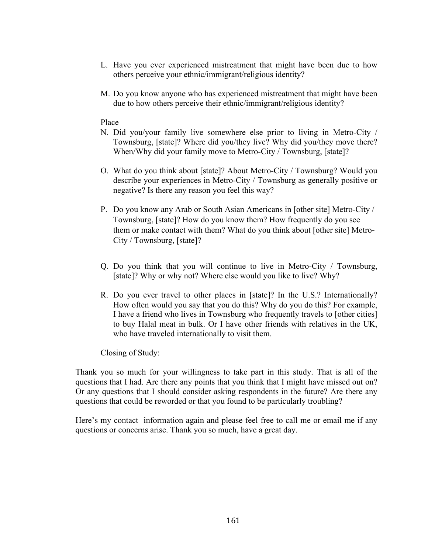- L. Have you ever experienced mistreatment that might have been due to how others perceive your ethnic/immigrant/religious identity?
- M. Do you know anyone who has experienced mistreatment that might have been due to how others perceive their ethnic/immigrant/religious identity?

## Place

- N. Did you/your family live somewhere else prior to living in Metro-City / Townsburg, [state]? Where did you/they live? Why did you/they move there? When/Why did your family move to Metro-City / Townsburg, [state]?
- O. What do you think about [state]? About Metro-City / Townsburg? Would you describe your experiences in Metro-City / Townsburg as generally positive or negative? Is there any reason you feel this way?
- P. Do you know any Arab or South Asian Americans in [other site] Metro-City / Townsburg, [state]? How do you know them? How frequently do you see them or make contact with them? What do you think about [other site] Metro-City / Townsburg, [state]?
- Q. Do you think that you will continue to live in Metro-City / Townsburg, [state]? Why or why not? Where else would you like to live? Why?
- R. Do you ever travel to other places in [state]? In the U.S.? Internationally? How often would you say that you do this? Why do you do this? For example, I have a friend who lives in Townsburg who frequently travels to [other cities] to buy Halal meat in bulk. Or I have other friends with relatives in the UK, who have traveled internationally to visit them.

Closing of Study:

Thank you so much for your willingness to take part in this study. That is all of the questions that I had. Are there any points that you think that I might have missed out on? Or any questions that I should consider asking respondents in the future? Are there any questions that could be reworded or that you found to be particularly troubling?

Here's my contact information again and please feel free to call me or email me if any questions or concerns arise. Thank you so much, have a great day.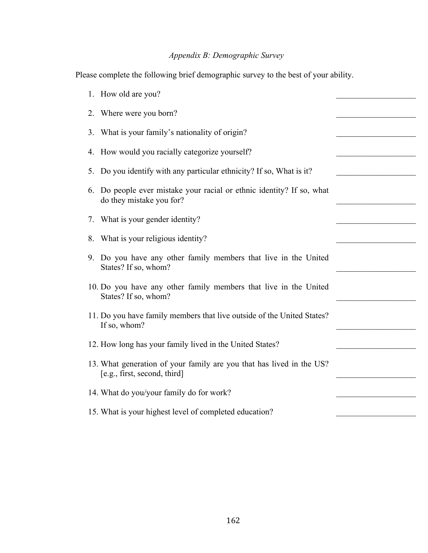# *Appendix B: Demographic Survey*

Please complete the following brief demographic survey to the best of your ability.

|    | 1. How old are you?                                                                                  |  |
|----|------------------------------------------------------------------------------------------------------|--|
| 2. | Where were you born?                                                                                 |  |
| 3. | What is your family's nationality of origin?                                                         |  |
| 4. | How would you racially categorize yourself?                                                          |  |
| 5. | Do you identify with any particular ethnicity? If so, What is it?                                    |  |
| 6. | Do people ever mistake your racial or ethnic identity? If so, what<br>do they mistake you for?       |  |
| 7. | What is your gender identity?                                                                        |  |
| 8. | What is your religious identity?                                                                     |  |
|    | 9. Do you have any other family members that live in the United<br>States? If so, whom?              |  |
|    | 10. Do you have any other family members that live in the United<br>States? If so, whom?             |  |
|    | 11. Do you have family members that live outside of the United States?<br>If so, whom?               |  |
|    | 12. How long has your family lived in the United States?                                             |  |
|    | 13. What generation of your family are you that has lived in the US?<br>[e.g., first, second, third] |  |
|    | 14. What do you/your family do for work?                                                             |  |
|    | 15. What is your highest level of completed education?                                               |  |
|    |                                                                                                      |  |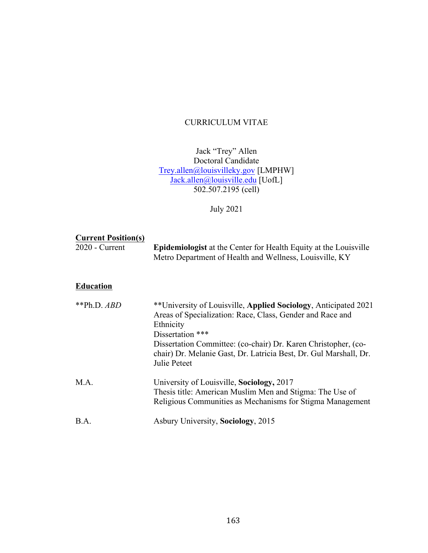# CURRICULUM VITAE

# Jack "Trey" Allen Doctoral Candidate Trey.allen@louisvilleky.gov [LMPHW] Jack.allen@louisville.edu [UofL] 502.507.2195 (cell)

July 2021

# **Current Position(s)**

| $2020$ - Current | <b>Epidemiologist</b> at the Center for Health Equity at the Louisville |
|------------------|-------------------------------------------------------------------------|
|                  | Metro Department of Health and Wellness, Louisville, KY                 |

# **Education**

| ** $Ph.D.$ ABD | **University of Louisville, Applied Sociology, Anticipated 2021<br>Areas of Specialization: Race, Class, Gender and Race and<br>Ethnicity<br>Dissertation ***<br>Dissertation Committee: (co-chair) Dr. Karen Christopher, (co-<br>chair) Dr. Melanie Gast, Dr. Latricia Best, Dr. Gul Marshall, Dr.<br>Julie Peteet |
|----------------|----------------------------------------------------------------------------------------------------------------------------------------------------------------------------------------------------------------------------------------------------------------------------------------------------------------------|
| $MA$ .         | University of Louisville, Sociology, 2017<br>Thesis title: American Muslim Men and Stigma: The Use of<br>Religious Communities as Mechanisms for Stigma Management                                                                                                                                                   |
| B.A.           | Asbury University, Sociology, 2015                                                                                                                                                                                                                                                                                   |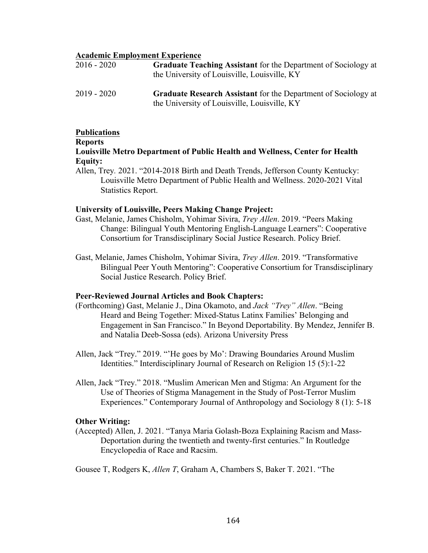## **Academic Employment Experience**

| 2016 - 2020 | <b>Graduate Teaching Assistant</b> for the Department of Sociology at<br>the University of Louisville, Louisville, KY |
|-------------|-----------------------------------------------------------------------------------------------------------------------|
| 2019 - 2020 | <b>Graduate Research Assistant</b> for the Department of Sociology at<br>the University of Louisville, Louisville, KY |

## **Publications**

#### **Reports**

# **Louisville Metro Department of Public Health and Wellness, Center for Health Equity:**

Allen, Trey*.* 2021. "2014-2018 Birth and Death Trends, Jefferson County Kentucky: Louisville Metro Department of Public Health and Wellness. 2020-2021 Vital Statistics Report.

## **University of Louisville, Peers Making Change Project:**

- Gast, Melanie, James Chisholm, Yohimar Sivira, *Trey Allen*. 2019. "Peers Making Change: Bilingual Youth Mentoring English-Language Learners": Cooperative Consortium for Transdisciplinary Social Justice Research. Policy Brief.
- Gast, Melanie, James Chisholm, Yohimar Sivira, *Trey Allen*. 2019. "Transformative Bilingual Peer Youth Mentoring": Cooperative Consortium for Transdisciplinary Social Justice Research. Policy Brief.

# **Peer-Reviewed Journal Articles and Book Chapters:**

- (Forthcoming) Gast, Melanie J., Dina Okamoto, and *Jack "Trey" Allen*. "Being Heard and Being Together: Mixed-Status Latinx Families' Belonging and Engagement in San Francisco." In Beyond Deportability. By Mendez, Jennifer B. and Natalia Deeb-Sossa (eds). Arizona University Press
- Allen, Jack "Trey." 2019. "'He goes by Mo': Drawing Boundaries Around Muslim Identities." Interdisciplinary Journal of Research on Religion 15 (5):1-22
- Allen, Jack "Trey." 2018. "Muslim American Men and Stigma: An Argument for the Use of Theories of Stigma Management in the Study of Post-Terror Muslim Experiences." Contemporary Journal of Anthropology and Sociology 8 (1): 5-18

# **Other Writing:**

(Accepted) Allen, J. 2021. "Tanya Maria Golash-Boza Explaining Racism and Mass-Deportation during the twentieth and twenty-first centuries." In Routledge Encyclopedia of Race and Racsim.

Gousee T, Rodgers K, *Allen T*, Graham A, Chambers S, Baker T. 2021. "The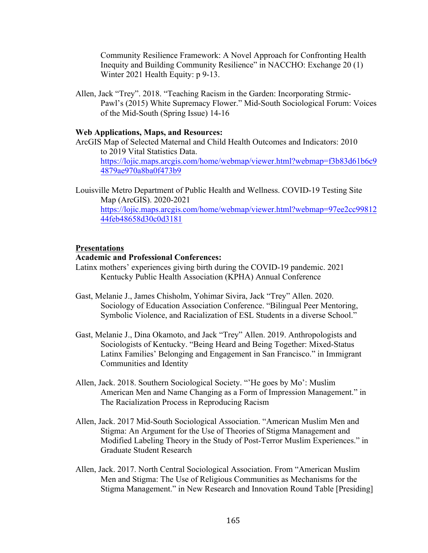Community Resilience Framework: A Novel Approach for Confronting Health Inequity and Building Community Resilience" in NACCHO: Exchange 20 (1) Winter 2021 Health Equity: p 9-13.

Allen, Jack "Trey". 2018. "Teaching Racism in the Garden: Incorporating Strmic-Pawl's (2015) White Supremacy Flower." Mid-South Sociological Forum: Voices of the Mid-South (Spring Issue) 14-16

### **Web Applications, Maps, and Resources:**

- ArcGIS Map of Selected Maternal and Child Health Outcomes and Indicators: 2010 to 2019 Vital Statistics Data. https://lojic.maps.arcgis.com/home/webmap/viewer.html?webmap=f3b83d61b6c9 4879ae970a8ba0f473b9
- Louisville Metro Department of Public Health and Wellness. COVID-19 Testing Site Map (ArcGIS). 2020-2021 https://lojic.maps.arcgis.com/home/webmap/viewer.html?webmap=97ee2cc99812 44feb48658d30c0d3181

#### **Presentations**

# **Academic and Professional Conferences:**

- Latinx mothers' experiences giving birth during the COVID-19 pandemic. 2021 Kentucky Public Health Association (KPHA) Annual Conference
- Gast, Melanie J., James Chisholm, Yohimar Sivira, Jack "Trey" Allen. 2020. Sociology of Education Association Conference. "Bilingual Peer Mentoring, Symbolic Violence, and Racialization of ESL Students in a diverse School."
- Gast, Melanie J., Dina Okamoto, and Jack "Trey" Allen. 2019. Anthropologists and Sociologists of Kentucky. "Being Heard and Being Together: Mixed-Status Latinx Families' Belonging and Engagement in San Francisco." in Immigrant Communities and Identity
- Allen, Jack. 2018. Southern Sociological Society. "'He goes by Mo': Muslim American Men and Name Changing as a Form of Impression Management." in The Racialization Process in Reproducing Racism
- Allen, Jack. 2017 Mid-South Sociological Association. "American Muslim Men and Stigma: An Argument for the Use of Theories of Stigma Management and Modified Labeling Theory in the Study of Post-Terror Muslim Experiences." in Graduate Student Research
- Allen, Jack. 2017. North Central Sociological Association. From "American Muslim Men and Stigma: The Use of Religious Communities as Mechanisms for the Stigma Management." in New Research and Innovation Round Table [Presiding]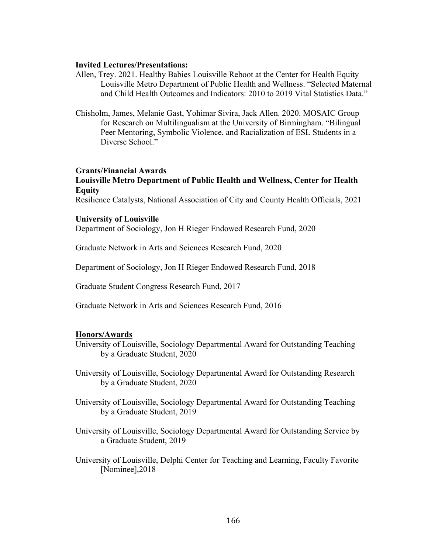#### **Invited Lectures/Presentations:**

- Allen, Trey. 2021. Healthy Babies Louisville Reboot at the Center for Health Equity Louisville Metro Department of Public Health and Wellness. "Selected Maternal and Child Health Outcomes and Indicators: 2010 to 2019 Vital Statistics Data."
- Chisholm, James, Melanie Gast, Yohimar Sivira, Jack Allen. 2020. MOSAIC Group for Research on Multilingualism at the University of Birmingham. "Bilingual Peer Mentoring, Symbolic Violence, and Racialization of ESL Students in a Diverse School."

#### **Grants/Financial Awards**

# **Louisville Metro Department of Public Health and Wellness, Center for Health Equity**

Resilience Catalysts, National Association of City and County Health Officials, 2021

#### **University of Louisville**

Department of Sociology, Jon H Rieger Endowed Research Fund, 2020

Graduate Network in Arts and Sciences Research Fund, 2020

Department of Sociology, Jon H Rieger Endowed Research Fund, 2018

Graduate Student Congress Research Fund, 2017

Graduate Network in Arts and Sciences Research Fund, 2016

#### **Honors/Awards**

- University of Louisville, Sociology Departmental Award for Outstanding Teaching by a Graduate Student, 2020
- University of Louisville, Sociology Departmental Award for Outstanding Research by a Graduate Student, 2020
- University of Louisville, Sociology Departmental Award for Outstanding Teaching by a Graduate Student, 2019
- University of Louisville, Sociology Departmental Award for Outstanding Service by a Graduate Student, 2019
- University of Louisville, Delphi Center for Teaching and Learning, Faculty Favorite [Nominee],2018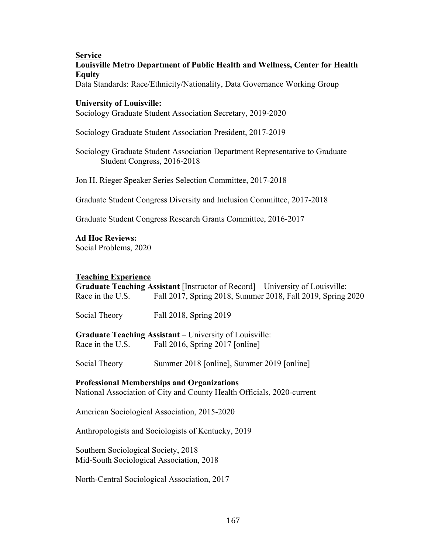## **Service**

# **Louisville Metro Department of Public Health and Wellness, Center for Health Equity**

Data Standards: Race/Ethnicity/Nationality, Data Governance Working Group

# **University of Louisville:**

Sociology Graduate Student Association Secretary, 2019-2020

Sociology Graduate Student Association President, 2017-2019

Sociology Graduate Student Association Department Representative to Graduate Student Congress, 2016-2018

Jon H. Rieger Speaker Series Selection Committee, 2017-2018

Graduate Student Congress Diversity and Inclusion Committee, 2017-2018

Graduate Student Congress Research Grants Committee, 2016-2017

# **Ad Hoc Reviews:**

Social Problems, 2020

# **Teaching Experience**

**Graduate Teaching Assistant** [Instructor of Record] – University of Louisville: Race in the U.S. Fall 2017, Spring 2018, Summer 2018, Fall 2019, Spring 2020

Social Theory Fall 2018, Spring 2019

**Graduate Teaching Assistant** – University of Louisville: Race in the U.S. Fall 2016, Spring 2017 [online]

Social Theory Summer 2018 [online], Summer 2019 [online]

# **Professional Memberships and Organizations**

National Association of City and County Health Officials, 2020-current

American Sociological Association, 2015-2020

Anthropologists and Sociologists of Kentucky, 2019

Southern Sociological Society, 2018 Mid-South Sociological Association, 2018

North-Central Sociological Association, 2017